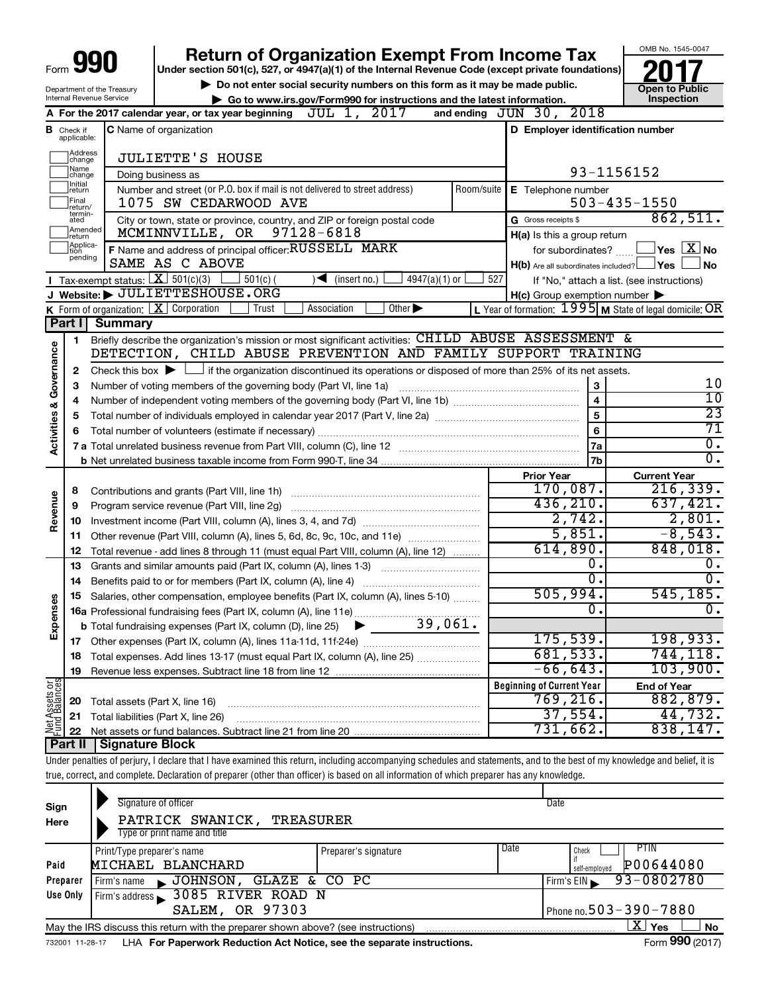| Form | Q<br>n |  |
|------|--------|--|
|      |        |  |

### **Return of Organization Exempt From Income Tax**

**Under section 501(c), 527, or 4947(a)(1) of the Internal Revenue Code (except private foundations)**

Department of the Treasury Internal Revenue Service

▶ Do not enter social security numbers on this form as it may be made public.<br>● Go to www.irs.gov/Form990 for instructions and the latest information. **Department in the latest** information. **| Go to www.irs.gov/Form990 for instructions and the latest information. Inspection**



|                                    |                             | $JUL$ 1,<br>2017<br>A For the 2017 calendar year, or tax year beginning                                                                   |            | and ending JUN 30, 2018                          |                                                         |
|------------------------------------|-----------------------------|-------------------------------------------------------------------------------------------------------------------------------------------|------------|--------------------------------------------------|---------------------------------------------------------|
| в                                  | Check if<br>applicable:     | <b>C</b> Name of organization                                                                                                             |            | D Employer identification number                 |                                                         |
|                                    | Address<br>change           | <b>JULIETTE'S HOUSE</b>                                                                                                                   |            |                                                  |                                                         |
|                                    | Name<br>change              | Doing business as                                                                                                                         |            |                                                  | 93-1156152                                              |
|                                    | Initial<br> return<br>Final | Number and street (or P.O. box if mail is not delivered to street address)<br>1075 SW CEDARWOOD AVE                                       | Room/suite | E Telephone number                               | $503 - 435 - 1550$                                      |
|                                    | return/<br>termin-<br>ated  | City or town, state or province, country, and ZIP or foreign postal code                                                                  |            | G Gross receipts \$                              | 862,511.                                                |
|                                    | Amended                     | MCMINNVILLE, OR<br>97128-6818                                                                                                             |            | H(a) Is this a group return                      |                                                         |
|                                    | return<br>Applica-<br>Ition | F Name and address of principal officer: RUSSELL MARK                                                                                     |            | for subordinates?                                | $\sqrt{}$ Yes $\sqrt{X}$ No                             |
|                                    | pending                     | SAME AS C ABOVE                                                                                                                           |            | $H(b)$ Are all subordinates included? $\Box$ Yes | No                                                      |
|                                    |                             | Tax-exempt status: $X \overline{3}$ 501(c)(3)<br>$501(c)$ (<br>$4947(a)(1)$ or<br>$\sqrt{\frac{1}{1}}$ (insert no.)                       | 527        |                                                  | If "No," attach a list. (see instructions)              |
|                                    |                             | J Website: JULIETTESHOUSE.ORG                                                                                                             |            | H(c) Group exemption number                      |                                                         |
|                                    |                             | K Form of organization: $X$ Corporation<br>Other $\blacktriangleright$<br>Trust<br>Association                                            |            |                                                  | L Year of formation: 1995 M State of legal domicile: OR |
|                                    | Part I                      | <b>Summary</b>                                                                                                                            |            |                                                  |                                                         |
|                                    | $\mathbf{1}$                | Briefly describe the organization's mission or most significant activities: CHILD ABUSE ASSESSMENT &                                      |            |                                                  |                                                         |
|                                    |                             | DETECTION, CHILD ABUSE PREVENTION AND FAMILY SUPPORT TRAINING                                                                             |            |                                                  |                                                         |
|                                    | 2                           | Check this box $\blacktriangleright \Box$ if the organization discontinued its operations or disposed of more than 25% of its net assets. |            |                                                  |                                                         |
|                                    | 3                           | Number of voting members of the governing body (Part VI, line 1a)                                                                         |            | 3                                                | 10                                                      |
|                                    | 4                           |                                                                                                                                           |            | $\overline{\mathbf{4}}$                          | 10                                                      |
|                                    | 5                           |                                                                                                                                           |            | 5                                                | $\overline{23}$                                         |
|                                    | 6                           |                                                                                                                                           |            | 6                                                | 71                                                      |
| <b>Activities &amp; Governance</b> |                             |                                                                                                                                           |            | 7a                                               | $\overline{0}$ .                                        |
|                                    |                             |                                                                                                                                           |            | 7b                                               | $\overline{0}$ .                                        |
|                                    |                             |                                                                                                                                           |            | <b>Prior Year</b>                                | <b>Current Year</b>                                     |
|                                    | 8                           | Contributions and grants (Part VIII, line 1h)                                                                                             |            | 170,087.                                         | 216, 339.                                               |
| Revenue                            | 9                           | Program service revenue (Part VIII, line 2g)                                                                                              |            | 436, 210.                                        | 637,421.                                                |
|                                    | 10                          |                                                                                                                                           |            | 2,742.                                           | 2,801.                                                  |
|                                    | 11                          | Other revenue (Part VIII, column (A), lines 5, 6d, 8c, 9c, 10c, and 11e)                                                                  |            | 5,851.                                           | $-8,543.$                                               |
|                                    | 12                          | Total revenue - add lines 8 through 11 (must equal Part VIII, column (A), line 12)                                                        |            | 614,890.                                         | 848,018.                                                |
|                                    | 13                          | Grants and similar amounts paid (Part IX, column (A), lines 1-3)                                                                          |            | 0.                                               | 0.                                                      |
|                                    | 14                          |                                                                                                                                           |            | $\overline{0}$ .                                 | 0.                                                      |
|                                    | 15                          | Salaries, other compensation, employee benefits (Part IX, column (A), lines 5-10)                                                         |            | 505,994.                                         | 545, 185.                                               |
| Expenses                           |                             |                                                                                                                                           |            | 0.                                               | 0.                                                      |
|                                    |                             | 39,061.<br><b>b</b> Total fundraising expenses (Part IX, column (D), line 25)<br>▶                                                        |            |                                                  |                                                         |
|                                    |                             |                                                                                                                                           |            | 175,539.                                         | 198,933.                                                |
|                                    | 18                          | Total expenses. Add lines 13-17 (must equal Part IX, column (A), line 25)                                                                 |            | 681,533.                                         | 744,118.                                                |
|                                    | 19                          |                                                                                                                                           |            | $-66,643.$                                       | 103,900.                                                |
| <b>beg</b>                         |                             |                                                                                                                                           |            | <b>Beginning of Current Year</b>                 | <b>End of Year</b>                                      |
| Assets                             | 20                          | Total assets (Part X, line 16)                                                                                                            |            | 769,216 <b>.</b>                                 | 882,879.                                                |
|                                    | 21                          | Total liabilities (Part X, line 26)                                                                                                       |            | 37,554.                                          | 44,732.                                                 |
| <u>Met</u>                         | 22                          |                                                                                                                                           |            | 731,662.                                         | 838,147.                                                |
|                                    |                             | <b>Part II   Signature Block</b>                                                                                                          |            |                                                  |                                                         |

Under penalties of perjury, I declare that I have examined this return, including accompanying schedules and statements, and to the best of my knowledge and belief, it is true, correct, and complete. Declaration of preparer (other than officer) is based on all information of which preparer has any knowledge.

| Sign<br>Here                                                                                                     | Signature of officer<br>PATRICK SWANICK,<br>TREASURER<br>Type or print name and title |                      |      | Date                       |  |  |  |
|------------------------------------------------------------------------------------------------------------------|---------------------------------------------------------------------------------------|----------------------|------|----------------------------|--|--|--|
| Paid                                                                                                             | Print/Type preparer's name<br>MICHAEL BLANCHARD                                       | Preparer's signature | Date | PTIN<br>Check<br>P00644080 |  |  |  |
|                                                                                                                  |                                                                                       |                      |      | self-emploved              |  |  |  |
| Preparer                                                                                                         | GLAZE & CO PC<br>$\overline{\phantom{a}}$ JOHNSON,<br>Firm's name                     |                      |      | 93-0802780<br>Firm's EIN   |  |  |  |
| Use Only                                                                                                         | Firm's address 3085 RIVER ROAD N                                                      |                      |      |                            |  |  |  |
| Phone no. $503 - 390 - 7880$<br>SALEM, OR 97303                                                                  |                                                                                       |                      |      |                            |  |  |  |
| $\mathbf{X}$<br>∣ Yes<br>No<br>May the IRS discuss this return with the preparer shown above? (see instructions) |                                                                                       |                      |      |                            |  |  |  |
| 732001 11-28-17                                                                                                  | LHA For Paperwork Reduction Act Notice, see the separate instructions.                |                      |      | Form 990 (2017)            |  |  |  |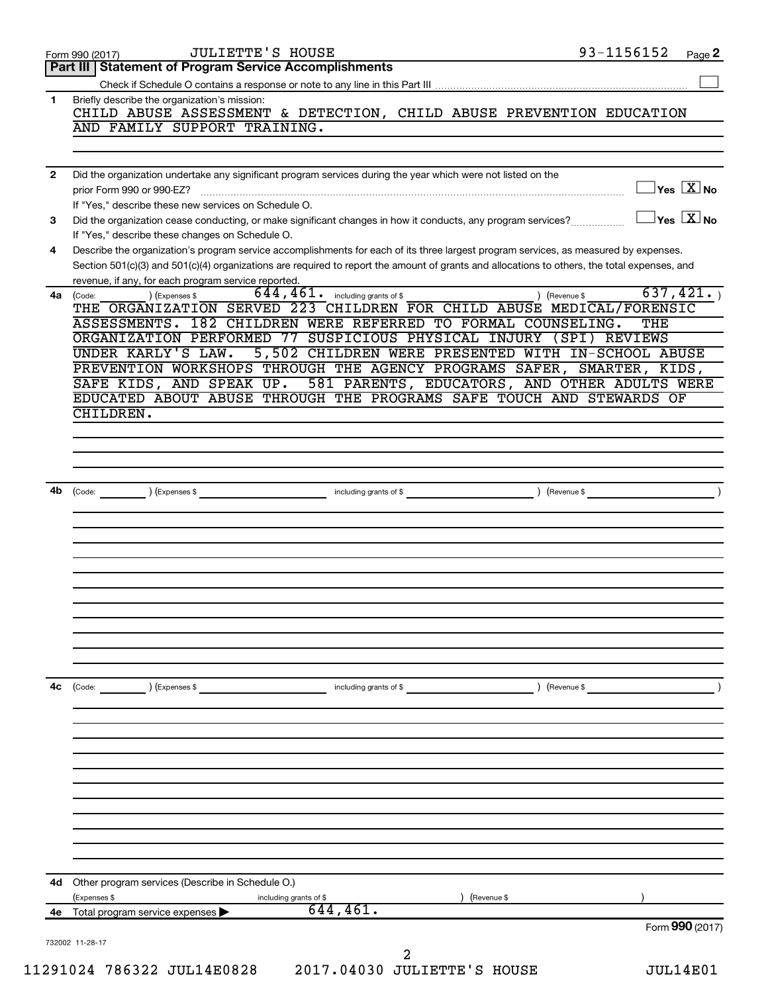|    | <b>JULIETTE'S HOUSE</b><br>Form 990 (2017)                                                                                                                                                                                                                                           | 93-1156152 | Page 2                                    |
|----|--------------------------------------------------------------------------------------------------------------------------------------------------------------------------------------------------------------------------------------------------------------------------------------|------------|-------------------------------------------|
|    | <b>Statement of Program Service Accomplishments</b><br>Part III                                                                                                                                                                                                                      |            |                                           |
|    |                                                                                                                                                                                                                                                                                      |            |                                           |
| 1  | Briefly describe the organization's mission:<br>CHILD ABUSE ASSESSMENT & DETECTION, CHILD ABUSE PREVENTION EDUCATION<br>AND FAMILY SUPPORT TRAINING.                                                                                                                                 |            |                                           |
|    |                                                                                                                                                                                                                                                                                      |            |                                           |
| 2  | Did the organization undertake any significant program services during the year which were not listed on the                                                                                                                                                                         |            |                                           |
|    | prior Form 990 or 990-EZ?<br>If "Yes," describe these new services on Schedule O.                                                                                                                                                                                                    |            | $\overline{\ }$ Yes $\overline{\rm X}$ No |
| 3  | Did the organization cease conducting, or make significant changes in how it conducts, any program services?<br>If "Yes," describe these changes on Schedule O.                                                                                                                      |            | $\exists$ Yes $\boxed{\text{X}}$ No       |
| 4  | Describe the organization's program service accomplishments for each of its three largest program services, as measured by expenses.<br>Section 501(c)(3) and 501(c)(4) organizations are required to report the amount of grants and allocations to others, the total expenses, and |            |                                           |
| 4a | revenue, if any, for each program service reported.<br>$\overline{644}$ , $461$ . including grants of \$<br>) (Expenses \$<br>) (Revenue \$<br>(Code:<br>THE ORGANIZATION SERVED 223 CHILDREN FOR CHILD ABUSE MEDICAL/FORENSIC                                                       | 637,421.   |                                           |
|    | ASSESSMENTS. 182 CHILDREN WERE REFERRED TO FORMAL COUNSELING.                                                                                                                                                                                                                        | THE        |                                           |
|    | ORGANIZATION PERFORMED 77 SUSPICIOUS PHYSICAL INJURY (SPI)<br>UNDER KARLY'S LAW.<br>5,502 CHILDREN WERE PRESENTED WITH IN-SCHOOL ABUSE                                                                                                                                               | REVIEWS    |                                           |
|    | PREVENTION WORKSHOPS THROUGH THE AGENCY PROGRAMS SAFER, SMARTER, KIDS,                                                                                                                                                                                                               |            |                                           |
|    | 581 PARENTS, EDUCATORS, AND OTHER ADULTS WERE<br>SAFE KIDS, AND SPEAK UP.                                                                                                                                                                                                            |            |                                           |
|    | EDUCATED ABOUT ABUSE THROUGH THE PROGRAMS SAFE TOUCH AND STEWARDS OF                                                                                                                                                                                                                 |            |                                           |
|    | CHILDREN.                                                                                                                                                                                                                                                                            |            |                                           |
|    |                                                                                                                                                                                                                                                                                      |            |                                           |
|    |                                                                                                                                                                                                                                                                                      |            |                                           |
|    |                                                                                                                                                                                                                                                                                      |            |                                           |
| 4b |                                                                                                                                                                                                                                                                                      |            |                                           |
|    |                                                                                                                                                                                                                                                                                      |            |                                           |
|    |                                                                                                                                                                                                                                                                                      |            |                                           |
|    |                                                                                                                                                                                                                                                                                      |            |                                           |
|    |                                                                                                                                                                                                                                                                                      |            |                                           |
|    |                                                                                                                                                                                                                                                                                      |            |                                           |
|    |                                                                                                                                                                                                                                                                                      |            |                                           |
|    |                                                                                                                                                                                                                                                                                      |            |                                           |
|    |                                                                                                                                                                                                                                                                                      |            |                                           |
|    |                                                                                                                                                                                                                                                                                      |            |                                           |
|    |                                                                                                                                                                                                                                                                                      |            |                                           |
|    |                                                                                                                                                                                                                                                                                      |            |                                           |
| 4с | (Code: ) (Expenses \$<br>including grants of \$<br>) (Revenue \$                                                                                                                                                                                                                     |            |                                           |
|    |                                                                                                                                                                                                                                                                                      |            |                                           |
|    |                                                                                                                                                                                                                                                                                      |            |                                           |
|    |                                                                                                                                                                                                                                                                                      |            |                                           |
|    |                                                                                                                                                                                                                                                                                      |            |                                           |
|    |                                                                                                                                                                                                                                                                                      |            |                                           |
|    | 4d Other program services (Describe in Schedule O.)                                                                                                                                                                                                                                  |            |                                           |
|    | (Expenses \$<br>Revenue \$<br>including grants of \$<br>644,461.                                                                                                                                                                                                                     |            |                                           |
|    | 4e Total program service expenses                                                                                                                                                                                                                                                    |            | Form 990 (2017)                           |
|    | 732002 11-28-17                                                                                                                                                                                                                                                                      |            |                                           |
|    | 11291024 786322 JUL14E0828<br>2017.04030 JULIETTE'S HOUSE                                                                                                                                                                                                                            |            | <b>JUL14E01</b>                           |
|    |                                                                                                                                                                                                                                                                                      |            |                                           |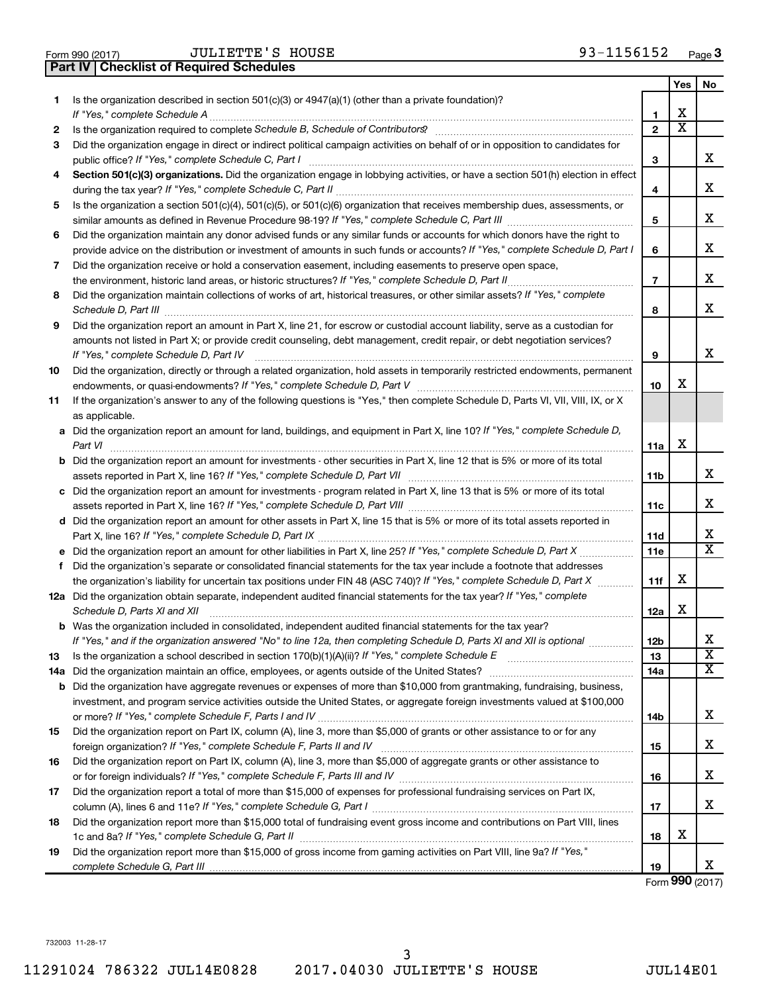| Form 990 (2017) |  |  |
|-----------------|--|--|

**Part IV Checklist of Required Schedules**

|    |                                                                                                                                                                                                                                                    |                | <b>Yes</b>              | No                      |
|----|----------------------------------------------------------------------------------------------------------------------------------------------------------------------------------------------------------------------------------------------------|----------------|-------------------------|-------------------------|
| 1  | Is the organization described in section 501(c)(3) or $4947(a)(1)$ (other than a private foundation)?                                                                                                                                              |                |                         |                         |
|    |                                                                                                                                                                                                                                                    | 1              | X                       |                         |
| 2  | Is the organization required to complete Schedule B, Schedule of Contributors? [11] The organization required to complete Schedule B, Schedule of Contributors?                                                                                    | $\overline{2}$ | $\overline{\textbf{x}}$ |                         |
| 3  | Did the organization engage in direct or indirect political campaign activities on behalf of or in opposition to candidates for<br>public office? If "Yes," complete Schedule C, Part I                                                            | 3              |                         | х                       |
| 4  | Section 501(c)(3) organizations. Did the organization engage in lobbying activities, or have a section 501(h) election in effect                                                                                                                   | 4              |                         | х                       |
| 5  | Is the organization a section 501(c)(4), 501(c)(5), or 501(c)(6) organization that receives membership dues, assessments, or                                                                                                                       |                |                         |                         |
|    |                                                                                                                                                                                                                                                    | 5              |                         | х                       |
| 6  | Did the organization maintain any donor advised funds or any similar funds or accounts for which donors have the right to                                                                                                                          |                |                         |                         |
|    | provide advice on the distribution or investment of amounts in such funds or accounts? If "Yes," complete Schedule D, Part I                                                                                                                       | 6              |                         | х                       |
| 7  | Did the organization receive or hold a conservation easement, including easements to preserve open space,                                                                                                                                          |                |                         |                         |
|    |                                                                                                                                                                                                                                                    | $\overline{7}$ |                         | х                       |
| 8  | Did the organization maintain collections of works of art, historical treasures, or other similar assets? If "Yes," complete                                                                                                                       | 8              |                         | x                       |
| 9  | Did the organization report an amount in Part X, line 21, for escrow or custodial account liability, serve as a custodian for                                                                                                                      |                |                         |                         |
|    | amounts not listed in Part X; or provide credit counseling, debt management, credit repair, or debt negotiation services?                                                                                                                          |                |                         |                         |
|    | If "Yes," complete Schedule D, Part IV                                                                                                                                                                                                             | 9              |                         | x                       |
| 10 | Did the organization, directly or through a related organization, hold assets in temporarily restricted endowments, permanent                                                                                                                      |                |                         |                         |
|    |                                                                                                                                                                                                                                                    | 10             | x                       |                         |
| 11 | If the organization's answer to any of the following questions is "Yes," then complete Schedule D, Parts VI, VII, VIII, IX, or X                                                                                                                   |                |                         |                         |
|    | as applicable.                                                                                                                                                                                                                                     |                |                         |                         |
|    | a Did the organization report an amount for land, buildings, and equipment in Part X, line 10? If "Yes," complete Schedule D,<br>Part VI                                                                                                           | 11a            | X                       |                         |
|    | <b>b</b> Did the organization report an amount for investments - other securities in Part X, line 12 that is 5% or more of its total                                                                                                               |                |                         |                         |
|    |                                                                                                                                                                                                                                                    | 11b            |                         | x                       |
|    | c Did the organization report an amount for investments - program related in Part X, line 13 that is 5% or more of its total                                                                                                                       |                |                         |                         |
|    |                                                                                                                                                                                                                                                    | 11c            |                         | х                       |
|    | d Did the organization report an amount for other assets in Part X, line 15 that is 5% or more of its total assets reported in                                                                                                                     |                |                         | х                       |
|    |                                                                                                                                                                                                                                                    | 11d<br>11e     |                         | X                       |
| f  | e Did the organization report an amount for other liabilities in Part X, line 25? If "Yes," complete Schedule D, Part X<br>Did the organization's separate or consolidated financial statements for the tax year include a footnote that addresses |                |                         |                         |
|    | the organization's liability for uncertain tax positions under FIN 48 (ASC 740)? If "Yes," complete Schedule D, Part X                                                                                                                             | 11f            | X                       |                         |
|    | 12a Did the organization obtain separate, independent audited financial statements for the tax year? If "Yes," complete                                                                                                                            |                |                         |                         |
|    | Schedule D, Parts XI and XII                                                                                                                                                                                                                       | 12a            | х                       |                         |
|    | <b>b</b> Was the organization included in consolidated, independent audited financial statements for the tax year?                                                                                                                                 |                |                         |                         |
|    | If "Yes," and if the organization answered "No" to line 12a, then completing Schedule D, Parts XI and XII is optional                                                                                                                              | סצו            |                         | 4                       |
| 13 |                                                                                                                                                                                                                                                    | 13             |                         | $\overline{\mathbf{X}}$ |
|    | 14a Did the organization maintain an office, employees, or agents outside of the United States?                                                                                                                                                    | 14a            |                         | x                       |
|    | <b>b</b> Did the organization have aggregate revenues or expenses of more than \$10,000 from grantmaking, fundraising, business,                                                                                                                   |                |                         |                         |
|    | investment, and program service activities outside the United States, or aggregate foreign investments valued at \$100,000                                                                                                                         |                |                         |                         |
|    |                                                                                                                                                                                                                                                    | 14b            |                         | х                       |
| 15 | Did the organization report on Part IX, column (A), line 3, more than \$5,000 of grants or other assistance to or for any                                                                                                                          |                |                         |                         |
|    |                                                                                                                                                                                                                                                    | 15             |                         | х                       |
| 16 | Did the organization report on Part IX, column (A), line 3, more than \$5,000 of aggregate grants or other assistance to                                                                                                                           | 16             |                         | x                       |
| 17 | Did the organization report a total of more than \$15,000 of expenses for professional fundraising services on Part IX,                                                                                                                            |                |                         |                         |
|    |                                                                                                                                                                                                                                                    | 17             |                         | х                       |
| 18 | Did the organization report more than \$15,000 total of fundraising event gross income and contributions on Part VIII, lines                                                                                                                       |                |                         |                         |
|    |                                                                                                                                                                                                                                                    | 18             | х                       |                         |
| 19 | Did the organization report more than \$15,000 of gross income from gaming activities on Part VIII, line 9a? If "Yes,"                                                                                                                             |                |                         | x                       |
|    |                                                                                                                                                                                                                                                    | 19             |                         |                         |

Form (2017) **990**

732003 11-28-17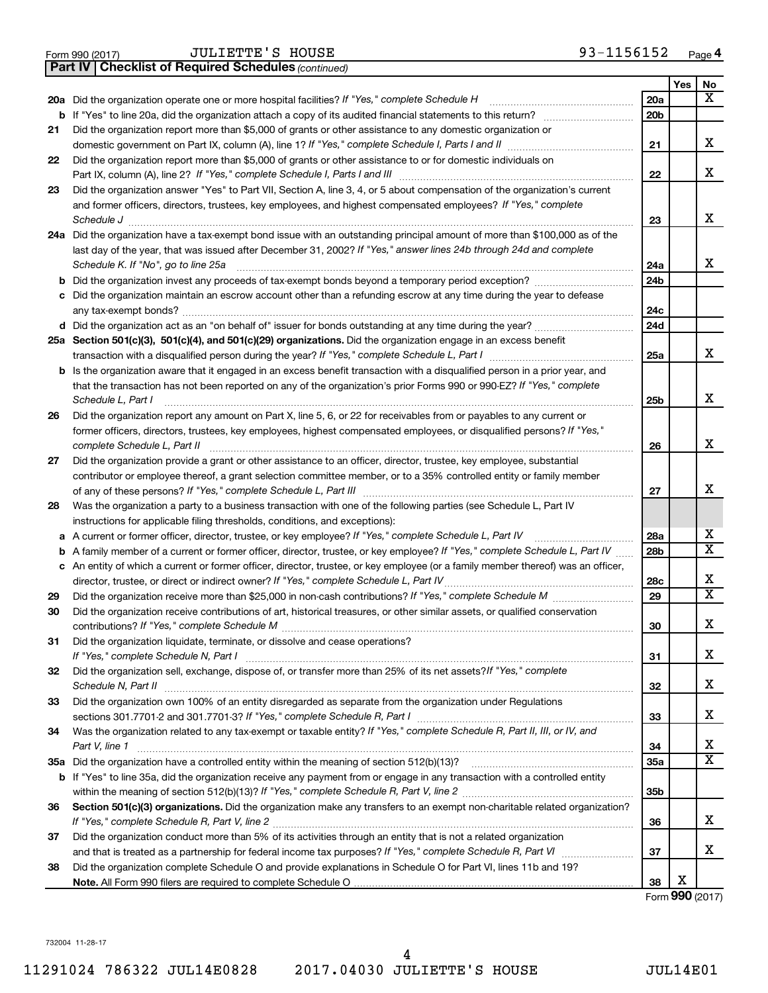|  | Form 990 (2017) |
|--|-----------------|
|  |                 |

*(continued)* **Part IV Checklist of Required Schedules**

|    |                                                                                                                                                        |                 | Yes | No                      |
|----|--------------------------------------------------------------------------------------------------------------------------------------------------------|-----------------|-----|-------------------------|
|    | 20a Did the organization operate one or more hospital facilities? If "Yes," complete Schedule H                                                        | 20a             |     | X                       |
|    |                                                                                                                                                        | 20 <sub>b</sub> |     |                         |
| 21 | Did the organization report more than \$5,000 of grants or other assistance to any domestic organization or                                            |                 |     |                         |
|    |                                                                                                                                                        | 21              |     | x                       |
| 22 | Did the organization report more than \$5,000 of grants or other assistance to or for domestic individuals on                                          |                 |     |                         |
|    |                                                                                                                                                        | 22              |     | x                       |
| 23 | Did the organization answer "Yes" to Part VII, Section A, line 3, 4, or 5 about compensation of the organization's current                             |                 |     |                         |
|    | and former officers, directors, trustees, key employees, and highest compensated employees? If "Yes," complete                                         |                 |     |                         |
|    | Schedule J                                                                                                                                             | 23              |     | x                       |
|    | 24a Did the organization have a tax-exempt bond issue with an outstanding principal amount of more than \$100,000 as of the                            |                 |     |                         |
|    | last day of the year, that was issued after December 31, 2002? If "Yes," answer lines 24b through 24d and complete                                     |                 |     | x                       |
|    | Schedule K. If "No", go to line 25a<br>Did the organization invest any proceeds of tax-exempt bonds beyond a temporary period exception?               | 24a<br>24b      |     |                         |
| b  | Did the organization maintain an escrow account other than a refunding escrow at any time during the year to defease                                   |                 |     |                         |
| с  |                                                                                                                                                        | 24c             |     |                         |
|    | d Did the organization act as an "on behalf of" issuer for bonds outstanding at any time during the year?                                              | 24d             |     |                         |
|    | 25a Section 501(c)(3), 501(c)(4), and 501(c)(29) organizations. Did the organization engage in an excess benefit                                       |                 |     |                         |
|    |                                                                                                                                                        | 25a             |     | x                       |
|    | <b>b</b> Is the organization aware that it engaged in an excess benefit transaction with a disqualified person in a prior year, and                    |                 |     |                         |
|    | that the transaction has not been reported on any of the organization's prior Forms 990 or 990-EZ? If "Yes," complete                                  |                 |     | x                       |
|    | Schedule L, Part I                                                                                                                                     | 25b             |     |                         |
| 26 | Did the organization report any amount on Part X, line 5, 6, or 22 for receivables from or payables to any current or                                  |                 |     |                         |
|    | former officers, directors, trustees, key employees, highest compensated employees, or disqualified persons? If "Yes,"<br>complete Schedule L, Part II | 26              |     | x                       |
| 27 | Did the organization provide a grant or other assistance to an officer, director, trustee, key employee, substantial                                   |                 |     |                         |
|    | contributor or employee thereof, a grant selection committee member, or to a 35% controlled entity or family member                                    |                 |     |                         |
|    |                                                                                                                                                        | 27              |     | x                       |
| 28 | Was the organization a party to a business transaction with one of the following parties (see Schedule L, Part IV                                      |                 |     |                         |
|    | instructions for applicable filing thresholds, conditions, and exceptions):                                                                            |                 |     |                         |
| а  | A current or former officer, director, trustee, or key employee? If "Yes," complete Schedule L, Part IV                                                | 28a             |     | x                       |
| b  | A family member of a current or former officer, director, trustee, or key employee? If "Yes," complete Schedule L, Part IV                             | 28b             |     | $\overline{\mathtt{x}}$ |
|    | c An entity of which a current or former officer, director, trustee, or key employee (or a family member thereof) was an officer,                      |                 |     |                         |
|    | director, trustee, or direct or indirect owner? If "Yes," complete Schedule L, Part IV                                                                 | 28c             |     | х                       |
| 29 |                                                                                                                                                        | 29              |     | $\overline{\mathtt{x}}$ |
| 30 | Did the organization receive contributions of art, historical treasures, or other similar assets, or qualified conservation                            |                 |     |                         |
|    |                                                                                                                                                        | 30              |     | x                       |
| 31 | Did the organization liquidate, terminate, or dissolve and cease operations?                                                                           | 31              |     | х                       |
| 32 | Did the organization sell, exchange, dispose of, or transfer more than 25% of its net assets? If "Yes," complete                                       |                 |     |                         |
|    | Schedule N, Part II                                                                                                                                    | 32              |     | x                       |
| 33 | Did the organization own 100% of an entity disregarded as separate from the organization under Regulations                                             |                 |     |                         |
|    |                                                                                                                                                        | 33              |     | х                       |
| 34 | Was the organization related to any tax-exempt or taxable entity? If "Yes," complete Schedule R, Part II, III, or IV, and                              |                 |     |                         |
|    | Part V, line 1                                                                                                                                         | 34              |     | x                       |
|    |                                                                                                                                                        | 35a             |     | $\overline{\mathtt{x}}$ |
|    | b If "Yes" to line 35a, did the organization receive any payment from or engage in any transaction with a controlled entity                            |                 |     |                         |
|    |                                                                                                                                                        | 35b             |     |                         |
| 36 | Section 501(c)(3) organizations. Did the organization make any transfers to an exempt non-charitable related organization?                             |                 |     | x                       |
|    | If "Yes," complete Schedule R, Part V, line 2                                                                                                          | 36              |     |                         |
| 37 | Did the organization conduct more than 5% of its activities through an entity that is not a related organization                                       | 37              |     | x                       |
| 38 | Did the organization complete Schedule O and provide explanations in Schedule O for Part VI, lines 11b and 19?                                         |                 |     |                         |
|    |                                                                                                                                                        | 38              | х   |                         |

Form (2017) **990**

732004 11-28-17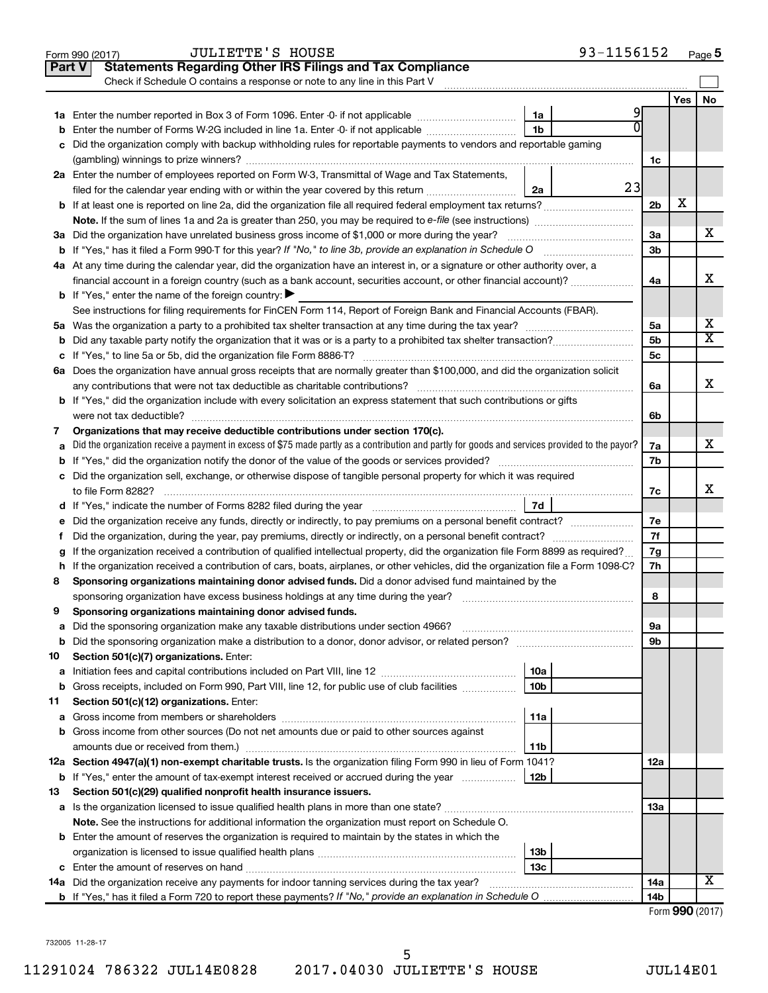|    | 93-1156152<br><b>JULIETTE'S HOUSE</b><br>Form 990 (2017)                                                                                        |                 |                 | Page 5 |
|----|-------------------------------------------------------------------------------------------------------------------------------------------------|-----------------|-----------------|--------|
|    | <b>Statements Regarding Other IRS Filings and Tax Compliance</b><br><b>Part V</b>                                                               |                 |                 |        |
|    | Check if Schedule O contains a response or note to any line in this Part V                                                                      |                 |                 |        |
|    |                                                                                                                                                 |                 | Yes             | No     |
|    | 9<br>1a                                                                                                                                         |                 |                 |        |
| b  | 1 <sub>b</sub><br>Enter the number of Forms W-2G included in line 1a. Enter -0- if not applicable                                               |                 |                 |        |
| с  | Did the organization comply with backup withholding rules for reportable payments to vendors and reportable gaming                              |                 |                 |        |
|    |                                                                                                                                                 | 1c              |                 |        |
|    | 2a Enter the number of employees reported on Form W-3, Transmittal of Wage and Tax Statements,                                                  |                 |                 |        |
|    | 23<br>filed for the calendar year ending with or within the year covered by this return<br>2a                                                   |                 |                 |        |
|    |                                                                                                                                                 | 2 <sub>b</sub>  | X               |        |
|    | Note. If the sum of lines 1a and 2a is greater than 250, you may be required to e-file (see instructions) <i></i>                               |                 |                 |        |
|    | 3a Did the organization have unrelated business gross income of \$1,000 or more during the year?                                                | За              |                 | x      |
|    | <b>b</b> If "Yes," has it filed a Form 990-T for this year? If "No," to line 3b, provide an explanation in Schedule O manumum                   | 3 <sub>b</sub>  |                 |        |
|    | 4a At any time during the calendar year, did the organization have an interest in, or a signature or other authority over, a                    |                 |                 |        |
|    | financial account in a foreign country (such as a bank account, securities account, or other financial account)?                                | 4a              |                 | x      |
|    | <b>b</b> If "Yes," enter the name of the foreign country: $\blacktriangleright$                                                                 |                 |                 |        |
|    | See instructions for filing requirements for FinCEN Form 114, Report of Foreign Bank and Financial Accounts (FBAR).                             |                 |                 |        |
|    |                                                                                                                                                 | 5a              |                 | х      |
|    |                                                                                                                                                 | 5 <sub>b</sub>  |                 | X      |
| b  |                                                                                                                                                 | 5c              |                 |        |
| с  |                                                                                                                                                 |                 |                 |        |
|    | 6a Does the organization have annual gross receipts that are normally greater than \$100,000, and did the organization solicit                  |                 |                 | x      |
|    |                                                                                                                                                 | 6a              |                 |        |
|    | <b>b</b> If "Yes," did the organization include with every solicitation an express statement that such contributions or gifts                   |                 |                 |        |
|    | were not tax deductible?                                                                                                                        | 6b              |                 |        |
| 7  | Organizations that may receive deductible contributions under section 170(c).                                                                   |                 |                 | x      |
| а  | Did the organization receive a payment in excess of \$75 made partly as a contribution and partly for goods and services provided to the payor? | 7a              |                 |        |
| b  |                                                                                                                                                 | 7b              |                 |        |
|    | c Did the organization sell, exchange, or otherwise dispose of tangible personal property for which it was required                             |                 |                 | x      |
|    |                                                                                                                                                 | 7с              |                 |        |
|    | 7d                                                                                                                                              |                 |                 |        |
| е  |                                                                                                                                                 | 7e              |                 |        |
| f. | Did the organization, during the year, pay premiums, directly or indirectly, on a personal benefit contract?                                    | 7f              |                 |        |
| g  | If the organization received a contribution of qualified intellectual property, did the organization file Form 8899 as required?                | 7g              |                 |        |
|    | h If the organization received a contribution of cars, boats, airplanes, or other vehicles, did the organization file a Form 1098-C?            | 7h              |                 |        |
| 8  | Sponsoring organizations maintaining donor advised funds. Did a donor advised fund maintained by the                                            |                 |                 |        |
|    |                                                                                                                                                 | 8               |                 |        |
|    | Sponsoring organizations maintaining donor advised funds.                                                                                       |                 |                 |        |
| а  | Did the sponsoring organization make any taxable distributions under section 4966?                                                              | 9а              |                 |        |
| b  |                                                                                                                                                 | 9b              |                 |        |
| 10 | Section 501(c)(7) organizations. Enter:                                                                                                         |                 |                 |        |
| а  | 10a                                                                                                                                             |                 |                 |        |
| b  | 10 <sub>b</sub><br>Gross receipts, included on Form 990, Part VIII, line 12, for public use of club facilities                                  |                 |                 |        |
| 11 | Section 501(c)(12) organizations. Enter:                                                                                                        |                 |                 |        |
| а  | 11a                                                                                                                                             |                 |                 |        |
| b  | Gross income from other sources (Do not net amounts due or paid to other sources against                                                        |                 |                 |        |
|    | 11b                                                                                                                                             |                 |                 |        |
|    | 12a Section 4947(a)(1) non-exempt charitable trusts. Is the organization filing Form 990 in lieu of Form 1041?                                  | 12a             |                 |        |
|    | 12b<br><b>b</b> If "Yes," enter the amount of tax-exempt interest received or accrued during the year                                           |                 |                 |        |
| 13 | Section 501(c)(29) qualified nonprofit health insurance issuers.                                                                                |                 |                 |        |
|    | a Is the organization licensed to issue qualified health plans in more than one state?                                                          | 13a             |                 |        |
|    | Note. See the instructions for additional information the organization must report on Schedule O.                                               |                 |                 |        |
|    | <b>b</b> Enter the amount of reserves the organization is required to maintain by the states in which the                                       |                 |                 |        |
|    | 13b                                                                                                                                             |                 |                 |        |
|    | 13 <sub>c</sub>                                                                                                                                 |                 |                 |        |
|    | 14a Did the organization receive any payments for indoor tanning services during the tax year?                                                  | 14a             |                 | x      |
|    |                                                                                                                                                 | 14 <sub>b</sub> |                 |        |
|    |                                                                                                                                                 |                 | Form 990 (2017) |        |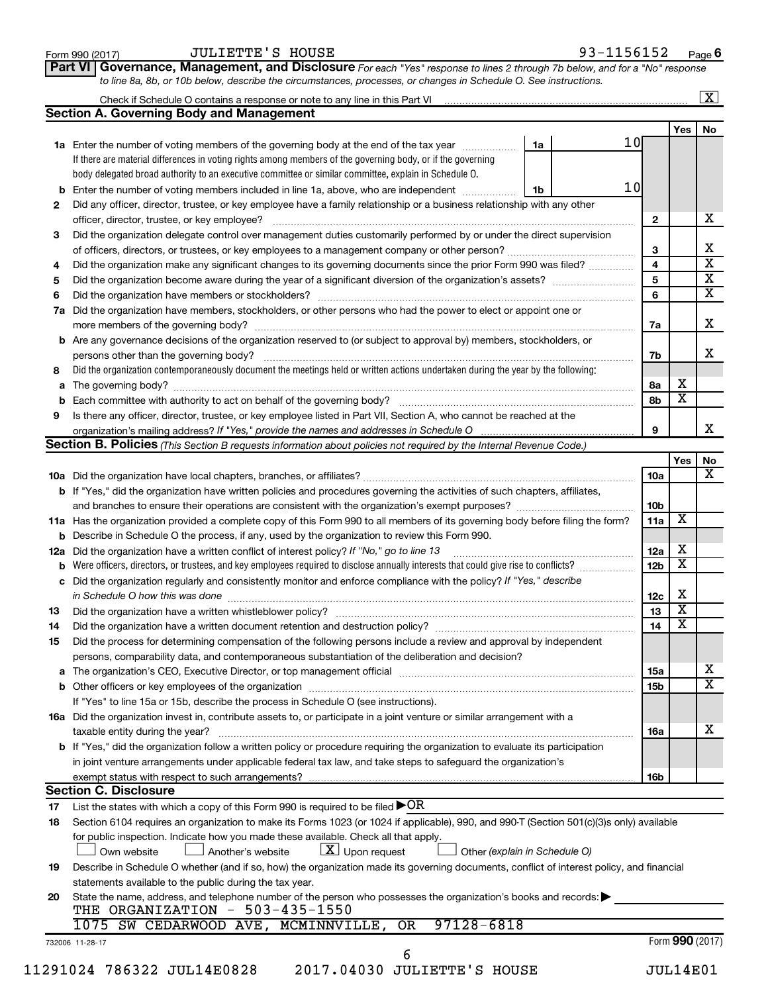|                 | Check if Schedule O contains a response or note to any line in this Part VI                                                                                                                                                    |    |  |                 |                         |                         | $\overline{\mathbf{X}}$ |  |
|-----------------|--------------------------------------------------------------------------------------------------------------------------------------------------------------------------------------------------------------------------------|----|--|-----------------|-------------------------|-------------------------|-------------------------|--|
|                 | <b>Section A. Governing Body and Management</b>                                                                                                                                                                                |    |  |                 |                         |                         |                         |  |
|                 |                                                                                                                                                                                                                                |    |  |                 |                         | <b>Yes</b>              | No                      |  |
|                 | 1a Enter the number of voting members of the governing body at the end of the tax year <i>manumum</i>                                                                                                                          | 1a |  | 10 <sup>1</sup> |                         |                         |                         |  |
|                 | If there are material differences in voting rights among members of the governing body, or if the governing                                                                                                                    |    |  |                 |                         |                         |                         |  |
|                 | body delegated broad authority to an executive committee or similar committee, explain in Schedule O.                                                                                                                          |    |  |                 |                         |                         |                         |  |
| b               | Enter the number of voting members included in line 1a, above, who are independent                                                                                                                                             | 1b |  | 10 <sub>l</sub> |                         |                         |                         |  |
| 2               | Did any officer, director, trustee, or key employee have a family relationship or a business relationship with any other                                                                                                       |    |  |                 |                         |                         |                         |  |
|                 | officer, director, trustee, or key employee?                                                                                                                                                                                   |    |  |                 | $\mathbf{2}$            |                         | x                       |  |
| 3               | Did the organization delegate control over management duties customarily performed by or under the direct supervision                                                                                                          |    |  |                 |                         |                         |                         |  |
|                 |                                                                                                                                                                                                                                |    |  |                 | 3                       |                         | X                       |  |
| 4               | Did the organization make any significant changes to its governing documents since the prior Form 990 was filed?                                                                                                               |    |  |                 | $\overline{\mathbf{4}}$ |                         | $\overline{\text{x}}$   |  |
| 5               |                                                                                                                                                                                                                                |    |  |                 | 5                       |                         | $\overline{\mathbf{x}}$ |  |
| 6               |                                                                                                                                                                                                                                |    |  |                 | 6                       |                         | $\overline{\mathbf{x}}$ |  |
| 7a              | Did the organization have members, stockholders, or other persons who had the power to elect or appoint one or                                                                                                                 |    |  |                 |                         |                         |                         |  |
|                 |                                                                                                                                                                                                                                |    |  |                 | 7a                      |                         | х                       |  |
|                 | b Are any governance decisions of the organization reserved to (or subject to approval by) members, stockholders, or                                                                                                           |    |  |                 |                         |                         |                         |  |
|                 | persons other than the governing body?                                                                                                                                                                                         |    |  |                 | 7b                      |                         | X                       |  |
| 8               | Did the organization contemporaneously document the meetings held or written actions undertaken during the year by the following:                                                                                              |    |  |                 |                         |                         |                         |  |
| а               |                                                                                                                                                                                                                                |    |  |                 | 8a                      | х                       |                         |  |
| b               |                                                                                                                                                                                                                                |    |  |                 | 8b                      | $\overline{\textbf{x}}$ |                         |  |
| 9               | Is there any officer, director, trustee, or key employee listed in Part VII, Section A, who cannot be reached at the                                                                                                           |    |  |                 |                         |                         |                         |  |
|                 | organization's mailing address? If "Yes," provide the names and addresses in Schedule O                                                                                                                                        |    |  |                 | 9                       |                         | x                       |  |
|                 | Section B. Policies (This Section B requests information about policies not required by the Internal Revenue Code.)                                                                                                            |    |  |                 |                         |                         |                         |  |
|                 |                                                                                                                                                                                                                                |    |  |                 |                         | Yes                     | No                      |  |
|                 |                                                                                                                                                                                                                                |    |  |                 | 10a                     |                         | х                       |  |
|                 | b If "Yes," did the organization have written policies and procedures governing the activities of such chapters, affiliates,                                                                                                   |    |  |                 |                         |                         |                         |  |
|                 |                                                                                                                                                                                                                                |    |  |                 | 10 <sub>b</sub>         |                         |                         |  |
|                 |                                                                                                                                                                                                                                |    |  |                 | 11a                     | X                       |                         |  |
|                 | 11a Has the organization provided a complete copy of this Form 990 to all members of its governing body before filing the form?                                                                                                |    |  |                 |                         |                         |                         |  |
|                 | <b>b</b> Describe in Schedule O the process, if any, used by the organization to review this Form 990.                                                                                                                         |    |  |                 |                         | х                       |                         |  |
| 12a             | Did the organization have a written conflict of interest policy? If "No," go to line 13                                                                                                                                        |    |  |                 | 12a                     | $\overline{\textbf{x}}$ |                         |  |
| b               | Were officers, directors, or trustees, and key employees required to disclose annually interests that could give rise to conflicts?                                                                                            |    |  |                 | 12 <sub>b</sub>         |                         |                         |  |
| c               | Did the organization regularly and consistently monitor and enforce compliance with the policy? If "Yes," describe                                                                                                             |    |  |                 |                         | X                       |                         |  |
|                 |                                                                                                                                                                                                                                |    |  |                 | 12c                     | $\overline{\mathbf{X}}$ |                         |  |
| 13              |                                                                                                                                                                                                                                |    |  |                 | 13                      | $\overline{\mathbf{X}}$ |                         |  |
| 14              | Did the organization have a written document retention and destruction policy? [11] manufaction manufaction in                                                                                                                 |    |  |                 | 14                      |                         |                         |  |
| 15              | Did the process for determining compensation of the following persons include a review and approval by independent                                                                                                             |    |  |                 |                         |                         |                         |  |
|                 | persons, comparability data, and contemporaneous substantiation of the deliberation and decision?                                                                                                                              |    |  |                 |                         |                         |                         |  |
|                 | a The organization's CEO, Executive Director, or top management official manufactured content content of the organization's CEO, Executive Director, or top management official manufactured content of the state of the state |    |  |                 | 15a                     |                         | х                       |  |
|                 |                                                                                                                                                                                                                                |    |  |                 | 15b                     |                         | $\overline{\texttt{x}}$ |  |
|                 | If "Yes" to line 15a or 15b, describe the process in Schedule O (see instructions).                                                                                                                                            |    |  |                 |                         |                         |                         |  |
|                 | 16a Did the organization invest in, contribute assets to, or participate in a joint venture or similar arrangement with a                                                                                                      |    |  |                 |                         |                         |                         |  |
|                 | taxable entity during the year?                                                                                                                                                                                                |    |  |                 | <b>16a</b>              |                         | x                       |  |
|                 | b If "Yes," did the organization follow a written policy or procedure requiring the organization to evaluate its participation                                                                                                 |    |  |                 |                         |                         |                         |  |
|                 | in joint venture arrangements under applicable federal tax law, and take steps to safeguard the organization's                                                                                                                 |    |  |                 |                         |                         |                         |  |
|                 | exempt status with respect to such arrangements?                                                                                                                                                                               |    |  |                 | 16b                     |                         |                         |  |
|                 | <b>Section C. Disclosure</b>                                                                                                                                                                                                   |    |  |                 |                         |                         |                         |  |
| 17              | List the states with which a copy of this Form 990 is required to be filed $\blacktriangleright$ OR                                                                                                                            |    |  |                 |                         |                         |                         |  |
| 18              | Section 6104 requires an organization to make its Forms 1023 (or 1024 if applicable), 990, and 990-T (Section 501(c)(3)s only) available                                                                                       |    |  |                 |                         |                         |                         |  |
|                 | for public inspection. Indicate how you made these available. Check all that apply.                                                                                                                                            |    |  |                 |                         |                         |                         |  |
|                 | $\lfloor \underline{X} \rfloor$ Upon request<br>Another's website<br>Own website<br>Other (explain in Schedule O)                                                                                                              |    |  |                 |                         |                         |                         |  |
| 19              | Describe in Schedule O whether (and if so, how) the organization made its governing documents, conflict of interest policy, and financial                                                                                      |    |  |                 |                         |                         |                         |  |
|                 | statements available to the public during the tax year.                                                                                                                                                                        |    |  |                 |                         |                         |                         |  |
| 20              | State the name, address, and telephone number of the person who possesses the organization's books and records:<br>THE ORGANIZATION - 503-435-1550                                                                             |    |  |                 |                         |                         |                         |  |
|                 | 97128-6818<br>1075 SW CEDARWOOD AVE, MCMINNVILLE, OR                                                                                                                                                                           |    |  |                 |                         |                         |                         |  |
|                 |                                                                                                                                                                                                                                |    |  |                 |                         | Form 990 (2017)         |                         |  |
|                 |                                                                                                                                                                                                                                |    |  |                 |                         |                         |                         |  |
| 732006 11-28-17 | 6                                                                                                                                                                                                                              |    |  |                 |                         |                         |                         |  |

**Part VI** Governance, Management, and Disclosure For each "Yes" response to lines 2 through 7b below, and for a "No" response

Form 990 (2017)  $JULIETTE'S HOUSE$   $100SE$  93-1156152  $Page$ 

**6**

*to line 8a, 8b, or 10b below, describe the circumstances, processes, or changes in Schedule O. See instructions.*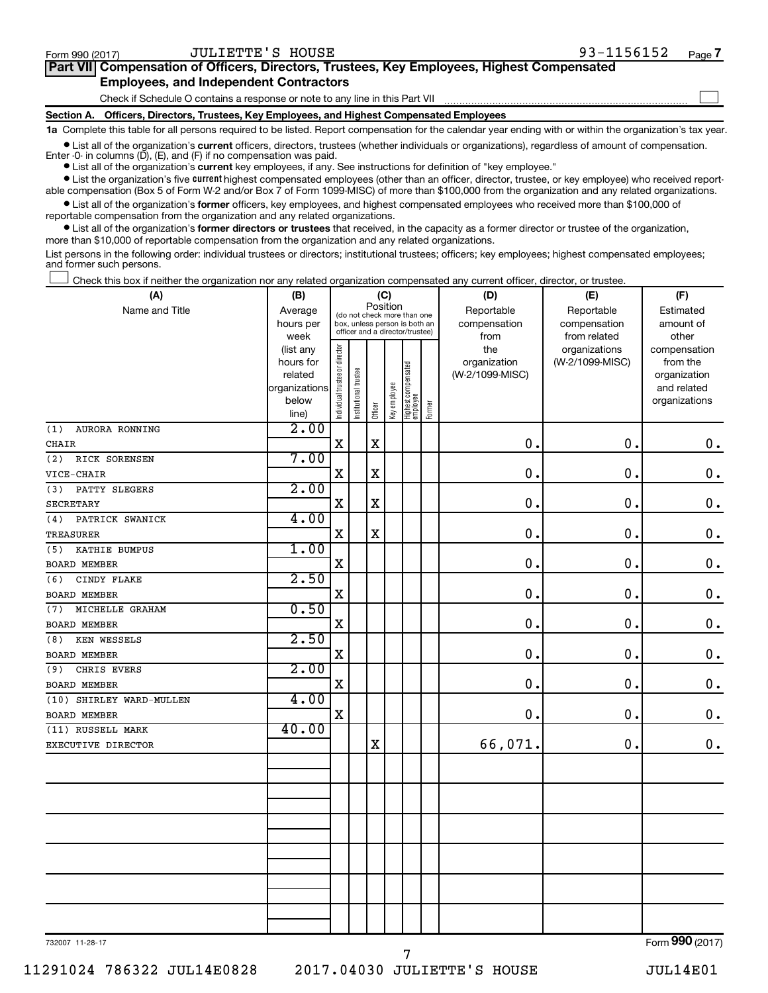$\Box$ 

| Part VII Compensation of Officers, Directors, Trustees, Key Employees, Highest Compensated |
|--------------------------------------------------------------------------------------------|
| <b>Employees, and Independent Contractors</b>                                              |

Check if Schedule O contains a response or note to any line in this Part VII

**Section A. Officers, Directors, Trustees, Key Employees, and Highest Compensated Employees**

**1a**  Complete this table for all persons required to be listed. Report compensation for the calendar year ending with or within the organization's tax year.

**•** List all of the organization's current officers, directors, trustees (whether individuals or organizations), regardless of amount of compensation. Enter -0- in columns  $(D)$ ,  $(E)$ , and  $(F)$  if no compensation was paid.

**•** List all of the organization's **current** key employees, if any. See instructions for definition of "key employee."

**•** List the organization's five current highest compensated employees (other than an officer, director, trustee, or key employee) who received reportable compensation (Box 5 of Form W-2 and/or Box 7 of Form 1099-MISC) of more than \$100,000 from the organization and any related organizations.

**•** List all of the organization's former officers, key employees, and highest compensated employees who received more than \$100,000 of reportable compensation from the organization and any related organizations.

**•** List all of the organization's former directors or trustees that received, in the capacity as a former director or trustee of the organization, more than \$10,000 of reportable compensation from the organization and any related organizations.

List persons in the following order: individual trustees or directors; institutional trustees; officers; key employees; highest compensated employees; and former such persons.

Check this box if neither the organization nor any related organization compensated any current officer, director, or trustee.  $\Box$ 

| (A)                       | (B)                  | (C)                                                                                                         |                       |             |              |                                 |        | (D)                             | (E)             | (F)                      |
|---------------------------|----------------------|-------------------------------------------------------------------------------------------------------------|-----------------------|-------------|--------------|---------------------------------|--------|---------------------------------|-----------------|--------------------------|
| Name and Title            | Average              | Position<br>(do not check more than one<br>box, unless person is both an<br>officer and a director/trustee) |                       |             |              |                                 |        | Reportable                      | Reportable      | Estimated                |
|                           | hours per            |                                                                                                             |                       |             |              |                                 |        | compensation                    | compensation    | amount of                |
|                           | week                 |                                                                                                             |                       |             | from         | from related                    | other  |                                 |                 |                          |
|                           | (list any            |                                                                                                             |                       |             |              |                                 |        | the                             | organizations   | compensation             |
|                           | hours for<br>related |                                                                                                             |                       |             |              |                                 |        | organization<br>(W-2/1099-MISC) | (W-2/1099-MISC) | from the<br>organization |
|                           | organizations        |                                                                                                             |                       |             |              |                                 |        |                                 |                 | and related              |
|                           | below                |                                                                                                             |                       |             |              |                                 |        |                                 |                 | organizations            |
|                           | line)                | Individual trustee or director                                                                              | Institutional trustee | Officer     | Key employee | Highest compensated<br>employee | Former |                                 |                 |                          |
| AURORA RONNING<br>(1)     | 2.00                 |                                                                                                             |                       |             |              |                                 |        |                                 |                 |                          |
| <b>CHAIR</b>              |                      | $\mathbf X$                                                                                                 |                       | $\mathbf X$ |              |                                 |        | $\mathbf 0$ .                   | 0.              | $\boldsymbol{0}$ .       |
| (2)<br>RICK SORENSEN      | 7.00                 |                                                                                                             |                       |             |              |                                 |        |                                 |                 |                          |
| VICE-CHAIR                |                      | $\mathbf X$                                                                                                 |                       | $\mathbf X$ |              |                                 |        | $\mathbf 0$ .                   | $\mathbf 0$ .   | $\mathbf 0$ .            |
| PATTY SLEGERS<br>(3)      | 2.00                 |                                                                                                             |                       |             |              |                                 |        |                                 |                 |                          |
| <b>SECRETARY</b>          |                      | $\mathbf X$                                                                                                 |                       | $\rm X$     |              |                                 |        | $\mathbf 0$ .                   | $\mathbf 0$ .   | $\mathbf 0$ .            |
| (4)<br>PATRICK SWANICK    | 4.00                 |                                                                                                             |                       |             |              |                                 |        |                                 |                 |                          |
| <b>TREASURER</b>          |                      | $\mathbf X$                                                                                                 |                       | $\mathbf X$ |              |                                 |        | 0.                              | 0.              | $\mathbf 0$ .            |
| KATHIE BUMPUS<br>(5)      | 1.00                 |                                                                                                             |                       |             |              |                                 |        |                                 |                 |                          |
| BOARD MEMBER              |                      | X                                                                                                           |                       |             |              |                                 |        | $\mathbf 0$ .                   | $\mathbf 0$ .   | $\boldsymbol{0}$ .       |
| CINDY FLAKE<br>(6)        | 2.50                 |                                                                                                             |                       |             |              |                                 |        |                                 |                 |                          |
| BOARD MEMBER              |                      | X                                                                                                           |                       |             |              |                                 |        | $\mathbf 0$ .                   | $\mathbf 0$ .   | $\mathbf 0$ .            |
| MICHELLE GRAHAM<br>(7)    | 0.50                 |                                                                                                             |                       |             |              |                                 |        |                                 |                 |                          |
| <b>BOARD MEMBER</b>       |                      | X                                                                                                           |                       |             |              |                                 |        | $\mathbf 0$ .                   | $\mathbf 0$     | $\mathbf 0$ .            |
| (8)<br><b>KEN WESSELS</b> | 2.50                 |                                                                                                             |                       |             |              |                                 |        |                                 |                 |                          |
| BOARD MEMBER              |                      | X                                                                                                           |                       |             |              |                                 |        | $\mathbf 0$ .                   | $\mathbf 0$ .   | $\mathbf 0$ .            |
| CHRIS EVERS<br>(9)        | 2.00                 |                                                                                                             |                       |             |              |                                 |        |                                 |                 |                          |
| BOARD MEMBER              |                      | X                                                                                                           |                       |             |              |                                 |        | $\mathbf 0$ .                   | 0.              | $\mathbf 0$ .            |
| (10) SHIRLEY WARD-MULLEN  | 4.00                 |                                                                                                             |                       |             |              |                                 |        |                                 |                 |                          |
| <b>BOARD MEMBER</b>       |                      | $\mathbf X$                                                                                                 |                       |             |              |                                 |        | 0.                              | $\mathbf 0$ .   | $\mathbf 0$ .            |
| (11) RUSSELL MARK         | 40.00                |                                                                                                             |                       |             |              |                                 |        |                                 |                 |                          |
| EXECUTIVE DIRECTOR        |                      |                                                                                                             |                       | X           |              |                                 |        | 66,071.                         | 0.              | $\mathbf 0$ .            |
|                           |                      |                                                                                                             |                       |             |              |                                 |        |                                 |                 |                          |
|                           |                      |                                                                                                             |                       |             |              |                                 |        |                                 |                 |                          |
|                           |                      |                                                                                                             |                       |             |              |                                 |        |                                 |                 |                          |
|                           |                      |                                                                                                             |                       |             |              |                                 |        |                                 |                 |                          |
|                           |                      |                                                                                                             |                       |             |              |                                 |        |                                 |                 |                          |
|                           |                      |                                                                                                             |                       |             |              |                                 |        |                                 |                 |                          |
|                           |                      |                                                                                                             |                       |             |              |                                 |        |                                 |                 |                          |
|                           |                      |                                                                                                             |                       |             |              |                                 |        |                                 |                 |                          |
|                           |                      |                                                                                                             |                       |             |              |                                 |        |                                 |                 |                          |
|                           |                      |                                                                                                             |                       |             |              |                                 |        |                                 |                 |                          |
|                           |                      |                                                                                                             |                       |             |              |                                 |        |                                 |                 |                          |
|                           |                      |                                                                                                             |                       |             |              |                                 |        |                                 |                 | $\overline{00}$          |

732007 11-28-17

7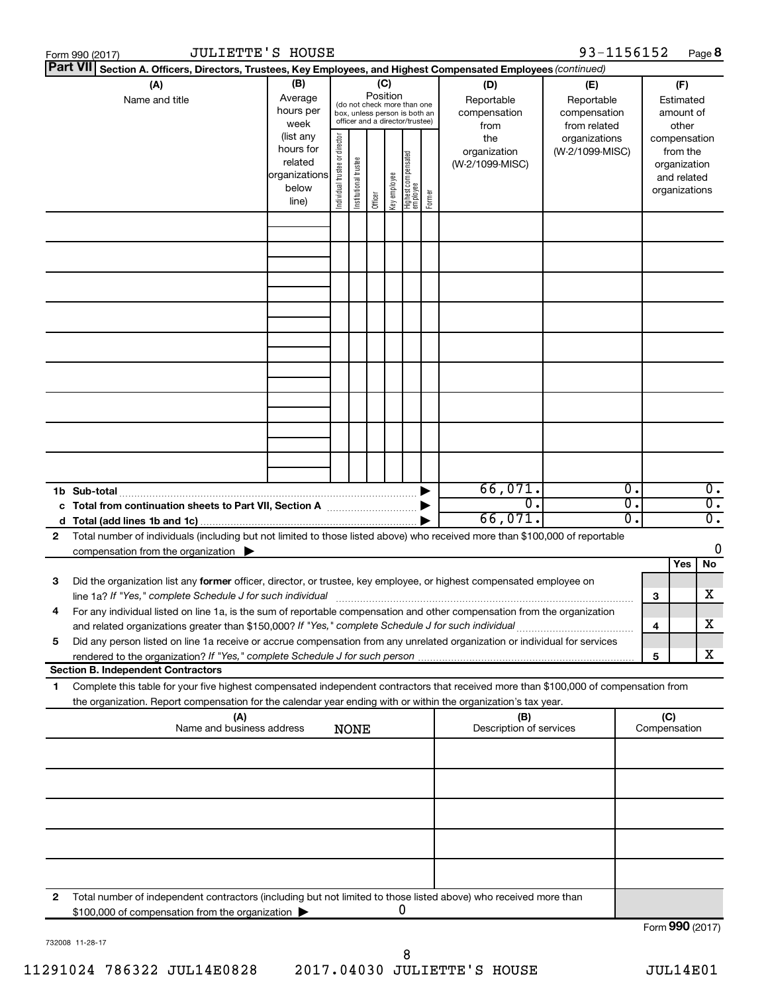|   | <b>JULIETTE'S HOUSE</b><br>Form 990 (2017)                                                                                                                                                                                                             |                                                         |                                |                       |                 |              |                                                                                                 |        |                                           | 93-1156152                                        |                                                 |                     |                                                                          | Page 8                               |
|---|--------------------------------------------------------------------------------------------------------------------------------------------------------------------------------------------------------------------------------------------------------|---------------------------------------------------------|--------------------------------|-----------------------|-----------------|--------------|-------------------------------------------------------------------------------------------------|--------|-------------------------------------------|---------------------------------------------------|-------------------------------------------------|---------------------|--------------------------------------------------------------------------|--------------------------------------|
|   | <b>Part VII</b><br>Section A. Officers, Directors, Trustees, Key Employees, and Highest Compensated Employees (continued)                                                                                                                              |                                                         |                                |                       |                 |              |                                                                                                 |        |                                           |                                                   |                                                 |                     |                                                                          |                                      |
|   | (A)<br>Name and title                                                                                                                                                                                                                                  | (B)<br>Average<br>hours per<br>week<br>(list any        |                                |                       | (C)<br>Position |              | (do not check more than one<br>box, unless person is both an<br>officer and a director/trustee) |        | (D)<br>Reportable<br>compensation<br>from | (E)<br>Reportable<br>compensation<br>from related |                                                 |                     | (F)<br>Estimated<br>amount of<br>other                                   |                                      |
|   |                                                                                                                                                                                                                                                        | hours for<br>related<br>organizations<br>below<br>line) | Individual trustee or director | Institutional trustee | Officer         | Key employee | Highest compensated<br>  employee                                                               | Former | the<br>organization<br>(W-2/1099-MISC)    | organizations<br>(W-2/1099-MISC)                  |                                                 |                     | compensation<br>from the<br>organization<br>and related<br>organizations |                                      |
|   |                                                                                                                                                                                                                                                        |                                                         |                                |                       |                 |              |                                                                                                 |        |                                           |                                                   |                                                 |                     |                                                                          |                                      |
|   |                                                                                                                                                                                                                                                        |                                                         |                                |                       |                 |              |                                                                                                 |        |                                           |                                                   |                                                 |                     |                                                                          |                                      |
|   |                                                                                                                                                                                                                                                        |                                                         |                                |                       |                 |              |                                                                                                 |        |                                           |                                                   |                                                 |                     |                                                                          |                                      |
|   |                                                                                                                                                                                                                                                        |                                                         |                                |                       |                 |              |                                                                                                 |        |                                           |                                                   |                                                 |                     |                                                                          |                                      |
|   |                                                                                                                                                                                                                                                        |                                                         |                                |                       |                 |              |                                                                                                 |        |                                           |                                                   |                                                 |                     |                                                                          |                                      |
|   |                                                                                                                                                                                                                                                        |                                                         |                                |                       |                 |              |                                                                                                 |        |                                           |                                                   |                                                 |                     |                                                                          |                                      |
|   |                                                                                                                                                                                                                                                        |                                                         |                                |                       |                 |              |                                                                                                 |        |                                           |                                                   |                                                 |                     |                                                                          |                                      |
|   | 1b Sub-total                                                                                                                                                                                                                                           |                                                         |                                |                       |                 |              |                                                                                                 |        | 66,071.                                   |                                                   | $\overline{0}$ .                                |                     |                                                                          | 0.                                   |
|   |                                                                                                                                                                                                                                                        |                                                         |                                |                       |                 |              |                                                                                                 |        | 0.<br>66,071.                             |                                                   | $\overline{\mathfrak{o}}$ .<br>$\overline{0}$ . |                     |                                                                          | $\overline{0}$ .<br>$\overline{0}$ . |
| 2 | Total number of individuals (including but not limited to those listed above) who received more than \$100,000 of reportable<br>compensation from the organization $\blacktriangleright$                                                               |                                                         |                                |                       |                 |              |                                                                                                 |        |                                           |                                                   |                                                 |                     |                                                                          | 0                                    |
|   |                                                                                                                                                                                                                                                        |                                                         |                                |                       |                 |              |                                                                                                 |        |                                           |                                                   |                                                 |                     | Yes                                                                      | No                                   |
| З | Did the organization list any former officer, director, or trustee, key employee, or highest compensated employee on<br>line 1a? If "Yes," complete Schedule J for such individual                                                                     |                                                         |                                |                       |                 |              |                                                                                                 |        |                                           |                                                   |                                                 | 3                   |                                                                          | x                                    |
| 4 | For any individual listed on line 1a, is the sum of reportable compensation and other compensation from the organization                                                                                                                               |                                                         |                                |                       |                 |              |                                                                                                 |        |                                           |                                                   |                                                 | 4                   |                                                                          | x                                    |
| 5 | Did any person listed on line 1a receive or accrue compensation from any unrelated organization or individual for services                                                                                                                             |                                                         |                                |                       |                 |              |                                                                                                 |        |                                           |                                                   |                                                 | 5                   |                                                                          | x                                    |
|   | <b>Section B. Independent Contractors</b>                                                                                                                                                                                                              |                                                         |                                |                       |                 |              |                                                                                                 |        |                                           |                                                   |                                                 |                     |                                                                          |                                      |
| 1 | Complete this table for your five highest compensated independent contractors that received more than \$100,000 of compensation from<br>the organization. Report compensation for the calendar year ending with or within the organization's tax year. |                                                         |                                |                       |                 |              |                                                                                                 |        |                                           |                                                   |                                                 |                     |                                                                          |                                      |
|   | (A)<br>(B)<br>Name and business address<br>Description of services<br><b>NONE</b>                                                                                                                                                                      |                                                         |                                |                       |                 |              |                                                                                                 |        |                                           |                                                   |                                                 | (C)<br>Compensation |                                                                          |                                      |
|   |                                                                                                                                                                                                                                                        |                                                         |                                |                       |                 |              |                                                                                                 |        |                                           |                                                   |                                                 |                     |                                                                          |                                      |
|   |                                                                                                                                                                                                                                                        |                                                         |                                |                       |                 |              |                                                                                                 |        |                                           |                                                   |                                                 |                     |                                                                          |                                      |
|   |                                                                                                                                                                                                                                                        |                                                         |                                |                       |                 |              |                                                                                                 |        |                                           |                                                   |                                                 |                     |                                                                          |                                      |
|   |                                                                                                                                                                                                                                                        |                                                         |                                |                       |                 |              |                                                                                                 |        |                                           |                                                   |                                                 |                     |                                                                          |                                      |
| 2 | Total number of independent contractors (including but not limited to those listed above) who received more than<br>\$100,000 of compensation from the organization                                                                                    |                                                         |                                |                       |                 | U            |                                                                                                 |        |                                           |                                                   |                                                 |                     |                                                                          |                                      |
|   |                                                                                                                                                                                                                                                        |                                                         |                                |                       |                 |              |                                                                                                 |        |                                           |                                                   |                                                 |                     |                                                                          | Form 990 (2017)                      |

732008 11-28-17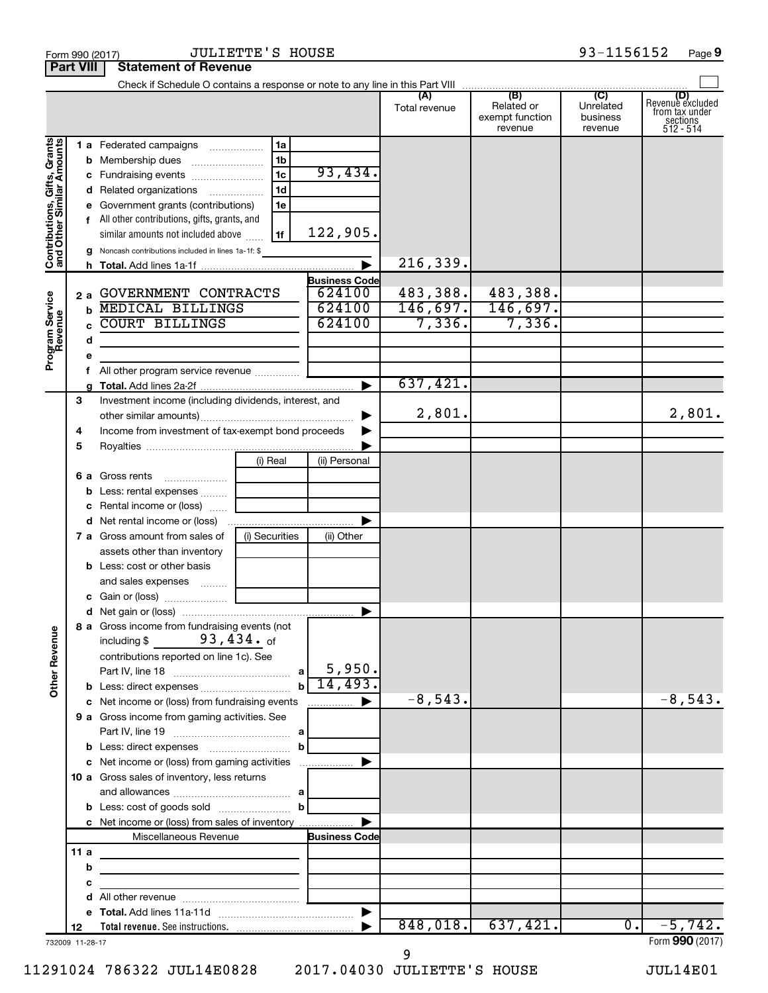|                                                           | <b>Part VIII</b> | <b>Statement of Revenue</b>                                                               |                                                             |                                |               |                                          |                                  |                                                                    |
|-----------------------------------------------------------|------------------|-------------------------------------------------------------------------------------------|-------------------------------------------------------------|--------------------------------|---------------|------------------------------------------|----------------------------------|--------------------------------------------------------------------|
|                                                           |                  |                                                                                           |                                                             |                                |               |                                          |                                  |                                                                    |
|                                                           |                  |                                                                                           |                                                             |                                | Total revenue | Related or<br>exempt function<br>revenue | Unrelated<br>business<br>revenue | (D)<br>Revenue excluded<br>trom tax under<br>sections<br>512 - 514 |
| Contributions, Gifts, Grants<br>and Other Similar Amounts |                  | 1 a Federated campaigns                                                                   | 1a                                                          |                                |               |                                          |                                  |                                                                    |
|                                                           | b                | Membership dues                                                                           | 1 <sub>b</sub>                                              |                                |               |                                          |                                  |                                                                    |
|                                                           |                  | c Fundraising events                                                                      | 1 <sub>c</sub>                                              | 93,434.                        |               |                                          |                                  |                                                                    |
|                                                           | d                | Related organizations                                                                     | 1 <sub>d</sub>                                              |                                |               |                                          |                                  |                                                                    |
|                                                           |                  | Government grants (contributions)                                                         | 1e                                                          |                                |               |                                          |                                  |                                                                    |
|                                                           |                  | f All other contributions, gifts, grants, and                                             |                                                             |                                |               |                                          |                                  |                                                                    |
|                                                           |                  | similar amounts not included above                                                        | 1f                                                          | 122,905.                       |               |                                          |                                  |                                                                    |
|                                                           |                  | Noncash contributions included in lines 1a-1f: \$                                         |                                                             |                                |               |                                          |                                  |                                                                    |
|                                                           |                  |                                                                                           |                                                             |                                | 216,339.      |                                          |                                  |                                                                    |
|                                                           |                  | GOVERNMENT CONTRACTS                                                                      |                                                             | <b>Business Code</b><br>624100 | 483,388.      | 483,388.                                 |                                  |                                                                    |
| Program Service<br>Revenue                                | 2 a              | <b>MEDICAL BILLINGS</b>                                                                   |                                                             | 624100                         | 146,697.      | 146,697.                                 |                                  |                                                                    |
|                                                           | b                | <b>COURT BILLINGS</b>                                                                     |                                                             | 624100                         | 7,336.        | 7,336.                                   |                                  |                                                                    |
|                                                           | C                |                                                                                           |                                                             |                                |               |                                          |                                  |                                                                    |
|                                                           | d                |                                                                                           |                                                             |                                |               |                                          |                                  |                                                                    |
|                                                           | е<br>f           |                                                                                           |                                                             |                                |               |                                          |                                  |                                                                    |
|                                                           |                  |                                                                                           |                                                             |                                | 637,421.      |                                          |                                  |                                                                    |
|                                                           | З                | Investment income (including dividends, interest, and                                     |                                                             |                                |               |                                          |                                  |                                                                    |
|                                                           |                  |                                                                                           |                                                             |                                | 2,801.        |                                          |                                  | 2,801.                                                             |
|                                                           | 4                | Income from investment of tax-exempt bond proceeds                                        |                                                             |                                |               |                                          |                                  |                                                                    |
|                                                           | 5                |                                                                                           |                                                             |                                |               |                                          |                                  |                                                                    |
|                                                           |                  |                                                                                           | (i) Real                                                    | (ii) Personal                  |               |                                          |                                  |                                                                    |
|                                                           |                  | <b>6 a</b> Gross rents                                                                    |                                                             |                                |               |                                          |                                  |                                                                    |
|                                                           | b                | Less: rental expenses                                                                     |                                                             |                                |               |                                          |                                  |                                                                    |
|                                                           | с                | Rental income or (loss)                                                                   |                                                             |                                |               |                                          |                                  |                                                                    |
|                                                           | d                |                                                                                           |                                                             |                                |               |                                          |                                  |                                                                    |
|                                                           |                  | 7 a Gross amount from sales of                                                            | (i) Securities                                              | (ii) Other                     |               |                                          |                                  |                                                                    |
|                                                           |                  | assets other than inventory                                                               |                                                             |                                |               |                                          |                                  |                                                                    |
|                                                           |                  | <b>b</b> Less: cost or other basis                                                        |                                                             |                                |               |                                          |                                  |                                                                    |
|                                                           |                  | and sales expenses                                                                        |                                                             |                                |               |                                          |                                  |                                                                    |
|                                                           |                  |                                                                                           |                                                             |                                |               |                                          |                                  |                                                                    |
|                                                           |                  | 8 a Gross income from fundraising events (not                                             |                                                             |                                |               |                                          |                                  |                                                                    |
| <b>Other Revenue</b>                                      |                  | including \$<br>contributions reported on line 1c). See                                   | 93,434. of                                                  | 5,950.                         |               |                                          |                                  |                                                                    |
|                                                           |                  |                                                                                           | $\mathbf{b}$                                                | 14,493.                        |               |                                          |                                  |                                                                    |
|                                                           |                  | c Net income or (loss) from fundraising events                                            |                                                             | .                              | $-8,543.$     |                                          |                                  | $-8,543.$                                                          |
|                                                           |                  | 9 a Gross income from gaming activities. See                                              |                                                             |                                |               |                                          |                                  |                                                                    |
|                                                           |                  |                                                                                           |                                                             |                                |               |                                          |                                  |                                                                    |
|                                                           |                  |                                                                                           | $\mathbf{b}$                                                |                                |               |                                          |                                  |                                                                    |
|                                                           |                  | 10 a Gross sales of inventory, less returns                                               |                                                             |                                |               |                                          |                                  |                                                                    |
|                                                           |                  | and allowances $\ldots$ , $\ldots$ , $\ldots$ , $\ldots$ , $\ldots$ , $\ldots$ , $\ldots$ |                                                             |                                |               |                                          |                                  |                                                                    |
|                                                           |                  |                                                                                           | $\mathbf{b}$                                                |                                |               |                                          |                                  |                                                                    |
|                                                           |                  | c Net income or (loss) from sales of inventory                                            |                                                             |                                |               |                                          |                                  |                                                                    |
|                                                           |                  | Miscellaneous Revenue                                                                     |                                                             | <b>Business Code</b>           |               |                                          |                                  |                                                                    |
|                                                           | 11a              | the control of the control of the control of the control of the control of                |                                                             |                                |               |                                          |                                  |                                                                    |
|                                                           | b                |                                                                                           |                                                             |                                |               |                                          |                                  |                                                                    |
|                                                           | с                |                                                                                           | the control of the control of the control of the control of |                                |               |                                          |                                  |                                                                    |
|                                                           | d                |                                                                                           |                                                             |                                |               |                                          |                                  |                                                                    |
|                                                           | е                |                                                                                           |                                                             |                                |               |                                          |                                  |                                                                    |
|                                                           | 12               |                                                                                           |                                                             |                                | 848,018.      | 637,421.                                 | 0.                               | $-5,742.$<br>Form 990 (2017)                                       |

9

Form 990 (2017) Page JULIETTE'S HOUSE 93-1156152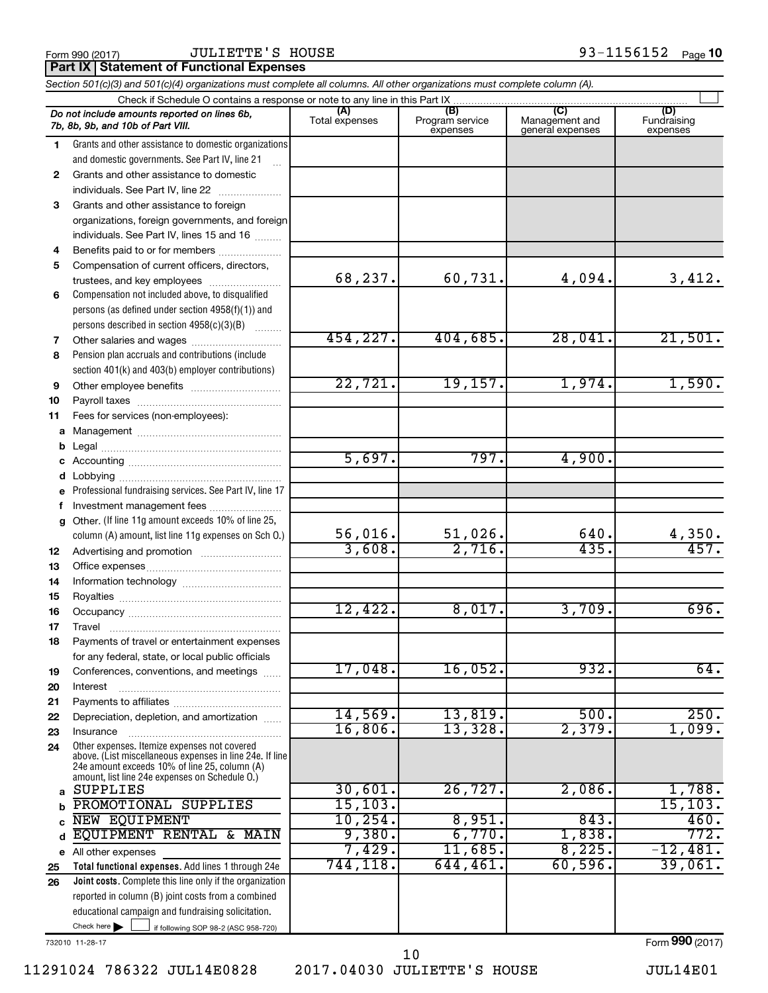Form 990 (2017)  $JULIENTE'S$   $HOUSE$   $93-1156152$   $Page$ 

**Part IX Statement of Functional Expenses** 

*Section 501(c)(3) and 501(c)(4) organizations must complete all columns. All other organizations must complete column (A).*

|              | Check if Schedule O contains a response or note to any line in this Part IX                                                                                                                                 |                       |                                    |                                                      |                                |  |  |  |  |  |  |
|--------------|-------------------------------------------------------------------------------------------------------------------------------------------------------------------------------------------------------------|-----------------------|------------------------------------|------------------------------------------------------|--------------------------------|--|--|--|--|--|--|
|              | Do not include amounts reported on lines 6b,<br>7b, 8b, 9b, and 10b of Part VIII.                                                                                                                           | (A)<br>Total expenses | (B)<br>Program service<br>expenses | $\overline{C}$<br>Management and<br>general expenses | (D)<br>Fundraising<br>expenses |  |  |  |  |  |  |
| 1            | Grants and other assistance to domestic organizations                                                                                                                                                       |                       |                                    |                                                      |                                |  |  |  |  |  |  |
|              | and domestic governments. See Part IV, line 21                                                                                                                                                              |                       |                                    |                                                      |                                |  |  |  |  |  |  |
| $\mathbf{2}$ | Grants and other assistance to domestic                                                                                                                                                                     |                       |                                    |                                                      |                                |  |  |  |  |  |  |
|              | individuals. See Part IV, line 22                                                                                                                                                                           |                       |                                    |                                                      |                                |  |  |  |  |  |  |
| 3            | Grants and other assistance to foreign                                                                                                                                                                      |                       |                                    |                                                      |                                |  |  |  |  |  |  |
|              | organizations, foreign governments, and foreign                                                                                                                                                             |                       |                                    |                                                      |                                |  |  |  |  |  |  |
|              | individuals. See Part IV, lines 15 and 16                                                                                                                                                                   |                       |                                    |                                                      |                                |  |  |  |  |  |  |
| 4            | Benefits paid to or for members                                                                                                                                                                             |                       |                                    |                                                      |                                |  |  |  |  |  |  |
| 5            | Compensation of current officers, directors,                                                                                                                                                                |                       |                                    |                                                      |                                |  |  |  |  |  |  |
|              | trustees, and key employees                                                                                                                                                                                 | 68,237.               | 60,731.                            | 4,094.                                               | 3,412.                         |  |  |  |  |  |  |
| 6            | Compensation not included above, to disqualified                                                                                                                                                            |                       |                                    |                                                      |                                |  |  |  |  |  |  |
|              | persons (as defined under section 4958(f)(1)) and                                                                                                                                                           |                       |                                    |                                                      |                                |  |  |  |  |  |  |
|              | persons described in section 4958(c)(3)(B)                                                                                                                                                                  |                       |                                    |                                                      |                                |  |  |  |  |  |  |
| 7            | Other salaries and wages                                                                                                                                                                                    | 454, 227.             | 404,685.                           | 28,041.                                              | 21,501.                        |  |  |  |  |  |  |
| 8            | Pension plan accruals and contributions (include                                                                                                                                                            |                       |                                    |                                                      |                                |  |  |  |  |  |  |
|              | section 401(k) and 403(b) employer contributions)                                                                                                                                                           |                       |                                    |                                                      |                                |  |  |  |  |  |  |
| 9            |                                                                                                                                                                                                             | 22,721.               | 19, 157.                           | 1,974.                                               | 1,590.                         |  |  |  |  |  |  |
| 10           |                                                                                                                                                                                                             |                       |                                    |                                                      |                                |  |  |  |  |  |  |
| 11           | Fees for services (non-employees):                                                                                                                                                                          |                       |                                    |                                                      |                                |  |  |  |  |  |  |
| а            |                                                                                                                                                                                                             |                       |                                    |                                                      |                                |  |  |  |  |  |  |
| b            |                                                                                                                                                                                                             | 5,697.                | 797.                               | 4,900.                                               |                                |  |  |  |  |  |  |
| с            |                                                                                                                                                                                                             |                       |                                    |                                                      |                                |  |  |  |  |  |  |
| d            | Professional fundraising services. See Part IV, line 17                                                                                                                                                     |                       |                                    |                                                      |                                |  |  |  |  |  |  |
| е<br>f       | Investment management fees                                                                                                                                                                                  |                       |                                    |                                                      |                                |  |  |  |  |  |  |
| g            | Other. (If line 11g amount exceeds 10% of line 25,                                                                                                                                                          |                       |                                    |                                                      |                                |  |  |  |  |  |  |
|              | column (A) amount, list line 11g expenses on Sch O.)                                                                                                                                                        | 56,016.               | $51,026$ .                         | 640.                                                 | 4,350.                         |  |  |  |  |  |  |
| 12           |                                                                                                                                                                                                             | 3,608.                | 2,716.                             | 435.                                                 | 457.                           |  |  |  |  |  |  |
| 13           |                                                                                                                                                                                                             |                       |                                    |                                                      |                                |  |  |  |  |  |  |
| 14           |                                                                                                                                                                                                             |                       |                                    |                                                      |                                |  |  |  |  |  |  |
| 15           |                                                                                                                                                                                                             |                       |                                    |                                                      |                                |  |  |  |  |  |  |
| 16           |                                                                                                                                                                                                             | 12,422.               | 8,017.                             | 3,709.                                               | 696.                           |  |  |  |  |  |  |
| 17           | Travel                                                                                                                                                                                                      |                       |                                    |                                                      |                                |  |  |  |  |  |  |
| 18           | Payments of travel or entertainment expenses                                                                                                                                                                |                       |                                    |                                                      |                                |  |  |  |  |  |  |
|              | for any federal, state, or local public officials                                                                                                                                                           |                       |                                    |                                                      |                                |  |  |  |  |  |  |
| 19           | Conferences, conventions, and meetings                                                                                                                                                                      | 17,048.               | 16,052.                            | 932.                                                 | 64.                            |  |  |  |  |  |  |
| 20           | Interest                                                                                                                                                                                                    |                       |                                    |                                                      |                                |  |  |  |  |  |  |
| 21           |                                                                                                                                                                                                             |                       |                                    |                                                      |                                |  |  |  |  |  |  |
| 22           | Depreciation, depletion, and amortization                                                                                                                                                                   | 14,569.               | 13,819.                            | 500.                                                 | 250.                           |  |  |  |  |  |  |
| 23           | Insurance                                                                                                                                                                                                   | 16,806.               | 13,328.                            | 2,379.                                               | 1,099.                         |  |  |  |  |  |  |
| 24           | Other expenses. Itemize expenses not covered<br>above. (List miscellaneous expenses in line 24e. If line<br>24e amount exceeds 10% of line 25, column (A)<br>amount, list line 24e expenses on Schedule O.) |                       |                                    |                                                      |                                |  |  |  |  |  |  |
| a            | <b>SUPPLIES</b>                                                                                                                                                                                             | 30,601.               | 26,727.                            | 2,086.                                               | 1,788.                         |  |  |  |  |  |  |
| b            | PROMOTIONAL SUPPLIES                                                                                                                                                                                        | 15, 103.              |                                    |                                                      | 15, 103.                       |  |  |  |  |  |  |
|              | NEW EQUIPMENT                                                                                                                                                                                               | 10,254.               | 8,951.                             | 843.                                                 | 460.                           |  |  |  |  |  |  |
| d            | EQUIPMENT RENTAL & MAIN                                                                                                                                                                                     | 9,380.                | 6,770.                             | 1,838.                                               | 772.                           |  |  |  |  |  |  |
|              | e All other expenses                                                                                                                                                                                        | 7,429.                | 11,685.                            | 8,225.                                               | $-12,481.$                     |  |  |  |  |  |  |
| 25           | Total functional expenses. Add lines 1 through 24e                                                                                                                                                          | 744,118.              | 644,461.                           | 60,596.                                              | 39,061.                        |  |  |  |  |  |  |
| 26           | Joint costs. Complete this line only if the organization                                                                                                                                                    |                       |                                    |                                                      |                                |  |  |  |  |  |  |
|              | reported in column (B) joint costs from a combined                                                                                                                                                          |                       |                                    |                                                      |                                |  |  |  |  |  |  |
|              | educational campaign and fundraising solicitation.                                                                                                                                                          |                       |                                    |                                                      |                                |  |  |  |  |  |  |
|              | Check here<br>if following SOP 98-2 (ASC 958-720)                                                                                                                                                           |                       |                                    |                                                      |                                |  |  |  |  |  |  |

732010 11-28-17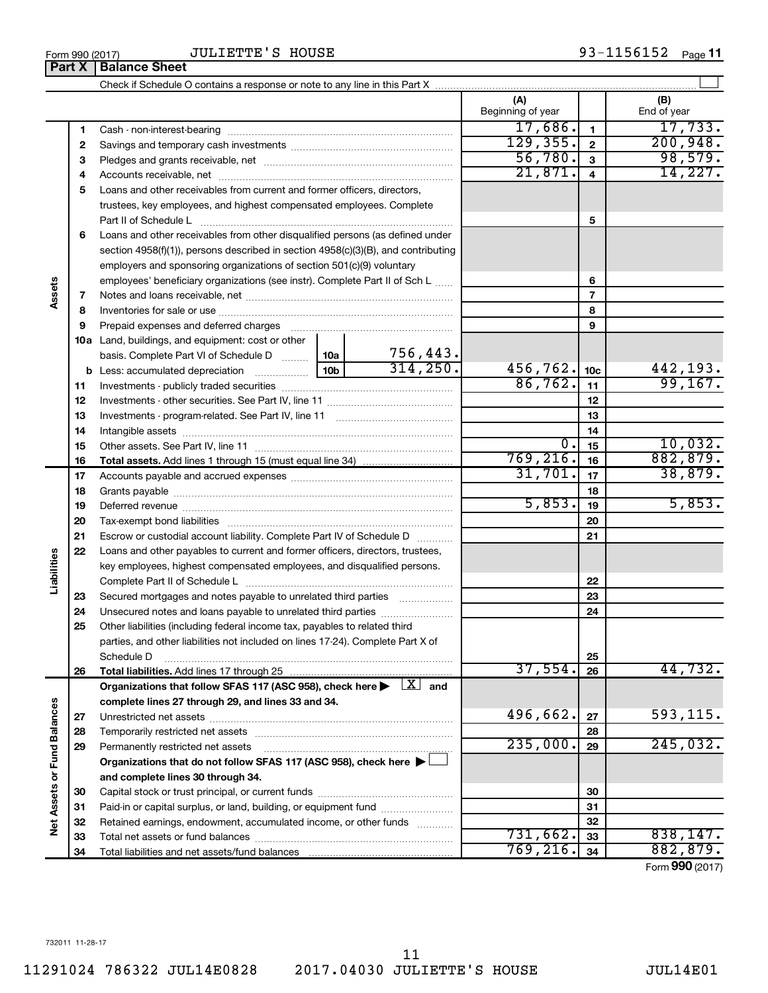Form 990 (2017)  $JULIENTE'S$   $HOUSE$   $93-1156152$   $Page$ 

93-1156152 Page 11

|                             |    |                                                                                                                                                                                                                               |  |           | (A)<br>Beginning of year |                          | (B)<br>End of year |
|-----------------------------|----|-------------------------------------------------------------------------------------------------------------------------------------------------------------------------------------------------------------------------------|--|-----------|--------------------------|--------------------------|--------------------|
|                             | 1  |                                                                                                                                                                                                                               |  |           | 17,686.                  | $\mathbf{1}$             | 17,733.            |
|                             | 2  |                                                                                                                                                                                                                               |  |           | 129, 355.                | $\mathbf{2}$             | 200,948.           |
|                             | 3  |                                                                                                                                                                                                                               |  |           | 56,780.                  | 3                        | 98,579.            |
|                             | 4  |                                                                                                                                                                                                                               |  |           | 21,871.                  | $\overline{4}$           | 14,227.            |
|                             | 5  | Loans and other receivables from current and former officers, directors,                                                                                                                                                      |  |           |                          |                          |                    |
|                             |    | trustees, key employees, and highest compensated employees. Complete                                                                                                                                                          |  |           |                          |                          |                    |
|                             |    | Part II of Schedule L                                                                                                                                                                                                         |  |           |                          | 5                        |                    |
|                             | 6  | Loans and other receivables from other disqualified persons (as defined under                                                                                                                                                 |  |           |                          |                          |                    |
|                             |    | section 4958(f)(1)), persons described in section 4958(c)(3)(B), and contributing                                                                                                                                             |  |           |                          |                          |                    |
|                             |    | employers and sponsoring organizations of section 501(c)(9) voluntary                                                                                                                                                         |  |           |                          |                          |                    |
|                             |    | employees' beneficiary organizations (see instr). Complete Part II of Sch L                                                                                                                                                   |  |           |                          | 6                        |                    |
| Assets                      | 7  |                                                                                                                                                                                                                               |  |           |                          | $\overline{\phantom{a}}$ |                    |
|                             | 8  |                                                                                                                                                                                                                               |  |           |                          | 8                        |                    |
|                             | 9  | Prepaid expenses and deferred charges [11] [11] Prepaid expenses and deferred charges [11] [11] Martin Marian Marian Marian Marian Marian Marian Marian Marian Marian Marian Marian Marian Marian Marian Marian Marian Marian |  |           |                          | 9                        |                    |
|                             |    | 10a Land, buildings, and equipment: cost or other                                                                                                                                                                             |  |           |                          |                          |                    |
|                             |    | basis. Complete Part VI of Schedule D  10a                                                                                                                                                                                    |  | 756,443.  |                          |                          |                    |
|                             |    |                                                                                                                                                                                                                               |  | 314, 250. | 456,762.                 | 10 <sub>c</sub>          | 442,193.           |
|                             | 11 |                                                                                                                                                                                                                               |  |           | 86,762.                  | 11                       | 99,167.            |
|                             | 12 |                                                                                                                                                                                                                               |  |           |                          | 12                       |                    |
|                             | 13 |                                                                                                                                                                                                                               |  |           |                          | 13                       |                    |
|                             | 14 |                                                                                                                                                                                                                               |  |           |                          | 14                       |                    |
|                             | 15 |                                                                                                                                                                                                                               |  |           | σ.                       | 15                       | 10,032.            |
|                             | 16 |                                                                                                                                                                                                                               |  |           | 769, 216.                | 16                       | 882, 879.          |
|                             | 17 |                                                                                                                                                                                                                               |  |           | 31,701.                  | 17                       | 38,879.            |
|                             | 18 |                                                                                                                                                                                                                               |  |           |                          | 18                       |                    |
|                             | 19 |                                                                                                                                                                                                                               |  | 5,853.    | 19                       | 5,853.                   |                    |
|                             | 20 |                                                                                                                                                                                                                               |  |           |                          | 20                       |                    |
|                             | 21 | Escrow or custodial account liability. Complete Part IV of Schedule D                                                                                                                                                         |  |           |                          | 21                       |                    |
|                             | 22 | Loans and other payables to current and former officers, directors, trustees,                                                                                                                                                 |  |           |                          |                          |                    |
| Liabilities                 |    | key employees, highest compensated employees, and disqualified persons.                                                                                                                                                       |  |           |                          |                          |                    |
|                             |    |                                                                                                                                                                                                                               |  |           |                          | 22                       |                    |
|                             | 23 | Secured mortgages and notes payable to unrelated third parties                                                                                                                                                                |  |           |                          | 23                       |                    |
|                             | 24 | Unsecured notes and loans payable to unrelated third parties                                                                                                                                                                  |  |           |                          | 24                       |                    |
|                             | 25 | Other liabilities (including federal income tax, payables to related third                                                                                                                                                    |  |           |                          |                          |                    |
|                             |    | parties, and other liabilities not included on lines 17-24). Complete Part X of                                                                                                                                               |  |           |                          |                          |                    |
|                             |    | Schedule D                                                                                                                                                                                                                    |  |           |                          | 25                       |                    |
|                             | 26 |                                                                                                                                                                                                                               |  |           | 37,554.                  | 26                       | 44,732.            |
|                             |    | Organizations that follow SFAS 117 (ASC 958), check here $\blacktriangleright \begin{array}{c} \boxed{X} \\ \end{array}$ and                                                                                                  |  |           |                          |                          |                    |
|                             |    | complete lines 27 through 29, and lines 33 and 34.                                                                                                                                                                            |  |           |                          |                          |                    |
|                             | 27 |                                                                                                                                                                                                                               |  |           | 496,662.                 | 27                       | 593,115.           |
|                             | 28 |                                                                                                                                                                                                                               |  |           |                          | 28                       |                    |
|                             | 29 | Permanently restricted net assets                                                                                                                                                                                             |  |           | 235,000.                 | 29                       | 245,032.           |
|                             |    | Organizations that do not follow SFAS 117 (ASC 958), check here $\blacktriangleright$                                                                                                                                         |  |           |                          |                          |                    |
| Net Assets or Fund Balances |    | and complete lines 30 through 34.                                                                                                                                                                                             |  |           |                          |                          |                    |
|                             | 30 |                                                                                                                                                                                                                               |  |           |                          | 30                       |                    |
|                             | 31 | Paid-in or capital surplus, or land, building, or equipment fund                                                                                                                                                              |  |           |                          | 31                       |                    |
|                             | 32 | Retained earnings, endowment, accumulated income, or other funds                                                                                                                                                              |  |           |                          | 32                       |                    |
|                             | 33 |                                                                                                                                                                                                                               |  |           | 731,662.                 | 33                       | 838,147.           |
|                             | 34 |                                                                                                                                                                                                                               |  |           | 769, 216.                | 34                       | 882,879.           |
|                             |    |                                                                                                                                                                                                                               |  |           |                          |                          | Form 990 (2017)    |

**Part X Balance Sheet**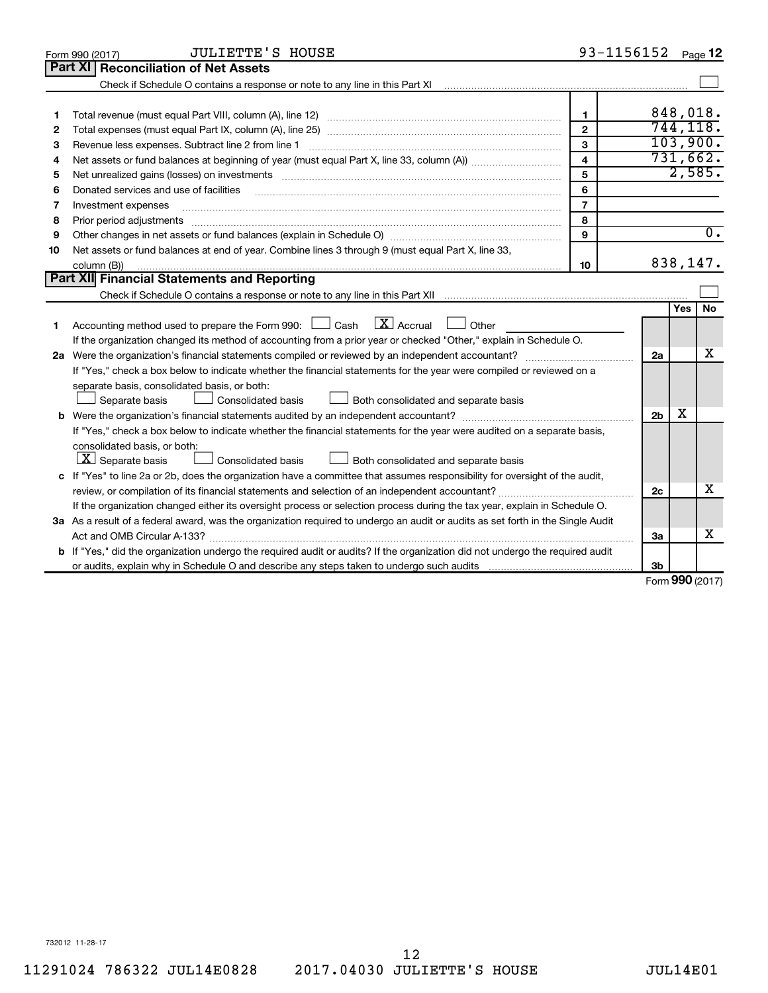|    | <b>JULIETTE'S HOUSE</b><br>Form 990 (2017)                                                                                                                                                                                                                                                                                                                                                                                                                               | 93-1156152     |                |                     | Page 12          |  |  |
|----|--------------------------------------------------------------------------------------------------------------------------------------------------------------------------------------------------------------------------------------------------------------------------------------------------------------------------------------------------------------------------------------------------------------------------------------------------------------------------|----------------|----------------|---------------------|------------------|--|--|
|    | Part XI<br><b>Reconciliation of Net Assets</b>                                                                                                                                                                                                                                                                                                                                                                                                                           |                |                |                     |                  |  |  |
|    | Check if Schedule O contains a response or note to any line in this Part XI [11] [12] Check if Schedule O contains a response or note to any line in this Part XI                                                                                                                                                                                                                                                                                                        |                |                |                     |                  |  |  |
|    |                                                                                                                                                                                                                                                                                                                                                                                                                                                                          |                |                |                     |                  |  |  |
| 1  |                                                                                                                                                                                                                                                                                                                                                                                                                                                                          | 1              |                |                     | 848,018.         |  |  |
| 2  |                                                                                                                                                                                                                                                                                                                                                                                                                                                                          | $\mathbf{2}$   |                |                     | 744, 118.        |  |  |
| 3  | Revenue less expenses. Subtract line 2 from line 1                                                                                                                                                                                                                                                                                                                                                                                                                       | 3              |                |                     | 103,900.         |  |  |
| 4  |                                                                                                                                                                                                                                                                                                                                                                                                                                                                          | 4              |                |                     | 731,662.         |  |  |
| 5  |                                                                                                                                                                                                                                                                                                                                                                                                                                                                          | 5              |                |                     | 2,585.           |  |  |
| 6  | Donated services and use of facilities                                                                                                                                                                                                                                                                                                                                                                                                                                   | 6              |                |                     |                  |  |  |
| 7  | Investment expenses                                                                                                                                                                                                                                                                                                                                                                                                                                                      | $\overline{7}$ |                |                     |                  |  |  |
| 8  | Prior period adjustments<br>$\begin{minipage}{0.5\textwidth} \begin{tabular}{ l l l } \hline \multicolumn{1}{ l l l } \hline \multicolumn{1}{ l l } \hline \multicolumn{1}{ l } \multicolumn{1}{ l } \hline \multicolumn{1}{ l } \multicolumn{1}{ l } \multicolumn{1}{ l } \multicolumn{1}{ l } \hline \multicolumn{1}{ l } \multicolumn{1}{ l } \multicolumn{1}{ l } \multicolumn{1}{ l } \hline \multicolumn{1}{ l } \multicolumn{1}{ l } \multicolumn{1}{ l } \hline$ | 8              |                |                     |                  |  |  |
| 9  |                                                                                                                                                                                                                                                                                                                                                                                                                                                                          | 9              |                |                     | $\overline{0}$ . |  |  |
| 10 | Net assets or fund balances at end of year. Combine lines 3 through 9 (must equal Part X, line 33,                                                                                                                                                                                                                                                                                                                                                                       |                |                |                     |                  |  |  |
|    | column (B))                                                                                                                                                                                                                                                                                                                                                                                                                                                              | 10             |                |                     | 838,147.         |  |  |
|    | Part XII Financial Statements and Reporting                                                                                                                                                                                                                                                                                                                                                                                                                              |                |                |                     |                  |  |  |
|    |                                                                                                                                                                                                                                                                                                                                                                                                                                                                          |                |                |                     |                  |  |  |
|    |                                                                                                                                                                                                                                                                                                                                                                                                                                                                          |                |                | Yes                 | No               |  |  |
| 1  | $\lfloor x \rfloor$ Accrual<br>Accounting method used to prepare the Form 990: $\Box$ Cash<br>Other                                                                                                                                                                                                                                                                                                                                                                      |                |                |                     |                  |  |  |
|    | If the organization changed its method of accounting from a prior year or checked "Other," explain in Schedule O.                                                                                                                                                                                                                                                                                                                                                        |                |                |                     |                  |  |  |
|    |                                                                                                                                                                                                                                                                                                                                                                                                                                                                          |                | 2a             |                     | x                |  |  |
|    | If "Yes," check a box below to indicate whether the financial statements for the year were compiled or reviewed on a                                                                                                                                                                                                                                                                                                                                                     |                |                |                     |                  |  |  |
|    | separate basis, consolidated basis, or both:                                                                                                                                                                                                                                                                                                                                                                                                                             |                |                |                     |                  |  |  |
|    | Both consolidated and separate basis<br>Separate basis<br>Consolidated basis                                                                                                                                                                                                                                                                                                                                                                                             |                |                |                     |                  |  |  |
|    |                                                                                                                                                                                                                                                                                                                                                                                                                                                                          |                | 2 <sub>b</sub> | x                   |                  |  |  |
|    | If "Yes," check a box below to indicate whether the financial statements for the year were audited on a separate basis,                                                                                                                                                                                                                                                                                                                                                  |                |                |                     |                  |  |  |
|    | consolidated basis, or both:                                                                                                                                                                                                                                                                                                                                                                                                                                             |                |                |                     |                  |  |  |
|    | $ \mathbf{X} $ Separate basis<br>Consolidated basis<br>Both consolidated and separate basis                                                                                                                                                                                                                                                                                                                                                                              |                |                |                     |                  |  |  |
|    | c If "Yes" to line 2a or 2b, does the organization have a committee that assumes responsibility for oversight of the audit,                                                                                                                                                                                                                                                                                                                                              |                |                |                     |                  |  |  |
|    |                                                                                                                                                                                                                                                                                                                                                                                                                                                                          |                | 2c             |                     | х                |  |  |
|    | If the organization changed either its oversight process or selection process during the tax year, explain in Schedule O.                                                                                                                                                                                                                                                                                                                                                |                |                |                     |                  |  |  |
|    | 3a As a result of a federal award, was the organization required to undergo an audit or audits as set forth in the Single Audit                                                                                                                                                                                                                                                                                                                                          |                |                |                     |                  |  |  |
|    |                                                                                                                                                                                                                                                                                                                                                                                                                                                                          |                | За             |                     | x                |  |  |
|    | <b>b</b> If "Yes," did the organization undergo the required audit or audits? If the organization did not undergo the required audit                                                                                                                                                                                                                                                                                                                                     |                |                |                     |                  |  |  |
|    |                                                                                                                                                                                                                                                                                                                                                                                                                                                                          |                | Зb             | $000 \, \text{GeV}$ |                  |  |  |
|    |                                                                                                                                                                                                                                                                                                                                                                                                                                                                          |                |                |                     |                  |  |  |

Form (2017) **990**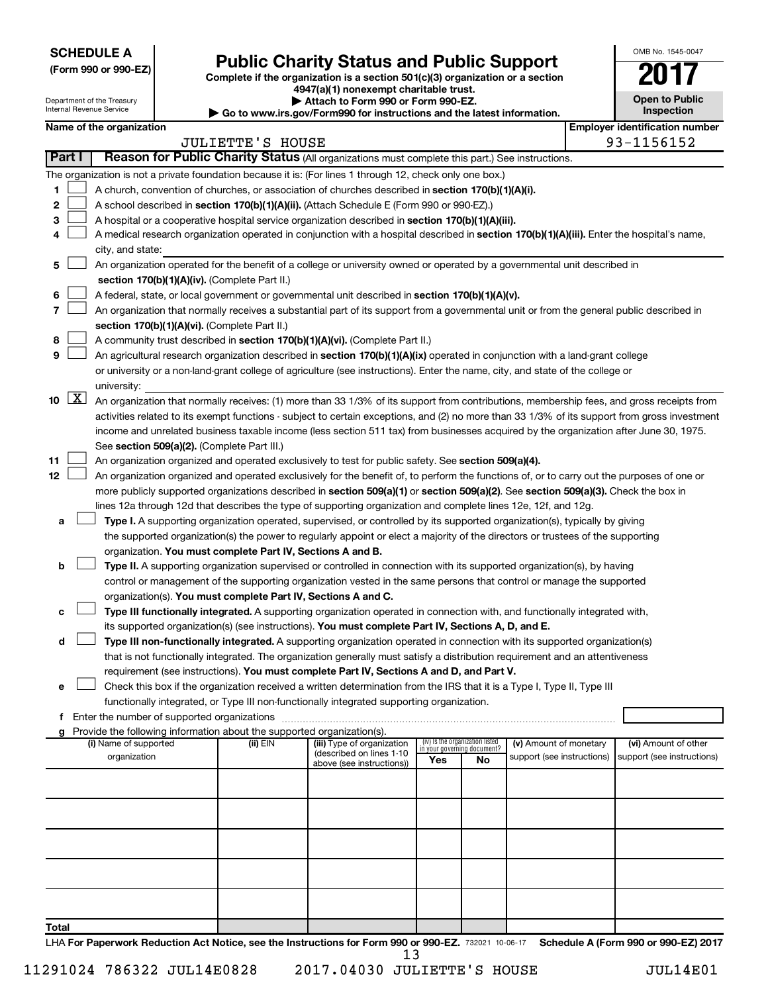| <b>SCHEDULE A</b> |  |
|-------------------|--|
|-------------------|--|

Department of the Treasury

|  |  | (Form 990 or 990-EZ) |  |
|--|--|----------------------|--|
|  |  |                      |  |

## Form 990 or 990-EZ)<br>
Complete if the organization is a section 501(c)(3) organization or a section<br> **Public Charity Status and Public Support**

**4947(a)(1) nonexempt charitable trust. | Attach to Form 990 or Form 990-EZ.** 

|   | <b>Open to Public</b><br>Inspection |
|---|-------------------------------------|
| r | identification numi                 |

OMB No. 1545-0047

| nternal Revenue Service<br>Go to www.irs.gov/Form990 for instructions and the latest information. |                       |                                                                                                                                           |                                             |                                                                        |                                                                                                                                                                                                                                  |                                                                | Inspection |                            |  |                                       |  |
|---------------------------------------------------------------------------------------------------|-----------------------|-------------------------------------------------------------------------------------------------------------------------------------------|---------------------------------------------|------------------------------------------------------------------------|----------------------------------------------------------------------------------------------------------------------------------------------------------------------------------------------------------------------------------|----------------------------------------------------------------|------------|----------------------------|--|---------------------------------------|--|
|                                                                                                   |                       | Name of the organization                                                                                                                  |                                             |                                                                        |                                                                                                                                                                                                                                  |                                                                |            |                            |  | <b>Employer identification number</b> |  |
|                                                                                                   |                       |                                                                                                                                           |                                             | JULIETTE'S HOUSE                                                       |                                                                                                                                                                                                                                  |                                                                |            |                            |  | 93-1156152                            |  |
| Part I                                                                                            |                       |                                                                                                                                           |                                             |                                                                        | Reason for Public Charity Status (All organizations must complete this part.) See instructions.                                                                                                                                  |                                                                |            |                            |  |                                       |  |
|                                                                                                   |                       |                                                                                                                                           |                                             |                                                                        | The organization is not a private foundation because it is: (For lines 1 through 12, check only one box.)                                                                                                                        |                                                                |            |                            |  |                                       |  |
| 1                                                                                                 |                       |                                                                                                                                           |                                             |                                                                        | A church, convention of churches, or association of churches described in section 170(b)(1)(A)(i).                                                                                                                               |                                                                |            |                            |  |                                       |  |
| 2                                                                                                 |                       |                                                                                                                                           |                                             |                                                                        | A school described in section 170(b)(1)(A)(ii). (Attach Schedule E (Form 990 or 990-EZ).)                                                                                                                                        |                                                                |            |                            |  |                                       |  |
| З                                                                                                 |                       |                                                                                                                                           |                                             |                                                                        | A hospital or a cooperative hospital service organization described in section 170(b)(1)(A)(iii).                                                                                                                                |                                                                |            |                            |  |                                       |  |
| 4                                                                                                 |                       |                                                                                                                                           |                                             |                                                                        | A medical research organization operated in conjunction with a hospital described in section 170(b)(1)(A)(iii). Enter the hospital's name,                                                                                       |                                                                |            |                            |  |                                       |  |
|                                                                                                   |                       | city, and state:                                                                                                                          |                                             |                                                                        |                                                                                                                                                                                                                                  |                                                                |            |                            |  |                                       |  |
| 5                                                                                                 |                       |                                                                                                                                           |                                             |                                                                        | An organization operated for the benefit of a college or university owned or operated by a governmental unit described in                                                                                                        |                                                                |            |                            |  |                                       |  |
|                                                                                                   |                       |                                                                                                                                           |                                             | section 170(b)(1)(A)(iv). (Complete Part II.)                          |                                                                                                                                                                                                                                  |                                                                |            |                            |  |                                       |  |
| 6                                                                                                 |                       |                                                                                                                                           |                                             |                                                                        | A federal, state, or local government or governmental unit described in section 170(b)(1)(A)(v).                                                                                                                                 |                                                                |            |                            |  |                                       |  |
|                                                                                                   |                       | An organization that normally receives a substantial part of its support from a governmental unit or from the general public described in |                                             |                                                                        |                                                                                                                                                                                                                                  |                                                                |            |                            |  |                                       |  |
|                                                                                                   |                       |                                                                                                                                           |                                             | section 170(b)(1)(A)(vi). (Complete Part II.)                          |                                                                                                                                                                                                                                  |                                                                |            |                            |  |                                       |  |
| 8                                                                                                 |                       |                                                                                                                                           |                                             |                                                                        | A community trust described in section 170(b)(1)(A)(vi). (Complete Part II.)                                                                                                                                                     |                                                                |            |                            |  |                                       |  |
| 9                                                                                                 |                       |                                                                                                                                           |                                             |                                                                        | An agricultural research organization described in section 170(b)(1)(A)(ix) operated in conjunction with a land-grant college                                                                                                    |                                                                |            |                            |  |                                       |  |
|                                                                                                   |                       |                                                                                                                                           |                                             |                                                                        | or university or a non-land-grant college of agriculture (see instructions). Enter the name, city, and state of the college or                                                                                                   |                                                                |            |                            |  |                                       |  |
|                                                                                                   |                       | university:                                                                                                                               |                                             |                                                                        |                                                                                                                                                                                                                                  |                                                                |            |                            |  |                                       |  |
|                                                                                                   | 10 $\boxed{\text{X}}$ |                                                                                                                                           |                                             |                                                                        | An organization that normally receives: (1) more than 33 1/3% of its support from contributions, membership fees, and gross receipts from                                                                                        |                                                                |            |                            |  |                                       |  |
|                                                                                                   |                       |                                                                                                                                           |                                             |                                                                        | activities related to its exempt functions - subject to certain exceptions, and (2) no more than 33 1/3% of its support from gross investment                                                                                    |                                                                |            |                            |  |                                       |  |
|                                                                                                   |                       |                                                                                                                                           |                                             |                                                                        | income and unrelated business taxable income (less section 511 tax) from businesses acquired by the organization after June 30, 1975.                                                                                            |                                                                |            |                            |  |                                       |  |
|                                                                                                   |                       |                                                                                                                                           |                                             | See section 509(a)(2). (Complete Part III.)                            |                                                                                                                                                                                                                                  |                                                                |            |                            |  |                                       |  |
| 11                                                                                                |                       |                                                                                                                                           |                                             |                                                                        | An organization organized and operated exclusively to test for public safety. See section 509(a)(4).                                                                                                                             |                                                                |            |                            |  |                                       |  |
| 12                                                                                                |                       |                                                                                                                                           |                                             |                                                                        | An organization organized and operated exclusively for the benefit of, to perform the functions of, or to carry out the purposes of one or                                                                                       |                                                                |            |                            |  |                                       |  |
|                                                                                                   |                       |                                                                                                                                           |                                             |                                                                        | more publicly supported organizations described in section 509(a)(1) or section 509(a)(2). See section 509(a)(3). Check the box in                                                                                               |                                                                |            |                            |  |                                       |  |
|                                                                                                   |                       |                                                                                                                                           |                                             |                                                                        | lines 12a through 12d that describes the type of supporting organization and complete lines 12e, 12f, and 12g.                                                                                                                   |                                                                |            |                            |  |                                       |  |
| а                                                                                                 |                       |                                                                                                                                           |                                             |                                                                        | Type I. A supporting organization operated, supervised, or controlled by its supported organization(s), typically by giving                                                                                                      |                                                                |            |                            |  |                                       |  |
|                                                                                                   |                       |                                                                                                                                           |                                             |                                                                        | the supported organization(s) the power to regularly appoint or elect a majority of the directors or trustees of the supporting                                                                                                  |                                                                |            |                            |  |                                       |  |
|                                                                                                   |                       |                                                                                                                                           |                                             | organization. You must complete Part IV, Sections A and B.             |                                                                                                                                                                                                                                  |                                                                |            |                            |  |                                       |  |
| b                                                                                                 |                       |                                                                                                                                           |                                             |                                                                        | Type II. A supporting organization supervised or controlled in connection with its supported organization(s), by having                                                                                                          |                                                                |            |                            |  |                                       |  |
|                                                                                                   |                       |                                                                                                                                           |                                             |                                                                        | control or management of the supporting organization vested in the same persons that control or manage the supported                                                                                                             |                                                                |            |                            |  |                                       |  |
|                                                                                                   |                       |                                                                                                                                           |                                             | organization(s). You must complete Part IV, Sections A and C.          |                                                                                                                                                                                                                                  |                                                                |            |                            |  |                                       |  |
| с                                                                                                 |                       |                                                                                                                                           |                                             |                                                                        | Type III functionally integrated. A supporting organization operated in connection with, and functionally integrated with,<br>its supported organization(s) (see instructions). You must complete Part IV, Sections A, D, and E. |                                                                |            |                            |  |                                       |  |
| d                                                                                                 |                       |                                                                                                                                           |                                             |                                                                        | Type III non-functionally integrated. A supporting organization operated in connection with its supported organization(s)                                                                                                        |                                                                |            |                            |  |                                       |  |
|                                                                                                   |                       |                                                                                                                                           |                                             |                                                                        | that is not functionally integrated. The organization generally must satisfy a distribution requirement and an attentiveness                                                                                                     |                                                                |            |                            |  |                                       |  |
|                                                                                                   |                       |                                                                                                                                           |                                             |                                                                        | requirement (see instructions). You must complete Part IV, Sections A and D, and Part V.                                                                                                                                         |                                                                |            |                            |  |                                       |  |
| е                                                                                                 |                       |                                                                                                                                           |                                             |                                                                        | Check this box if the organization received a written determination from the IRS that it is a Type I, Type II, Type III                                                                                                          |                                                                |            |                            |  |                                       |  |
|                                                                                                   |                       |                                                                                                                                           |                                             |                                                                        | functionally integrated, or Type III non-functionally integrated supporting organization.                                                                                                                                        |                                                                |            |                            |  |                                       |  |
| f                                                                                                 |                       |                                                                                                                                           | Enter the number of supported organizations |                                                                        |                                                                                                                                                                                                                                  |                                                                |            |                            |  |                                       |  |
|                                                                                                   |                       |                                                                                                                                           |                                             | Provide the following information about the supported organization(s). |                                                                                                                                                                                                                                  |                                                                |            |                            |  |                                       |  |
|                                                                                                   |                       | (i) Name of supported                                                                                                                     |                                             | (ii) EIN                                                               | (iii) Type of organization                                                                                                                                                                                                       | (iv) Is the organization listed<br>in your governing document? |            | (v) Amount of monetary     |  | (vi) Amount of other                  |  |
|                                                                                                   |                       | organization                                                                                                                              |                                             |                                                                        | (described on lines 1-10<br>above (see instructions))                                                                                                                                                                            | Yes                                                            | No         | support (see instructions) |  | support (see instructions)            |  |
|                                                                                                   |                       |                                                                                                                                           |                                             |                                                                        |                                                                                                                                                                                                                                  |                                                                |            |                            |  |                                       |  |
|                                                                                                   |                       |                                                                                                                                           |                                             |                                                                        |                                                                                                                                                                                                                                  |                                                                |            |                            |  |                                       |  |
|                                                                                                   |                       |                                                                                                                                           |                                             |                                                                        |                                                                                                                                                                                                                                  |                                                                |            |                            |  |                                       |  |
|                                                                                                   |                       |                                                                                                                                           |                                             |                                                                        |                                                                                                                                                                                                                                  |                                                                |            |                            |  |                                       |  |
|                                                                                                   |                       |                                                                                                                                           |                                             |                                                                        |                                                                                                                                                                                                                                  |                                                                |            |                            |  |                                       |  |
|                                                                                                   |                       |                                                                                                                                           |                                             |                                                                        |                                                                                                                                                                                                                                  |                                                                |            |                            |  |                                       |  |
|                                                                                                   |                       |                                                                                                                                           |                                             |                                                                        |                                                                                                                                                                                                                                  |                                                                |            |                            |  |                                       |  |
|                                                                                                   |                       |                                                                                                                                           |                                             |                                                                        |                                                                                                                                                                                                                                  |                                                                |            |                            |  |                                       |  |
|                                                                                                   |                       |                                                                                                                                           |                                             |                                                                        |                                                                                                                                                                                                                                  |                                                                |            |                            |  |                                       |  |
|                                                                                                   |                       |                                                                                                                                           |                                             |                                                                        |                                                                                                                                                                                                                                  |                                                                |            |                            |  |                                       |  |
| Total                                                                                             |                       |                                                                                                                                           |                                             |                                                                        |                                                                                                                                                                                                                                  |                                                                |            |                            |  |                                       |  |

LHA For Paperwork Reduction Act Notice, see the Instructions for Form 990 or 990-EZ. 732021 10-06-17 Schedule A (Form 990 or 990-EZ) 2017 13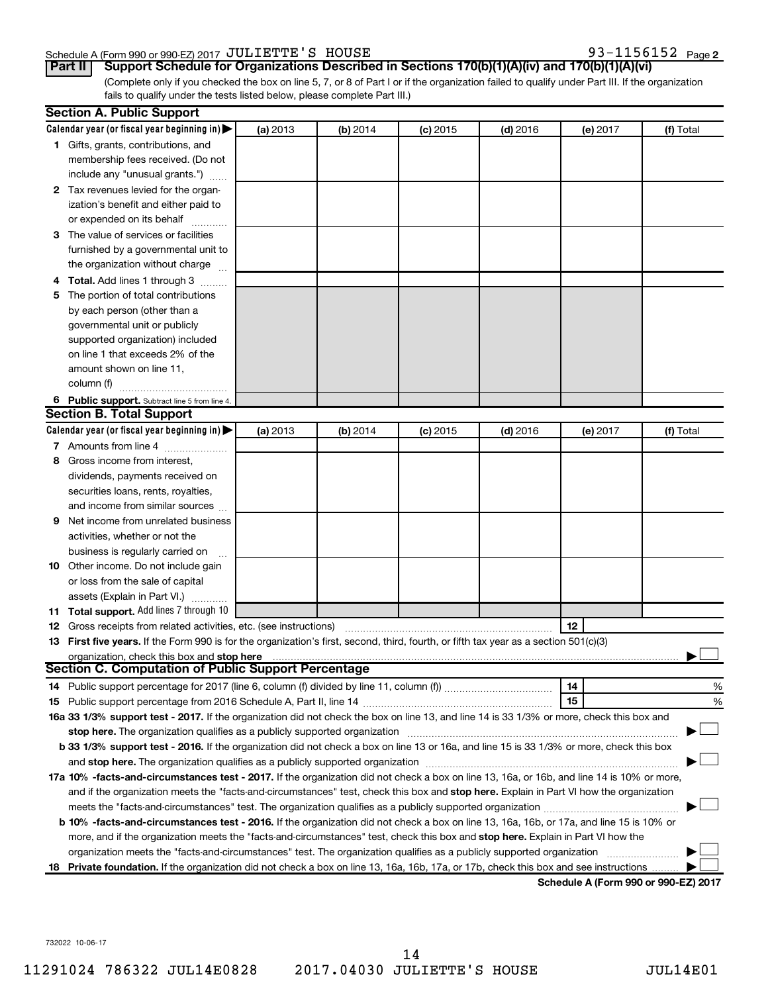#### Schedule A (Form 990 or 990-EZ) 2017  $JULIETTE'S$   $HOUSE$   $93-1156152$   $Page$

93-1156152 Page 2

**Part II Support Schedule for Organizations Described in Sections 170(b)(1)(A)(iv) and 170(b)(1)(A)(vi)**

(Complete only if you checked the box on line 5, 7, or 8 of Part I or if the organization failed to qualify under Part III. If the organization fails to qualify under the tests listed below, please complete Part III.)

| Calendar year (or fiscal year beginning in)<br>(a) 2013<br>(b) 2014<br>$(c)$ 2015<br>$(d)$ 2016<br>(e) 2017<br>(f) Total<br>1 Gifts, grants, contributions, and<br>membership fees received. (Do not<br>include any "unusual grants.")<br>2 Tax revenues levied for the organ-<br>ization's benefit and either paid to<br>or expended on its behalf<br>3 The value of services or facilities<br>furnished by a governmental unit to<br>the organization without charge<br>4 Total. Add lines 1 through 3<br>5 The portion of total contributions<br>by each person (other than a<br>governmental unit or publicly<br>supported organization) included<br>on line 1 that exceeds 2% of the<br>amount shown on line 11,<br>column (f)<br>6 Public support. Subtract line 5 from line 4.<br><b>Section B. Total Support</b><br>Calendar year (or fiscal year beginning in)<br>(a) 2013<br>(b) 2014<br>$(c)$ 2015<br>$(d)$ 2016<br>(e) 2017<br>(f) Total<br>7 Amounts from line 4<br>8 Gross income from interest,<br>dividends, payments received on<br>securities loans, rents, royalties,<br>and income from similar sources<br>Net income from unrelated business<br>9<br>activities, whether or not the<br>business is regularly carried on<br>10 Other income. Do not include gain<br>or loss from the sale of capital<br>assets (Explain in Part VI.)<br>11 Total support. Add lines 7 through 10<br>12<br><b>12</b> Gross receipts from related activities, etc. (see instructions)<br>13 First five years. If the Form 990 is for the organization's first, second, third, fourth, or fifth tax year as a section 501(c)(3)<br>organization, check this box and stop here<br><b>Section C. Computation of Public Support Percentage</b><br>14<br>15<br>16a 33 1/3% support test - 2017. If the organization did not check the box on line 13, and line 14 is 33 1/3% or more, check this box and | <b>Section A. Public Support</b> |  |  |   |
|-------------------------------------------------------------------------------------------------------------------------------------------------------------------------------------------------------------------------------------------------------------------------------------------------------------------------------------------------------------------------------------------------------------------------------------------------------------------------------------------------------------------------------------------------------------------------------------------------------------------------------------------------------------------------------------------------------------------------------------------------------------------------------------------------------------------------------------------------------------------------------------------------------------------------------------------------------------------------------------------------------------------------------------------------------------------------------------------------------------------------------------------------------------------------------------------------------------------------------------------------------------------------------------------------------------------------------------------------------------------------------------------------------------------------------------------------------------------------------------------------------------------------------------------------------------------------------------------------------------------------------------------------------------------------------------------------------------------------------------------------------------------------------------------------------------------------------------------------------------------------------------------------------|----------------------------------|--|--|---|
|                                                                                                                                                                                                                                                                                                                                                                                                                                                                                                                                                                                                                                                                                                                                                                                                                                                                                                                                                                                                                                                                                                                                                                                                                                                                                                                                                                                                                                                                                                                                                                                                                                                                                                                                                                                                                                                                                                       |                                  |  |  |   |
|                                                                                                                                                                                                                                                                                                                                                                                                                                                                                                                                                                                                                                                                                                                                                                                                                                                                                                                                                                                                                                                                                                                                                                                                                                                                                                                                                                                                                                                                                                                                                                                                                                                                                                                                                                                                                                                                                                       |                                  |  |  |   |
|                                                                                                                                                                                                                                                                                                                                                                                                                                                                                                                                                                                                                                                                                                                                                                                                                                                                                                                                                                                                                                                                                                                                                                                                                                                                                                                                                                                                                                                                                                                                                                                                                                                                                                                                                                                                                                                                                                       |                                  |  |  |   |
|                                                                                                                                                                                                                                                                                                                                                                                                                                                                                                                                                                                                                                                                                                                                                                                                                                                                                                                                                                                                                                                                                                                                                                                                                                                                                                                                                                                                                                                                                                                                                                                                                                                                                                                                                                                                                                                                                                       |                                  |  |  |   |
|                                                                                                                                                                                                                                                                                                                                                                                                                                                                                                                                                                                                                                                                                                                                                                                                                                                                                                                                                                                                                                                                                                                                                                                                                                                                                                                                                                                                                                                                                                                                                                                                                                                                                                                                                                                                                                                                                                       |                                  |  |  |   |
|                                                                                                                                                                                                                                                                                                                                                                                                                                                                                                                                                                                                                                                                                                                                                                                                                                                                                                                                                                                                                                                                                                                                                                                                                                                                                                                                                                                                                                                                                                                                                                                                                                                                                                                                                                                                                                                                                                       |                                  |  |  |   |
|                                                                                                                                                                                                                                                                                                                                                                                                                                                                                                                                                                                                                                                                                                                                                                                                                                                                                                                                                                                                                                                                                                                                                                                                                                                                                                                                                                                                                                                                                                                                                                                                                                                                                                                                                                                                                                                                                                       |                                  |  |  |   |
|                                                                                                                                                                                                                                                                                                                                                                                                                                                                                                                                                                                                                                                                                                                                                                                                                                                                                                                                                                                                                                                                                                                                                                                                                                                                                                                                                                                                                                                                                                                                                                                                                                                                                                                                                                                                                                                                                                       |                                  |  |  |   |
|                                                                                                                                                                                                                                                                                                                                                                                                                                                                                                                                                                                                                                                                                                                                                                                                                                                                                                                                                                                                                                                                                                                                                                                                                                                                                                                                                                                                                                                                                                                                                                                                                                                                                                                                                                                                                                                                                                       |                                  |  |  |   |
|                                                                                                                                                                                                                                                                                                                                                                                                                                                                                                                                                                                                                                                                                                                                                                                                                                                                                                                                                                                                                                                                                                                                                                                                                                                                                                                                                                                                                                                                                                                                                                                                                                                                                                                                                                                                                                                                                                       |                                  |  |  |   |
|                                                                                                                                                                                                                                                                                                                                                                                                                                                                                                                                                                                                                                                                                                                                                                                                                                                                                                                                                                                                                                                                                                                                                                                                                                                                                                                                                                                                                                                                                                                                                                                                                                                                                                                                                                                                                                                                                                       |                                  |  |  |   |
|                                                                                                                                                                                                                                                                                                                                                                                                                                                                                                                                                                                                                                                                                                                                                                                                                                                                                                                                                                                                                                                                                                                                                                                                                                                                                                                                                                                                                                                                                                                                                                                                                                                                                                                                                                                                                                                                                                       |                                  |  |  |   |
|                                                                                                                                                                                                                                                                                                                                                                                                                                                                                                                                                                                                                                                                                                                                                                                                                                                                                                                                                                                                                                                                                                                                                                                                                                                                                                                                                                                                                                                                                                                                                                                                                                                                                                                                                                                                                                                                                                       |                                  |  |  |   |
|                                                                                                                                                                                                                                                                                                                                                                                                                                                                                                                                                                                                                                                                                                                                                                                                                                                                                                                                                                                                                                                                                                                                                                                                                                                                                                                                                                                                                                                                                                                                                                                                                                                                                                                                                                                                                                                                                                       |                                  |  |  |   |
|                                                                                                                                                                                                                                                                                                                                                                                                                                                                                                                                                                                                                                                                                                                                                                                                                                                                                                                                                                                                                                                                                                                                                                                                                                                                                                                                                                                                                                                                                                                                                                                                                                                                                                                                                                                                                                                                                                       |                                  |  |  |   |
|                                                                                                                                                                                                                                                                                                                                                                                                                                                                                                                                                                                                                                                                                                                                                                                                                                                                                                                                                                                                                                                                                                                                                                                                                                                                                                                                                                                                                                                                                                                                                                                                                                                                                                                                                                                                                                                                                                       |                                  |  |  |   |
|                                                                                                                                                                                                                                                                                                                                                                                                                                                                                                                                                                                                                                                                                                                                                                                                                                                                                                                                                                                                                                                                                                                                                                                                                                                                                                                                                                                                                                                                                                                                                                                                                                                                                                                                                                                                                                                                                                       |                                  |  |  |   |
|                                                                                                                                                                                                                                                                                                                                                                                                                                                                                                                                                                                                                                                                                                                                                                                                                                                                                                                                                                                                                                                                                                                                                                                                                                                                                                                                                                                                                                                                                                                                                                                                                                                                                                                                                                                                                                                                                                       |                                  |  |  |   |
|                                                                                                                                                                                                                                                                                                                                                                                                                                                                                                                                                                                                                                                                                                                                                                                                                                                                                                                                                                                                                                                                                                                                                                                                                                                                                                                                                                                                                                                                                                                                                                                                                                                                                                                                                                                                                                                                                                       |                                  |  |  |   |
|                                                                                                                                                                                                                                                                                                                                                                                                                                                                                                                                                                                                                                                                                                                                                                                                                                                                                                                                                                                                                                                                                                                                                                                                                                                                                                                                                                                                                                                                                                                                                                                                                                                                                                                                                                                                                                                                                                       |                                  |  |  |   |
|                                                                                                                                                                                                                                                                                                                                                                                                                                                                                                                                                                                                                                                                                                                                                                                                                                                                                                                                                                                                                                                                                                                                                                                                                                                                                                                                                                                                                                                                                                                                                                                                                                                                                                                                                                                                                                                                                                       |                                  |  |  |   |
|                                                                                                                                                                                                                                                                                                                                                                                                                                                                                                                                                                                                                                                                                                                                                                                                                                                                                                                                                                                                                                                                                                                                                                                                                                                                                                                                                                                                                                                                                                                                                                                                                                                                                                                                                                                                                                                                                                       |                                  |  |  |   |
|                                                                                                                                                                                                                                                                                                                                                                                                                                                                                                                                                                                                                                                                                                                                                                                                                                                                                                                                                                                                                                                                                                                                                                                                                                                                                                                                                                                                                                                                                                                                                                                                                                                                                                                                                                                                                                                                                                       |                                  |  |  |   |
|                                                                                                                                                                                                                                                                                                                                                                                                                                                                                                                                                                                                                                                                                                                                                                                                                                                                                                                                                                                                                                                                                                                                                                                                                                                                                                                                                                                                                                                                                                                                                                                                                                                                                                                                                                                                                                                                                                       |                                  |  |  |   |
|                                                                                                                                                                                                                                                                                                                                                                                                                                                                                                                                                                                                                                                                                                                                                                                                                                                                                                                                                                                                                                                                                                                                                                                                                                                                                                                                                                                                                                                                                                                                                                                                                                                                                                                                                                                                                                                                                                       |                                  |  |  |   |
|                                                                                                                                                                                                                                                                                                                                                                                                                                                                                                                                                                                                                                                                                                                                                                                                                                                                                                                                                                                                                                                                                                                                                                                                                                                                                                                                                                                                                                                                                                                                                                                                                                                                                                                                                                                                                                                                                                       |                                  |  |  |   |
|                                                                                                                                                                                                                                                                                                                                                                                                                                                                                                                                                                                                                                                                                                                                                                                                                                                                                                                                                                                                                                                                                                                                                                                                                                                                                                                                                                                                                                                                                                                                                                                                                                                                                                                                                                                                                                                                                                       |                                  |  |  |   |
|                                                                                                                                                                                                                                                                                                                                                                                                                                                                                                                                                                                                                                                                                                                                                                                                                                                                                                                                                                                                                                                                                                                                                                                                                                                                                                                                                                                                                                                                                                                                                                                                                                                                                                                                                                                                                                                                                                       |                                  |  |  |   |
|                                                                                                                                                                                                                                                                                                                                                                                                                                                                                                                                                                                                                                                                                                                                                                                                                                                                                                                                                                                                                                                                                                                                                                                                                                                                                                                                                                                                                                                                                                                                                                                                                                                                                                                                                                                                                                                                                                       |                                  |  |  |   |
|                                                                                                                                                                                                                                                                                                                                                                                                                                                                                                                                                                                                                                                                                                                                                                                                                                                                                                                                                                                                                                                                                                                                                                                                                                                                                                                                                                                                                                                                                                                                                                                                                                                                                                                                                                                                                                                                                                       |                                  |  |  |   |
|                                                                                                                                                                                                                                                                                                                                                                                                                                                                                                                                                                                                                                                                                                                                                                                                                                                                                                                                                                                                                                                                                                                                                                                                                                                                                                                                                                                                                                                                                                                                                                                                                                                                                                                                                                                                                                                                                                       |                                  |  |  |   |
|                                                                                                                                                                                                                                                                                                                                                                                                                                                                                                                                                                                                                                                                                                                                                                                                                                                                                                                                                                                                                                                                                                                                                                                                                                                                                                                                                                                                                                                                                                                                                                                                                                                                                                                                                                                                                                                                                                       |                                  |  |  |   |
|                                                                                                                                                                                                                                                                                                                                                                                                                                                                                                                                                                                                                                                                                                                                                                                                                                                                                                                                                                                                                                                                                                                                                                                                                                                                                                                                                                                                                                                                                                                                                                                                                                                                                                                                                                                                                                                                                                       |                                  |  |  |   |
|                                                                                                                                                                                                                                                                                                                                                                                                                                                                                                                                                                                                                                                                                                                                                                                                                                                                                                                                                                                                                                                                                                                                                                                                                                                                                                                                                                                                                                                                                                                                                                                                                                                                                                                                                                                                                                                                                                       |                                  |  |  |   |
|                                                                                                                                                                                                                                                                                                                                                                                                                                                                                                                                                                                                                                                                                                                                                                                                                                                                                                                                                                                                                                                                                                                                                                                                                                                                                                                                                                                                                                                                                                                                                                                                                                                                                                                                                                                                                                                                                                       |                                  |  |  |   |
|                                                                                                                                                                                                                                                                                                                                                                                                                                                                                                                                                                                                                                                                                                                                                                                                                                                                                                                                                                                                                                                                                                                                                                                                                                                                                                                                                                                                                                                                                                                                                                                                                                                                                                                                                                                                                                                                                                       |                                  |  |  |   |
|                                                                                                                                                                                                                                                                                                                                                                                                                                                                                                                                                                                                                                                                                                                                                                                                                                                                                                                                                                                                                                                                                                                                                                                                                                                                                                                                                                                                                                                                                                                                                                                                                                                                                                                                                                                                                                                                                                       |                                  |  |  |   |
|                                                                                                                                                                                                                                                                                                                                                                                                                                                                                                                                                                                                                                                                                                                                                                                                                                                                                                                                                                                                                                                                                                                                                                                                                                                                                                                                                                                                                                                                                                                                                                                                                                                                                                                                                                                                                                                                                                       |                                  |  |  | % |
|                                                                                                                                                                                                                                                                                                                                                                                                                                                                                                                                                                                                                                                                                                                                                                                                                                                                                                                                                                                                                                                                                                                                                                                                                                                                                                                                                                                                                                                                                                                                                                                                                                                                                                                                                                                                                                                                                                       |                                  |  |  | % |
|                                                                                                                                                                                                                                                                                                                                                                                                                                                                                                                                                                                                                                                                                                                                                                                                                                                                                                                                                                                                                                                                                                                                                                                                                                                                                                                                                                                                                                                                                                                                                                                                                                                                                                                                                                                                                                                                                                       |                                  |  |  |   |
| stop here. The organization qualifies as a publicly supported organization                                                                                                                                                                                                                                                                                                                                                                                                                                                                                                                                                                                                                                                                                                                                                                                                                                                                                                                                                                                                                                                                                                                                                                                                                                                                                                                                                                                                                                                                                                                                                                                                                                                                                                                                                                                                                            |                                  |  |  |   |
| b 33 1/3% support test - 2016. If the organization did not check a box on line 13 or 16a, and line 15 is 33 1/3% or more, check this box                                                                                                                                                                                                                                                                                                                                                                                                                                                                                                                                                                                                                                                                                                                                                                                                                                                                                                                                                                                                                                                                                                                                                                                                                                                                                                                                                                                                                                                                                                                                                                                                                                                                                                                                                              |                                  |  |  |   |
|                                                                                                                                                                                                                                                                                                                                                                                                                                                                                                                                                                                                                                                                                                                                                                                                                                                                                                                                                                                                                                                                                                                                                                                                                                                                                                                                                                                                                                                                                                                                                                                                                                                                                                                                                                                                                                                                                                       |                                  |  |  |   |
| 17a 10% -facts-and-circumstances test - 2017. If the organization did not check a box on line 13, 16a, or 16b, and line 14 is 10% or more,                                                                                                                                                                                                                                                                                                                                                                                                                                                                                                                                                                                                                                                                                                                                                                                                                                                                                                                                                                                                                                                                                                                                                                                                                                                                                                                                                                                                                                                                                                                                                                                                                                                                                                                                                            |                                  |  |  |   |
| and if the organization meets the "facts-and-circumstances" test, check this box and stop here. Explain in Part VI how the organization                                                                                                                                                                                                                                                                                                                                                                                                                                                                                                                                                                                                                                                                                                                                                                                                                                                                                                                                                                                                                                                                                                                                                                                                                                                                                                                                                                                                                                                                                                                                                                                                                                                                                                                                                               |                                  |  |  |   |
|                                                                                                                                                                                                                                                                                                                                                                                                                                                                                                                                                                                                                                                                                                                                                                                                                                                                                                                                                                                                                                                                                                                                                                                                                                                                                                                                                                                                                                                                                                                                                                                                                                                                                                                                                                                                                                                                                                       |                                  |  |  |   |
| b 10% -facts-and-circumstances test - 2016. If the organization did not check a box on line 13, 16a, 16b, or 17a, and line 15 is 10% or                                                                                                                                                                                                                                                                                                                                                                                                                                                                                                                                                                                                                                                                                                                                                                                                                                                                                                                                                                                                                                                                                                                                                                                                                                                                                                                                                                                                                                                                                                                                                                                                                                                                                                                                                               |                                  |  |  |   |
| more, and if the organization meets the "facts-and-circumstances" test, check this box and stop here. Explain in Part VI how the                                                                                                                                                                                                                                                                                                                                                                                                                                                                                                                                                                                                                                                                                                                                                                                                                                                                                                                                                                                                                                                                                                                                                                                                                                                                                                                                                                                                                                                                                                                                                                                                                                                                                                                                                                      |                                  |  |  |   |
| organization meets the "facts-and-circumstances" test. The organization qualifies as a publicly supported organization                                                                                                                                                                                                                                                                                                                                                                                                                                                                                                                                                                                                                                                                                                                                                                                                                                                                                                                                                                                                                                                                                                                                                                                                                                                                                                                                                                                                                                                                                                                                                                                                                                                                                                                                                                                |                                  |  |  |   |
| 18 Private foundation. If the organization did not check a box on line 13, 16a, 16b, 17a, or 17b, check this box and see instructions                                                                                                                                                                                                                                                                                                                                                                                                                                                                                                                                                                                                                                                                                                                                                                                                                                                                                                                                                                                                                                                                                                                                                                                                                                                                                                                                                                                                                                                                                                                                                                                                                                                                                                                                                                 |                                  |  |  |   |

**Schedule A (Form 990 or 990-EZ) 2017**

732022 10-06-17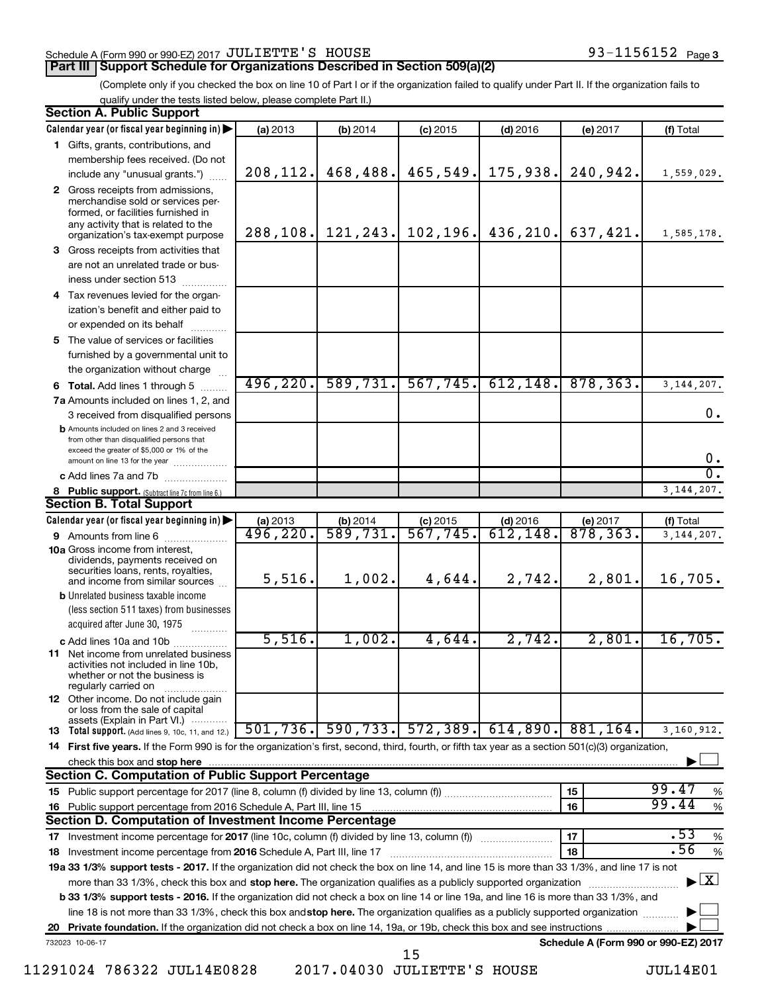#### Schedule A (Form 990 or 990-EZ) 2017  $JULIETTE'S$   $HOUSE$   $93-1156152$   $Page$

#### **Part III Support Schedule for Organizations Described in Section 509(a)(2)**

(Complete only if you checked the box on line 10 of Part I or if the organization failed to qualify under Part II. If the organization fails to qualify under the tests listed below, please complete Part II.)

| <b>Section A. Public Support</b>                                                                                                                    |                      |           |                            |            |                                      |                                          |
|-----------------------------------------------------------------------------------------------------------------------------------------------------|----------------------|-----------|----------------------------|------------|--------------------------------------|------------------------------------------|
| Calendar year (or fiscal year beginning in)                                                                                                         | (a) 2013             | (b) 2014  | $(c)$ 2015                 | $(d)$ 2016 | (e) 2017                             | (f) Total                                |
| 1 Gifts, grants, contributions, and                                                                                                                 |                      |           |                            |            |                                      |                                          |
| membership fees received. (Do not                                                                                                                   |                      |           |                            |            |                                      |                                          |
| include any "unusual grants.")                                                                                                                      | 208,112.             | 468,488.  | 465,549.                   | 175,938.   | 240,942.                             | 1,559,029.                               |
| 2 Gross receipts from admissions,<br>merchandise sold or services per-<br>formed, or facilities furnished in<br>any activity that is related to the |                      |           |                            |            |                                      |                                          |
| organization's tax-exempt purpose                                                                                                                   | 288, 108.            | 121, 243. | 102, 196.                  | 436, 210.  | 637,421.                             | 1,585,178.                               |
| 3 Gross receipts from activities that                                                                                                               |                      |           |                            |            |                                      |                                          |
| are not an unrelated trade or bus-                                                                                                                  |                      |           |                            |            |                                      |                                          |
| iness under section 513                                                                                                                             |                      |           |                            |            |                                      |                                          |
| 4 Tax revenues levied for the organ-                                                                                                                |                      |           |                            |            |                                      |                                          |
| ization's benefit and either paid to                                                                                                                |                      |           |                            |            |                                      |                                          |
| or expended on its behalf                                                                                                                           |                      |           |                            |            |                                      |                                          |
| 5 The value of services or facilities                                                                                                               |                      |           |                            |            |                                      |                                          |
| furnished by a governmental unit to                                                                                                                 |                      |           |                            |            |                                      |                                          |
| the organization without charge                                                                                                                     |                      |           |                            |            |                                      |                                          |
| <b>6 Total.</b> Add lines 1 through 5                                                                                                               | 496, 220.            | 589,731.  | 567,745.                   | 612, 148.  | 878,363.                             | 3, 144, 207.                             |
| 7a Amounts included on lines 1, 2, and                                                                                                              |                      |           |                            |            |                                      |                                          |
| 3 received from disqualified persons                                                                                                                |                      |           |                            |            |                                      | 0.                                       |
| <b>b</b> Amounts included on lines 2 and 3 received<br>from other than disqualified persons that<br>exceed the greater of \$5,000 or 1% of the      |                      |           |                            |            |                                      | $\mathbf 0$ .                            |
| amount on line 13 for the year<br>c Add lines 7a and 7b                                                                                             |                      |           |                            |            |                                      | σ.                                       |
| 8 Public support. (Subtract line 7c from line 6.)                                                                                                   |                      |           |                            |            |                                      | 3, 144, 207.                             |
| <b>Section B. Total Support</b>                                                                                                                     |                      |           |                            |            |                                      |                                          |
| Calendar year (or fiscal year beginning in)                                                                                                         | (a) 2013             | (b) 2014  | $(c)$ 2015                 | $(d)$ 2016 |                                      | (f) Total                                |
| <b>9</b> Amounts from line 6                                                                                                                        | $\overline{496,220}$ | 589,731   | $\overline{567,745}$ .     | 612,148.   | e) 2017<br>878, 363.                 | 3, 144, 207.                             |
| <b>10a</b> Gross income from interest,<br>dividends, payments received on<br>securities loans, rents, royalties,                                    |                      |           |                            |            |                                      |                                          |
| and income from similar sources                                                                                                                     | 5,516.               | 1,002.    | 4,644.                     | 2,742.     | 2,801.                               | 16,705.                                  |
| <b>b</b> Unrelated business taxable income<br>(less section 511 taxes) from businesses                                                              |                      |           |                            |            |                                      |                                          |
| acquired after June 30, 1975                                                                                                                        |                      |           |                            |            |                                      |                                          |
| c Add lines 10a and 10b                                                                                                                             | 5,516.               | 1,002.    | 4,644.                     | 2,742.     | 2,801.                               | 16,705.                                  |
| 11 Net income from unrelated business<br>activities not included in line 10b,<br>whether or not the business is<br>regularly carried on             |                      |           |                            |            |                                      |                                          |
| 12 Other income. Do not include gain<br>or loss from the sale of capital<br>assets (Explain in Part VI.)                                            |                      |           |                            |            |                                      |                                          |
| <b>13</b> Total support. (Add lines 9, 10c, 11, and 12.)                                                                                            | 501, 736.            |           | 590,733. 572,389. 614,890. |            | 881,164.                             | 3,160,912.                               |
| 14 First five years. If the Form 990 is for the organization's first, second, third, fourth, or fifth tax year as a section 501(c)(3) organization, |                      |           |                            |            |                                      |                                          |
| check this box and stop here                                                                                                                        |                      |           |                            |            |                                      |                                          |
| <b>Section C. Computation of Public Support Percentage</b>                                                                                          |                      |           |                            |            |                                      |                                          |
|                                                                                                                                                     |                      |           |                            |            | 15                                   | 99.47<br>%                               |
| 16 Public support percentage from 2016 Schedule A, Part III, line 15                                                                                |                      |           |                            |            | 16                                   | 99.44<br>$\%$                            |
| Section D. Computation of Investment Income Percentage                                                                                              |                      |           |                            |            |                                      |                                          |
| 17 Investment income percentage for 2017 (line 10c, column (f) divided by line 13, column (f))                                                      |                      |           |                            |            | 17                                   | .53<br>$\%$                              |
| 18 Investment income percentage from 2016 Schedule A, Part III, line 17                                                                             |                      |           |                            |            | 18                                   | .56<br>$\%$                              |
| 19a 33 1/3% support tests - 2017. If the organization did not check the box on line 14, and line 15 is more than 33 1/3%, and line 17 is not        |                      |           |                            |            |                                      |                                          |
| more than 33 1/3%, check this box and stop here. The organization qualifies as a publicly supported organization                                    |                      |           |                            |            |                                      | $\blacktriangleright$ $\boxed{\text{X}}$ |
| <b>b 33 1/3% support tests - 2016.</b> If the organization did not check a box on line 14 or line 19a, and line 16 is more than 33 1/3%, and        |                      |           |                            |            |                                      |                                          |
| line 18 is not more than 33 1/3%, check this box and stop here. The organization qualifies as a publicly supported organization                     |                      |           |                            |            |                                      |                                          |
|                                                                                                                                                     |                      |           |                            |            |                                      |                                          |
| 732023 10-06-17                                                                                                                                     |                      |           |                            |            | Schedule A (Form 990 or 990-EZ) 2017 |                                          |
|                                                                                                                                                     |                      |           | 15                         |            |                                      |                                          |

11291024 786322 JUL14E0828 2017.04030 JULIETTE'S HOUSE JUL14E01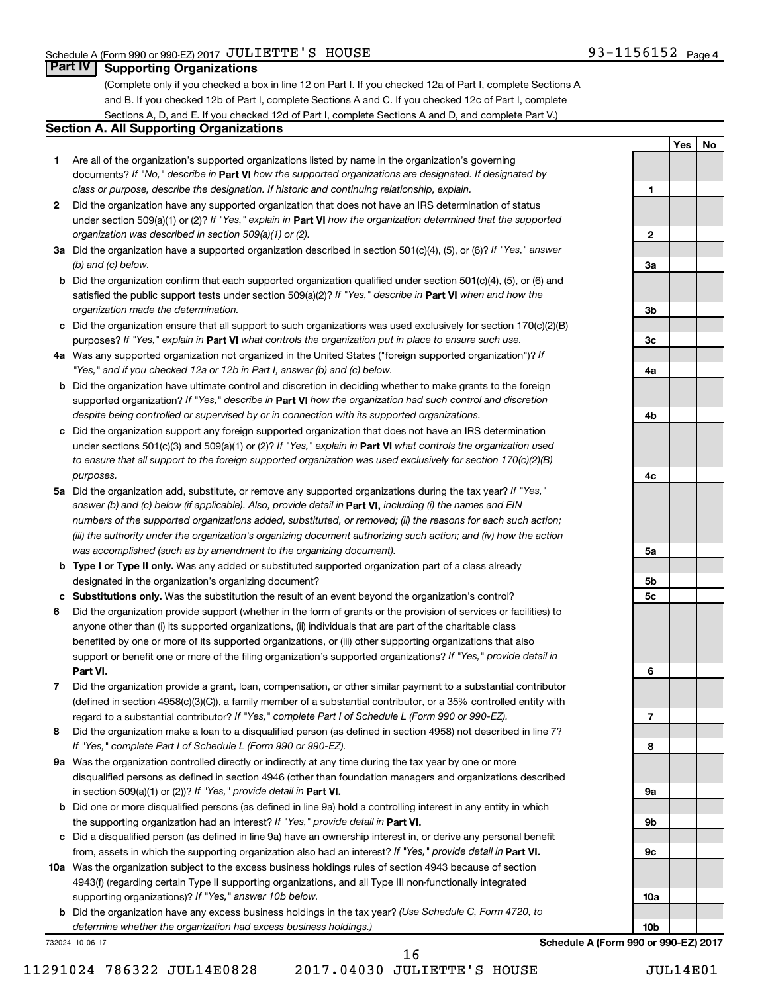**1**

**2**

**3a**

**3b**

**3c**

**4a**

**4b**

**4c**

**5a**

**5b 5c**

**6**

**7**

**8**

**9a**

**9b**

**9c**

**10a**

**10b**

**Yes No**

#### **Part IV Supporting Organizations**

(Complete only if you checked a box in line 12 on Part I. If you checked 12a of Part I, complete Sections A and B. If you checked 12b of Part I, complete Sections A and C. If you checked 12c of Part I, complete Sections A, D, and E. If you checked 12d of Part I, complete Sections A and D, and complete Part V.)

#### **Section A. All Supporting Organizations**

- **1** Are all of the organization's supported organizations listed by name in the organization's governing documents? If "No," describe in Part VI how the supported organizations are designated. If designated by *class or purpose, describe the designation. If historic and continuing relationship, explain.*
- **2** Did the organization have any supported organization that does not have an IRS determination of status under section 509(a)(1) or (2)? If "Yes," explain in Part **VI** how the organization determined that the supported *organization was described in section 509(a)(1) or (2).*
- **3a** Did the organization have a supported organization described in section 501(c)(4), (5), or (6)? If "Yes," answer *(b) and (c) below.*
- **b** Did the organization confirm that each supported organization qualified under section 501(c)(4), (5), or (6) and satisfied the public support tests under section 509(a)(2)? If "Yes," describe in Part VI when and how the *organization made the determination.*
- **c** Did the organization ensure that all support to such organizations was used exclusively for section 170(c)(2)(B) purposes? If "Yes," explain in Part VI what controls the organization put in place to ensure such use.
- **4 a** *If* Was any supported organization not organized in the United States ("foreign supported organization")? *"Yes," and if you checked 12a or 12b in Part I, answer (b) and (c) below.*
- **b** Did the organization have ultimate control and discretion in deciding whether to make grants to the foreign supported organization? If "Yes," describe in Part VI how the organization had such control and discretion *despite being controlled or supervised by or in connection with its supported organizations.*
- **c** Did the organization support any foreign supported organization that does not have an IRS determination under sections 501(c)(3) and 509(a)(1) or (2)? If "Yes," explain in Part VI what controls the organization used *to ensure that all support to the foreign supported organization was used exclusively for section 170(c)(2)(B) purposes.*
- **5a** Did the organization add, substitute, or remove any supported organizations during the tax year? If "Yes," answer (b) and (c) below (if applicable). Also, provide detail in **Part VI,** including (i) the names and EIN *numbers of the supported organizations added, substituted, or removed; (ii) the reasons for each such action; (iii) the authority under the organization's organizing document authorizing such action; and (iv) how the action was accomplished (such as by amendment to the organizing document).*
- **b Type I or Type II only.** Was any added or substituted supported organization part of a class already designated in the organization's organizing document?
- **c Substitutions only.**  Was the substitution the result of an event beyond the organization's control?
- **6** Did the organization provide support (whether in the form of grants or the provision of services or facilities) to **Part VI.** support or benefit one or more of the filing organization's supported organizations? If "Yes," provide detail in anyone other than (i) its supported organizations, (ii) individuals that are part of the charitable class benefited by one or more of its supported organizations, or (iii) other supporting organizations that also
- **7** Did the organization provide a grant, loan, compensation, or other similar payment to a substantial contributor regard to a substantial contributor? If "Yes," complete Part I of Schedule L (Form 990 or 990-EZ). (defined in section 4958(c)(3)(C)), a family member of a substantial contributor, or a 35% controlled entity with
- **8** Did the organization make a loan to a disqualified person (as defined in section 4958) not described in line 7? *If "Yes," complete Part I of Schedule L (Form 990 or 990-EZ).*
- **9 a** Was the organization controlled directly or indirectly at any time during the tax year by one or more in section 509(a)(1) or (2))? If "Yes," provide detail in **Part VI.** disqualified persons as defined in section 4946 (other than foundation managers and organizations described
- **b** Did one or more disqualified persons (as defined in line 9a) hold a controlling interest in any entity in which the supporting organization had an interest? If "Yes," provide detail in Part VI.
- **c** Did a disqualified person (as defined in line 9a) have an ownership interest in, or derive any personal benefit from, assets in which the supporting organization also had an interest? If "Yes," provide detail in Part VI.
- **10 a** Was the organization subject to the excess business holdings rules of section 4943 because of section supporting organizations)? If "Yes," answer 10b below. 4943(f) (regarding certain Type II supporting organizations, and all Type III non-functionally integrated
	- **b** Did the organization have any excess business holdings in the tax year? (Use Schedule C, Form 4720, to *determine whether the organization had excess business holdings.)*

732024 10-06-17

**Schedule A (Form 990 or 990-EZ) 2017**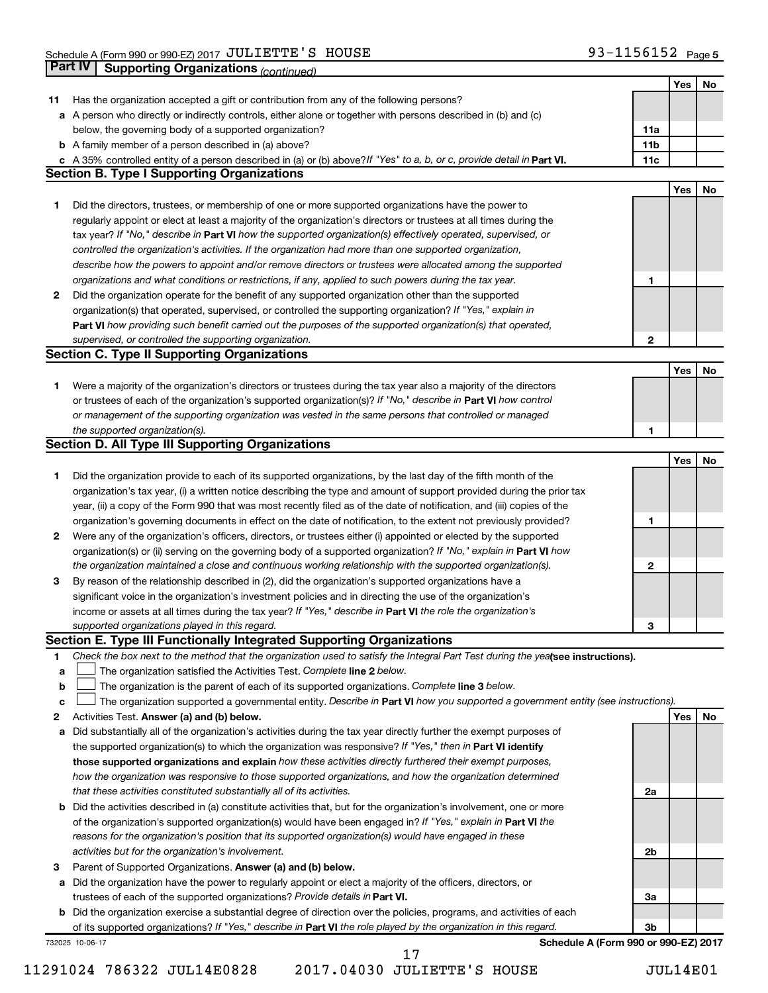|    | Part IV<br><b>Supporting Organizations (continued)</b>                                                                          |                 |            |    |
|----|---------------------------------------------------------------------------------------------------------------------------------|-----------------|------------|----|
|    |                                                                                                                                 |                 | Yes        | No |
| 11 | Has the organization accepted a gift or contribution from any of the following persons?                                         |                 |            |    |
|    | a A person who directly or indirectly controls, either alone or together with persons described in (b) and (c)                  |                 |            |    |
|    | below, the governing body of a supported organization?                                                                          | 11a             |            |    |
|    | <b>b</b> A family member of a person described in (a) above?                                                                    | 11 <sub>b</sub> |            |    |
|    | c A 35% controlled entity of a person described in (a) or (b) above? If "Yes" to a, b, or c, provide detail in Part VI.         | 11c             |            |    |
|    | <b>Section B. Type I Supporting Organizations</b>                                                                               |                 |            |    |
|    |                                                                                                                                 |                 | Yes        | No |
| 1. | Did the directors, trustees, or membership of one or more supported organizations have the power to                             |                 |            |    |
|    | regularly appoint or elect at least a majority of the organization's directors or trustees at all times during the              |                 |            |    |
|    | tax year? If "No," describe in Part VI how the supported organization(s) effectively operated, supervised, or                   |                 |            |    |
|    | controlled the organization's activities. If the organization had more than one supported organization,                         |                 |            |    |
|    | describe how the powers to appoint and/or remove directors or trustees were allocated among the supported                       |                 |            |    |
|    | organizations and what conditions or restrictions, if any, applied to such powers during the tax year.                          | 1               |            |    |
| 2  | Did the organization operate for the benefit of any supported organization other than the supported                             |                 |            |    |
|    | organization(s) that operated, supervised, or controlled the supporting organization? If "Yes," explain in                      |                 |            |    |
|    | Part VI how providing such benefit carried out the purposes of the supported organization(s) that operated,                     |                 |            |    |
|    | supervised, or controlled the supporting organization.                                                                          | 2               |            |    |
|    | <b>Section C. Type II Supporting Organizations</b>                                                                              |                 |            |    |
|    |                                                                                                                                 |                 | <b>Yes</b> | No |
| 1. | Were a majority of the organization's directors or trustees during the tax year also a majority of the directors                |                 |            |    |
|    | or trustees of each of the organization's supported organization(s)? If "No," describe in Part VI how control                   |                 |            |    |
|    | or management of the supporting organization was vested in the same persons that controlled or managed                          |                 |            |    |
|    | the supported organization(s).                                                                                                  | 1               |            |    |
|    | <b>Section D. All Type III Supporting Organizations</b>                                                                         |                 |            |    |
|    |                                                                                                                                 |                 | Yes        | No |
| 1  | Did the organization provide to each of its supported organizations, by the last day of the fifth month of the                  |                 |            |    |
|    | organization's tax year, (i) a written notice describing the type and amount of support provided during the prior tax           |                 |            |    |
|    | year, (ii) a copy of the Form 990 that was most recently filed as of the date of notification, and (iii) copies of the          |                 |            |    |
|    | organization's governing documents in effect on the date of notification, to the extent not previously provided?                | 1               |            |    |
| 2  | Were any of the organization's officers, directors, or trustees either (i) appointed or elected by the supported                |                 |            |    |
|    | organization(s) or (ii) serving on the governing body of a supported organization? If "No," explain in Part VI how              |                 |            |    |
|    | the organization maintained a close and continuous working relationship with the supported organization(s).                     | 2               |            |    |
| 3  | By reason of the relationship described in (2), did the organization's supported organizations have a                           |                 |            |    |
|    | significant voice in the organization's investment policies and in directing the use of the organization's                      |                 |            |    |
|    | income or assets at all times during the tax year? If "Yes," describe in Part VI the role the organization's                    |                 |            |    |
|    | supported organizations played in this regard.                                                                                  | з               |            |    |
|    | Section E. Type III Functionally Integrated Supporting Organizations                                                            |                 |            |    |
| 1  | Check the box next to the method that the organization used to satisfy the Integral Part Test during the yealsee instructions). |                 |            |    |
| a  | The organization satisfied the Activities Test. Complete line 2 below.                                                          |                 |            |    |
| b  | The organization is the parent of each of its supported organizations. Complete line 3 below.                                   |                 |            |    |
| c  | The organization supported a governmental entity. Describe in Part VI how you supported a government entity (see instructions). |                 |            |    |
| 2  | Activities Test. Answer (a) and (b) below.                                                                                      |                 | Yes        | No |
| а  | Did substantially all of the organization's activities during the tax year directly further the exempt purposes of              |                 |            |    |
|    | the supported organization(s) to which the organization was responsive? If "Yes," then in Part VI identify                      |                 |            |    |
|    | those supported organizations and explain how these activities directly furthered their exempt purposes,                        |                 |            |    |
|    | how the organization was responsive to those supported organizations, and how the organization determined                       |                 |            |    |
|    | that these activities constituted substantially all of its activities.                                                          | 2a              |            |    |
|    | <b>b</b> Did the activities described in (a) constitute activities that, but for the organization's involvement, one or more    |                 |            |    |
|    | of the organization's supported organization(s) would have been engaged in? If "Yes," explain in Part VI the                    |                 |            |    |
|    | reasons for the organization's position that its supported organization(s) would have engaged in these                          |                 |            |    |
|    | activities but for the organization's involvement.                                                                              | 2b              |            |    |
| з  | Parent of Supported Organizations. Answer (a) and (b) below.                                                                    |                 |            |    |
| а  | Did the organization have the power to regularly appoint or elect a majority of the officers, directors, or                     |                 |            |    |
|    | trustees of each of the supported organizations? Provide details in Part VI.                                                    | За              |            |    |
|    | <b>b</b> Did the organization exercise a substantial degree of direction over the policies, programs, and activities of each    |                 |            |    |
|    | of its supported organizations? If "Yes," describe in Part VI the role played by the organization in this regard.               | 3b              |            |    |
|    | Schedule A (Form 990 or 990-EZ) 2017<br>732025 10-06-17                                                                         |                 |            |    |
|    | 17                                                                                                                              |                 |            |    |

11291024 786322 JUL14E0828 2017.04030 JULIETTE'S HOUSE JUL14E01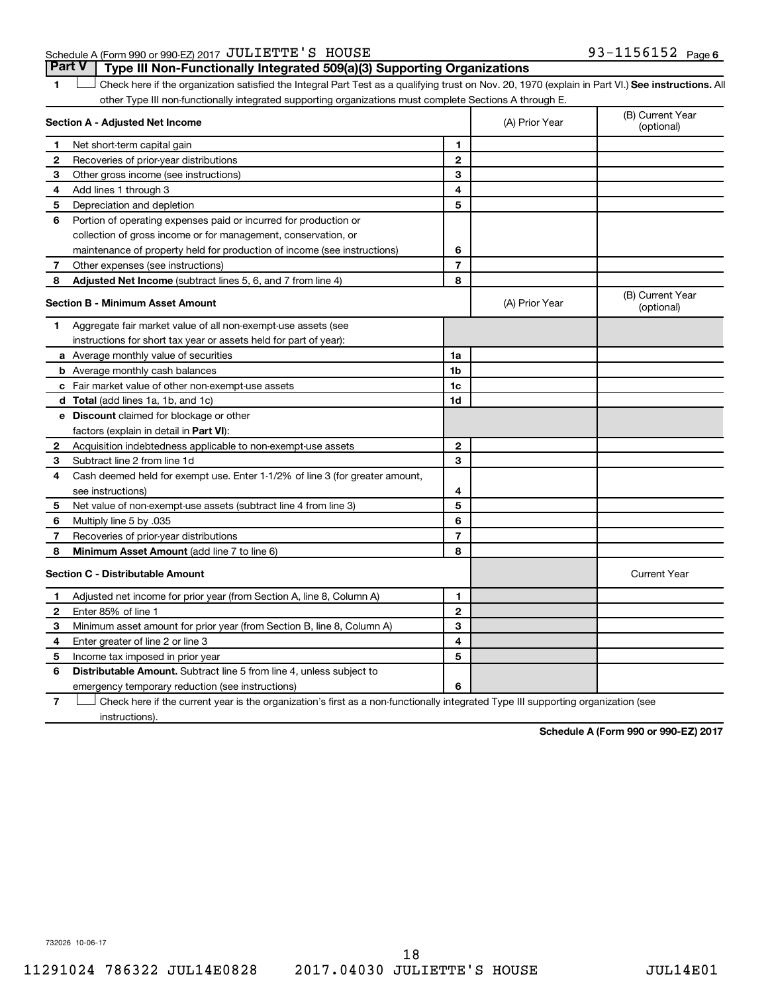#### Schedule A (Form 990 or 990-EZ) 2017  $JULIETTE'S$   $HOUSE$   $93-1156152$   $Page$

1 **Letter See instructions.** All Check here if the organization satisfied the Integral Part Test as a qualifying trust on Nov. 20, 1970 (explain in Part VI.) See instructions. All other Type III non-functionally integrated supporting organizations must complete Sections A through E. **Part V Type III Non-Functionally Integrated 509(a)(3) Supporting Organizations** 

|                          | Section A - Adjusted Net Income                                              |                | (A) Prior Year | (B) Current Year<br>(optional) |
|--------------------------|------------------------------------------------------------------------------|----------------|----------------|--------------------------------|
| 1.                       | Net short-term capital gain                                                  | 1              |                |                                |
| 2                        | Recoveries of prior-year distributions                                       | $\overline{2}$ |                |                                |
| З                        | Other gross income (see instructions)                                        | 3              |                |                                |
| 4                        | Add lines 1 through 3                                                        | 4              |                |                                |
| 5                        | Depreciation and depletion                                                   | 5              |                |                                |
| 6                        | Portion of operating expenses paid or incurred for production or             |                |                |                                |
|                          | collection of gross income or for management, conservation, or               |                |                |                                |
|                          | maintenance of property held for production of income (see instructions)     | 6              |                |                                |
| 7                        | Other expenses (see instructions)                                            | $\overline{7}$ |                |                                |
| 8                        | Adjusted Net Income (subtract lines 5, 6, and 7 from line 4)                 | 8              |                |                                |
|                          | <b>Section B - Minimum Asset Amount</b>                                      |                | (A) Prior Year | (B) Current Year<br>(optional) |
| 1                        | Aggregate fair market value of all non-exempt-use assets (see                |                |                |                                |
|                          | instructions for short tax year or assets held for part of year):            |                |                |                                |
|                          | a Average monthly value of securities                                        | 1a             |                |                                |
|                          | <b>b</b> Average monthly cash balances                                       | 1b             |                |                                |
|                          | c Fair market value of other non-exempt-use assets                           | 1c             |                |                                |
|                          | d Total (add lines 1a, 1b, and 1c)                                           | 1 <sub>d</sub> |                |                                |
|                          | e Discount claimed for blockage or other                                     |                |                |                                |
|                          | factors (explain in detail in <b>Part VI</b> ):                              |                |                |                                |
| 2                        | Acquisition indebtedness applicable to non-exempt-use assets                 | $\mathbf{2}$   |                |                                |
| З                        | Subtract line 2 from line 1d                                                 | 3              |                |                                |
| 4                        | Cash deemed held for exempt use. Enter 1-1/2% of line 3 (for greater amount, |                |                |                                |
|                          | see instructions)                                                            | 4              |                |                                |
| 5                        | Net value of non-exempt-use assets (subtract line 4 from line 3)             | 5              |                |                                |
| 6                        | Multiply line 5 by .035                                                      | 6              |                |                                |
| $\overline{\phantom{a}}$ | Recoveries of prior-year distributions                                       | 7              |                |                                |
| 8                        | <b>Minimum Asset Amount (add line 7 to line 6)</b>                           | 8              |                |                                |
|                          | <b>Section C - Distributable Amount</b>                                      |                |                | <b>Current Year</b>            |
| 1                        | Adjusted net income for prior year (from Section A, line 8, Column A)        | 1              |                |                                |
| $\mathbf{2}$             | Enter 85% of line 1                                                          | $\mathbf{2}$   |                |                                |
| 3                        | Minimum asset amount for prior year (from Section B, line 8, Column A)       | 3              |                |                                |
| 4                        | Enter greater of line 2 or line 3                                            | 4              |                |                                |
| 5                        | Income tax imposed in prior year                                             | 5              |                |                                |
| 6                        | <b>Distributable Amount.</b> Subtract line 5 from line 4, unless subject to  |                |                |                                |
|                          | emergency temporary reduction (see instructions)                             | 6              |                |                                |
|                          |                                                                              |                |                |                                |

**7** Let Check here if the current year is the organization's first as a non-functionally integrated Type III supporting organization (see instructions).

**Schedule A (Form 990 or 990-EZ) 2017**

732026 10-06-17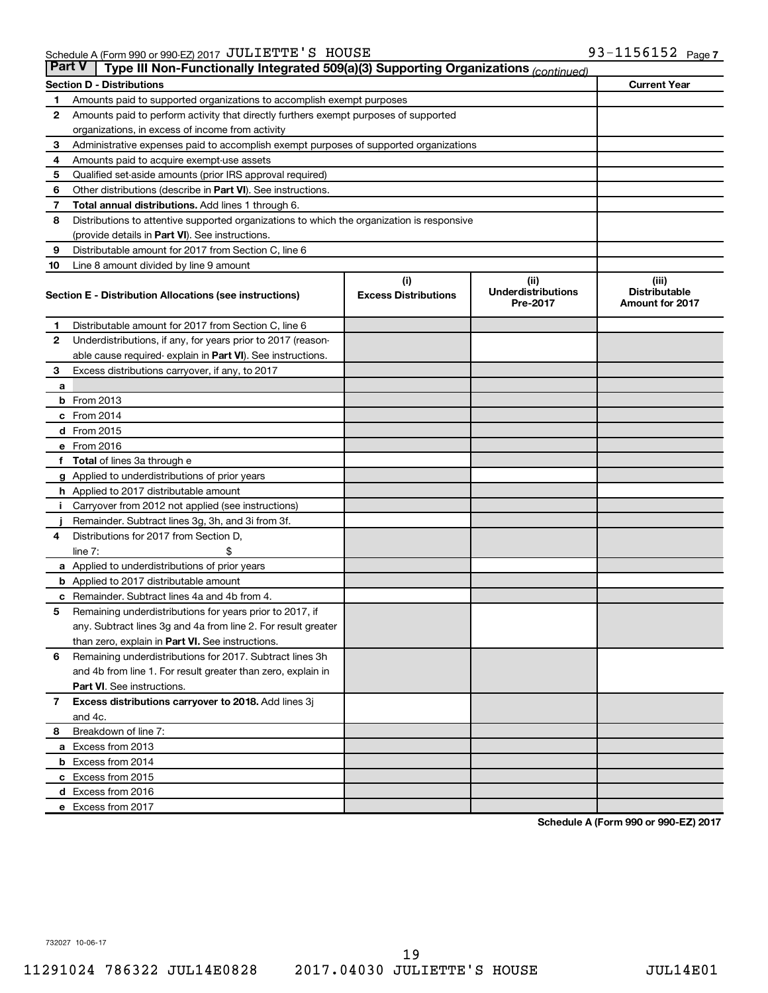| <b>Part V</b> | Type III Non-Functionally Integrated 509(a)(3) Supporting Organizations (continued)        |                             |                                       |                                                |  |  |  |  |  |
|---------------|--------------------------------------------------------------------------------------------|-----------------------------|---------------------------------------|------------------------------------------------|--|--|--|--|--|
|               | <b>Section D - Distributions</b>                                                           |                             |                                       | <b>Current Year</b>                            |  |  |  |  |  |
| 1             | Amounts paid to supported organizations to accomplish exempt purposes                      |                             |                                       |                                                |  |  |  |  |  |
| 2             | Amounts paid to perform activity that directly furthers exempt purposes of supported       |                             |                                       |                                                |  |  |  |  |  |
|               | organizations, in excess of income from activity                                           |                             |                                       |                                                |  |  |  |  |  |
| 3             | Administrative expenses paid to accomplish exempt purposes of supported organizations      |                             |                                       |                                                |  |  |  |  |  |
| 4             | Amounts paid to acquire exempt-use assets                                                  |                             |                                       |                                                |  |  |  |  |  |
| 5             | Qualified set-aside amounts (prior IRS approval required)                                  |                             |                                       |                                                |  |  |  |  |  |
| 6             | Other distributions (describe in Part VI). See instructions.                               |                             |                                       |                                                |  |  |  |  |  |
| 7             | Total annual distributions. Add lines 1 through 6.                                         |                             |                                       |                                                |  |  |  |  |  |
| 8             | Distributions to attentive supported organizations to which the organization is responsive |                             |                                       |                                                |  |  |  |  |  |
|               | (provide details in Part VI). See instructions.                                            |                             |                                       |                                                |  |  |  |  |  |
| 9             | Distributable amount for 2017 from Section C, line 6                                       |                             |                                       |                                                |  |  |  |  |  |
| 10            | Line 8 amount divided by line 9 amount                                                     |                             |                                       |                                                |  |  |  |  |  |
|               |                                                                                            | (i)                         | (ii)                                  | (iii)                                          |  |  |  |  |  |
|               | Section E - Distribution Allocations (see instructions)                                    | <b>Excess Distributions</b> | <b>Underdistributions</b><br>Pre-2017 | <b>Distributable</b><br><b>Amount for 2017</b> |  |  |  |  |  |
| 1             | Distributable amount for 2017 from Section C, line 6                                       |                             |                                       |                                                |  |  |  |  |  |
| 2             | Underdistributions, if any, for years prior to 2017 (reason-                               |                             |                                       |                                                |  |  |  |  |  |
|               | able cause required- explain in Part VI). See instructions.                                |                             |                                       |                                                |  |  |  |  |  |
| 3             | Excess distributions carryover, if any, to 2017                                            |                             |                                       |                                                |  |  |  |  |  |
| a             |                                                                                            |                             |                                       |                                                |  |  |  |  |  |
|               | <b>b</b> From 2013                                                                         |                             |                                       |                                                |  |  |  |  |  |
|               | c From 2014                                                                                |                             |                                       |                                                |  |  |  |  |  |
|               | d From 2015                                                                                |                             |                                       |                                                |  |  |  |  |  |
|               | e From 2016                                                                                |                             |                                       |                                                |  |  |  |  |  |
| f             | <b>Total</b> of lines 3a through e                                                         |                             |                                       |                                                |  |  |  |  |  |
|               | <b>g</b> Applied to underdistributions of prior years                                      |                             |                                       |                                                |  |  |  |  |  |
|               | <b>h</b> Applied to 2017 distributable amount                                              |                             |                                       |                                                |  |  |  |  |  |
|               | Carryover from 2012 not applied (see instructions)                                         |                             |                                       |                                                |  |  |  |  |  |
|               | Remainder. Subtract lines 3g, 3h, and 3i from 3f.                                          |                             |                                       |                                                |  |  |  |  |  |
| 4             | Distributions for 2017 from Section D,                                                     |                             |                                       |                                                |  |  |  |  |  |
|               | line $7:$                                                                                  |                             |                                       |                                                |  |  |  |  |  |
|               | a Applied to underdistributions of prior years                                             |                             |                                       |                                                |  |  |  |  |  |
|               | <b>b</b> Applied to 2017 distributable amount                                              |                             |                                       |                                                |  |  |  |  |  |
| с             | Remainder. Subtract lines 4a and 4b from 4.                                                |                             |                                       |                                                |  |  |  |  |  |
| 5             | Remaining underdistributions for years prior to 2017, if                                   |                             |                                       |                                                |  |  |  |  |  |
|               | any. Subtract lines 3g and 4a from line 2. For result greater                              |                             |                                       |                                                |  |  |  |  |  |
|               | than zero, explain in Part VI. See instructions.                                           |                             |                                       |                                                |  |  |  |  |  |
| 6             | Remaining underdistributions for 2017. Subtract lines 3h                                   |                             |                                       |                                                |  |  |  |  |  |
|               | and 4b from line 1. For result greater than zero, explain in                               |                             |                                       |                                                |  |  |  |  |  |
|               | <b>Part VI.</b> See instructions.                                                          |                             |                                       |                                                |  |  |  |  |  |
| $\mathbf{7}$  | Excess distributions carryover to 2018. Add lines 3j                                       |                             |                                       |                                                |  |  |  |  |  |
|               | and 4c.                                                                                    |                             |                                       |                                                |  |  |  |  |  |
| 8             | Breakdown of line 7:                                                                       |                             |                                       |                                                |  |  |  |  |  |
|               | a Excess from 2013                                                                         |                             |                                       |                                                |  |  |  |  |  |
|               | <b>b</b> Excess from 2014                                                                  |                             |                                       |                                                |  |  |  |  |  |
|               | c Excess from 2015                                                                         |                             |                                       |                                                |  |  |  |  |  |
|               | d Excess from 2016                                                                         |                             |                                       |                                                |  |  |  |  |  |
|               | e Excess from 2017                                                                         |                             |                                       |                                                |  |  |  |  |  |

**Schedule A (Form 990 or 990-EZ) 2017**

732027 10-06-17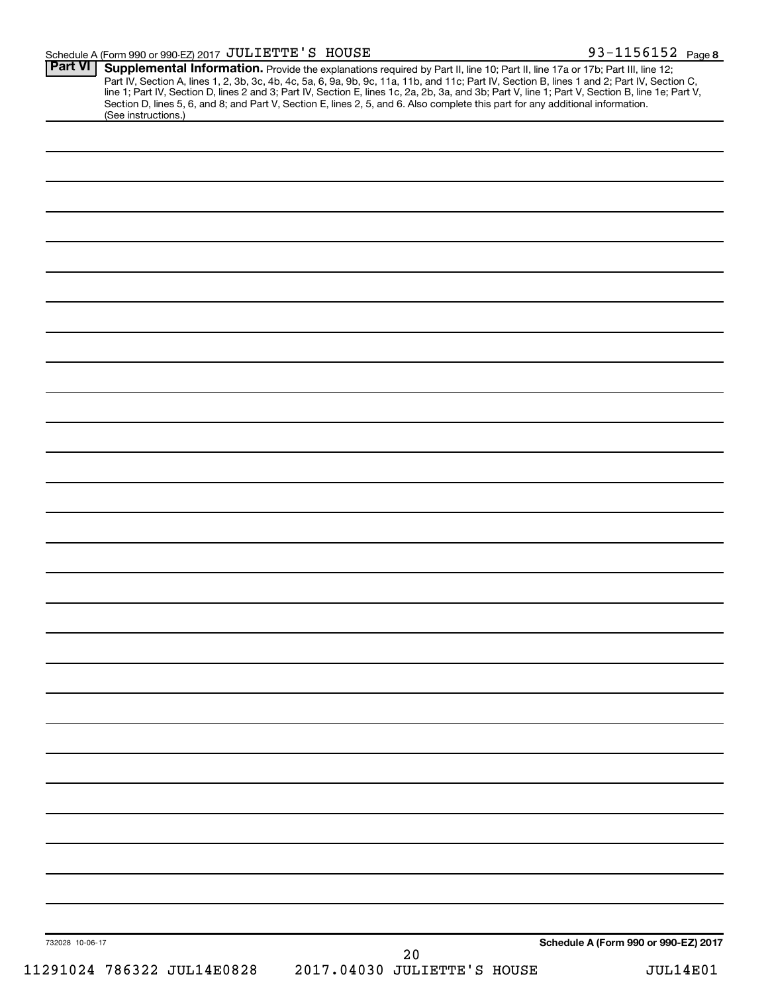#### Schedule A (Form 990 or 990-EZ) 2017 Page JULIETTE'S HOUSE 93-1156152

| <b>Part VI</b><br>(See instructions.) | <b>Supplemental Information.</b> Provide the explanations required by Part II, line 10; Part II, line 17a or 17b; Part III, line 12;<br>Part IV, Section A, lines 1, 2, 3b, 3c, 4b, 4c, 5a, 6, 9a, 9b, 9c, 11a, 11b, and 11c; Part IV,<br>Section D, lines 5, 6, and 8; and Part V, Section E, lines 2, 5, and 6. Also complete this part for any additional information. |
|---------------------------------------|---------------------------------------------------------------------------------------------------------------------------------------------------------------------------------------------------------------------------------------------------------------------------------------------------------------------------------------------------------------------------|
|                                       |                                                                                                                                                                                                                                                                                                                                                                           |
|                                       |                                                                                                                                                                                                                                                                                                                                                                           |
|                                       |                                                                                                                                                                                                                                                                                                                                                                           |
|                                       |                                                                                                                                                                                                                                                                                                                                                                           |
|                                       |                                                                                                                                                                                                                                                                                                                                                                           |
|                                       |                                                                                                                                                                                                                                                                                                                                                                           |
|                                       |                                                                                                                                                                                                                                                                                                                                                                           |
|                                       |                                                                                                                                                                                                                                                                                                                                                                           |
|                                       |                                                                                                                                                                                                                                                                                                                                                                           |
|                                       |                                                                                                                                                                                                                                                                                                                                                                           |
|                                       |                                                                                                                                                                                                                                                                                                                                                                           |
|                                       |                                                                                                                                                                                                                                                                                                                                                                           |
|                                       |                                                                                                                                                                                                                                                                                                                                                                           |
|                                       |                                                                                                                                                                                                                                                                                                                                                                           |
|                                       |                                                                                                                                                                                                                                                                                                                                                                           |
|                                       |                                                                                                                                                                                                                                                                                                                                                                           |
|                                       |                                                                                                                                                                                                                                                                                                                                                                           |
|                                       |                                                                                                                                                                                                                                                                                                                                                                           |
|                                       |                                                                                                                                                                                                                                                                                                                                                                           |
|                                       |                                                                                                                                                                                                                                                                                                                                                                           |
|                                       |                                                                                                                                                                                                                                                                                                                                                                           |
|                                       |                                                                                                                                                                                                                                                                                                                                                                           |
|                                       |                                                                                                                                                                                                                                                                                                                                                                           |
|                                       |                                                                                                                                                                                                                                                                                                                                                                           |
|                                       |                                                                                                                                                                                                                                                                                                                                                                           |
|                                       |                                                                                                                                                                                                                                                                                                                                                                           |
|                                       |                                                                                                                                                                                                                                                                                                                                                                           |
|                                       |                                                                                                                                                                                                                                                                                                                                                                           |
|                                       |                                                                                                                                                                                                                                                                                                                                                                           |
|                                       |                                                                                                                                                                                                                                                                                                                                                                           |
|                                       |                                                                                                                                                                                                                                                                                                                                                                           |
|                                       |                                                                                                                                                                                                                                                                                                                                                                           |
|                                       |                                                                                                                                                                                                                                                                                                                                                                           |
|                                       |                                                                                                                                                                                                                                                                                                                                                                           |
| 732028 10-06-17                       | Schedule A (Form 990 or 990-EZ) 2017<br>20                                                                                                                                                                                                                                                                                                                                |
| 11291024 786322 JUL14E0828            | 2017.04030 JULIETTE'S HOUSE<br><b>JUL14E01</b>                                                                                                                                                                                                                                                                                                                            |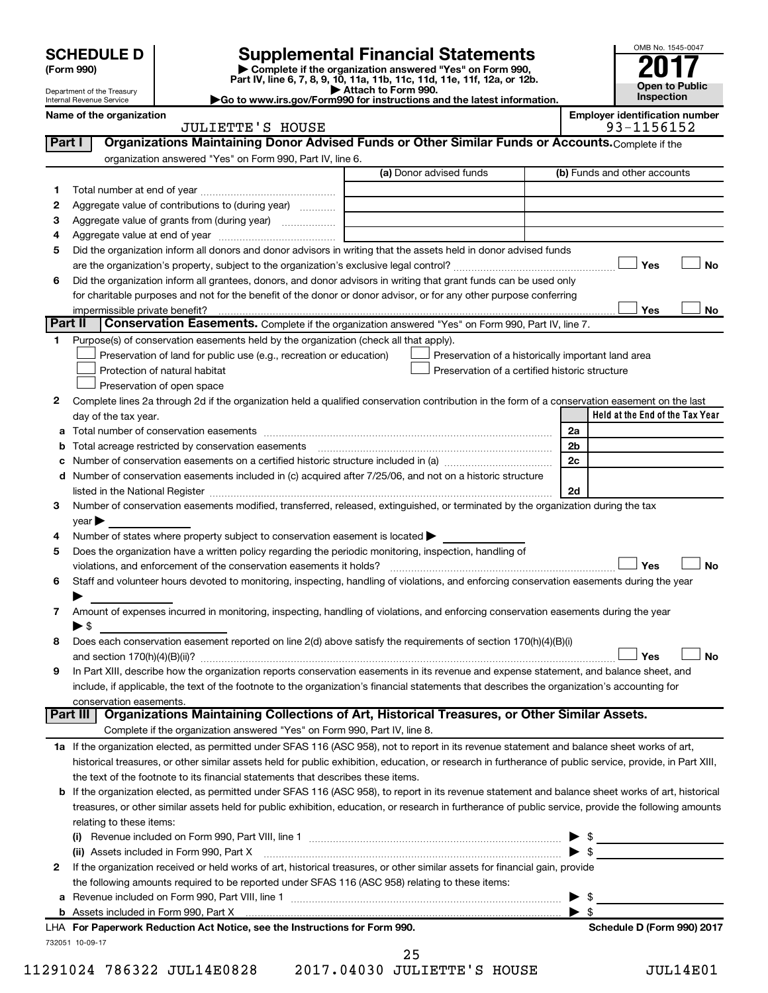| <b>SCHEDULE D</b> |  |
|-------------------|--|
|-------------------|--|

# **SCHEDULE D Supplemental Financial Statements**<br> **Form 990 2017**<br> **Part IV** line 6.7.8.9.10, 11a, 11b, 11d, 11d, 11d, 11d, 11d, 12a, 0r, 12b

**(Form 990) | Complete if the organization answered "Yes" on Form 990, Part IV, line 6, 7, 8, 9, 10, 11a, 11b, 11c, 11d, 11e, 11f, 12a, or 12b.**

**| Attach to Form 990. |Go to www.irs.gov/Form990 for instructions and the latest information.**



Department of the Treasury Internal Revenue Service

| Name of the organization |                               | <b>Emplover identification number</b> |
|--------------------------|-------------------------------|---------------------------------------|
|                          | $TITT$ $T$ $TmmT$ $A$ $T2O17$ | 0.2.1157152                           |

|         | <b>JULIETTE'S HOUSE</b>                                                                                                                                   |                                                    |                | 93-1156152                      |
|---------|-----------------------------------------------------------------------------------------------------------------------------------------------------------|----------------------------------------------------|----------------|---------------------------------|
| Part I  | Organizations Maintaining Donor Advised Funds or Other Similar Funds or Accounts. Complete if the                                                         |                                                    |                |                                 |
|         | organization answered "Yes" on Form 990, Part IV, line 6.                                                                                                 |                                                    |                |                                 |
|         |                                                                                                                                                           | (a) Donor advised funds                            |                | (b) Funds and other accounts    |
| 1.      |                                                                                                                                                           |                                                    |                |                                 |
| 2       | Aggregate value of contributions to (during year)                                                                                                         |                                                    |                |                                 |
| з       |                                                                                                                                                           |                                                    |                |                                 |
| 4       |                                                                                                                                                           |                                                    |                |                                 |
| 5       | Did the organization inform all donors and donor advisors in writing that the assets held in donor advised funds                                          |                                                    |                |                                 |
|         |                                                                                                                                                           |                                                    |                | Yes<br>No                       |
| 6       | Did the organization inform all grantees, donors, and donor advisors in writing that grant funds can be used only                                         |                                                    |                |                                 |
|         | for charitable purposes and not for the benefit of the donor or donor advisor, or for any other purpose conferring                                        |                                                    |                |                                 |
|         | impermissible private benefit?                                                                                                                            |                                                    |                | Yes<br>No                       |
| Part II | Conservation Easements. Complete if the organization answered "Yes" on Form 990, Part IV, line 7.                                                         |                                                    |                |                                 |
|         | Purpose(s) of conservation easements held by the organization (check all that apply).                                                                     |                                                    |                |                                 |
|         | Preservation of land for public use (e.g., recreation or education)                                                                                       | Preservation of a historically important land area |                |                                 |
|         | Protection of natural habitat                                                                                                                             | Preservation of a certified historic structure     |                |                                 |
|         | Preservation of open space                                                                                                                                |                                                    |                |                                 |
|         |                                                                                                                                                           |                                                    |                |                                 |
| 2       | Complete lines 2a through 2d if the organization held a qualified conservation contribution in the form of a conservation easement on the last            |                                                    |                | Held at the End of the Tax Year |
|         | day of the tax year.                                                                                                                                      |                                                    |                |                                 |
| а       |                                                                                                                                                           |                                                    | 2a             |                                 |
|         |                                                                                                                                                           |                                                    | 2 <sub>b</sub> |                                 |
|         |                                                                                                                                                           |                                                    | 2c             |                                 |
| d       | Number of conservation easements included in (c) acquired after 7/25/06, and not on a historic structure                                                  |                                                    |                |                                 |
|         | listed in the National Register [111] Martin Marcon Marco 2014 12: 12: 13: 14: 14: 15: 15: 15: 15: 15: 15: 15:                                            |                                                    | 2d             |                                 |
| 3       | Number of conservation easements modified, transferred, released, extinguished, or terminated by the organization during the tax                          |                                                    |                |                                 |
|         | year                                                                                                                                                      |                                                    |                |                                 |
| 4       | Number of states where property subject to conservation easement is located >                                                                             |                                                    |                |                                 |
| 5       | Does the organization have a written policy regarding the periodic monitoring, inspection, handling of                                                    |                                                    |                |                                 |
|         | violations, and enforcement of the conservation easements it holds?                                                                                       |                                                    |                | Yes<br><b>No</b>                |
| 6       | Staff and volunteer hours devoted to monitoring, inspecting, handling of violations, and enforcing conservation easements during the year                 |                                                    |                |                                 |
|         |                                                                                                                                                           |                                                    |                |                                 |
| 7       | Amount of expenses incurred in monitoring, inspecting, handling of violations, and enforcing conservation easements during the year                       |                                                    |                |                                 |
|         | ▶ \$                                                                                                                                                      |                                                    |                |                                 |
| 8       | Does each conservation easement reported on line 2(d) above satisfy the requirements of section 170(h)(4)(B)(i)                                           |                                                    |                |                                 |
|         |                                                                                                                                                           |                                                    |                | Yes<br>No                       |
| 9       | In Part XIII, describe how the organization reports conservation easements in its revenue and expense statement, and balance sheet, and                   |                                                    |                |                                 |
|         | include, if applicable, the text of the footnote to the organization's financial statements that describes the organization's accounting for              |                                                    |                |                                 |
|         | conservation easements.<br>Organizations Maintaining Collections of Art, Historical Treasures, or Other Similar Assets.<br>Part III                       |                                                    |                |                                 |
|         | Complete if the organization answered "Yes" on Form 990, Part IV, line 8.                                                                                 |                                                    |                |                                 |
|         |                                                                                                                                                           |                                                    |                |                                 |
|         | 1a If the organization elected, as permitted under SFAS 116 (ASC 958), not to report in its revenue statement and balance sheet works of art,             |                                                    |                |                                 |
|         | historical treasures, or other similar assets held for public exhibition, education, or research in furtherance of public service, provide, in Part XIII, |                                                    |                |                                 |
|         | the text of the footnote to its financial statements that describes these items.                                                                          |                                                    |                |                                 |
|         | b If the organization elected, as permitted under SFAS 116 (ASC 958), to report in its revenue statement and balance sheet works of art, historical       |                                                    |                |                                 |
|         | treasures, or other similar assets held for public exhibition, education, or research in furtherance of public service, provide the following amounts     |                                                    |                |                                 |
|         | relating to these items:                                                                                                                                  |                                                    |                |                                 |
|         |                                                                                                                                                           |                                                    |                | $\frac{1}{2}$                   |
|         | (ii) Assets included in Form 990, Part X                                                                                                                  |                                                    |                | $\blacktriangleright$ \$        |
| 2       | If the organization received or held works of art, historical treasures, or other similar assets for financial gain, provide                              |                                                    |                |                                 |
|         | the following amounts required to be reported under SFAS 116 (ASC 958) relating to these items:                                                           |                                                    |                |                                 |
| а       |                                                                                                                                                           |                                                    | \$<br>▶        |                                 |
|         |                                                                                                                                                           |                                                    | -\$            |                                 |
|         | LHA For Paperwork Reduction Act Notice, see the Instructions for Form 990.                                                                                |                                                    |                | Schedule D (Form 990) 2017      |

732051 10-09-17

25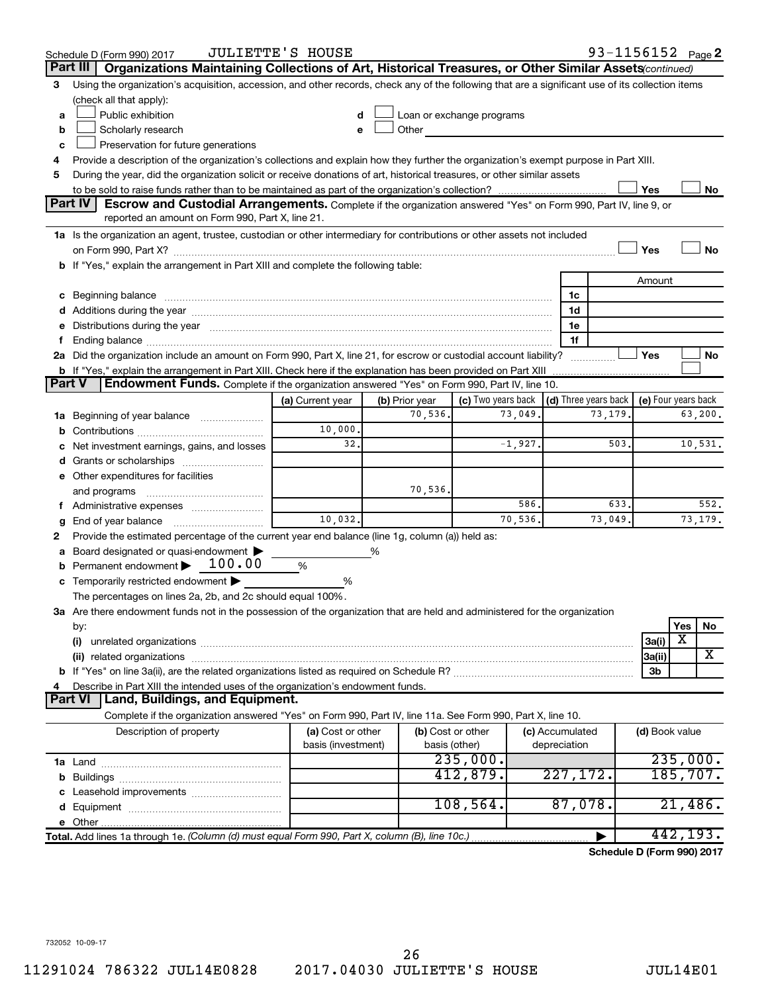|               | Schedule D (Form 990) 2017                                                                                                                                                                                                                                                                                                                       | <b>JULIETTE'S HOUSE</b> |                |                           |      |                                      |         | 93-1156152 <sub>Page</sub> 2 |          |           |
|---------------|--------------------------------------------------------------------------------------------------------------------------------------------------------------------------------------------------------------------------------------------------------------------------------------------------------------------------------------------------|-------------------------|----------------|---------------------------|------|--------------------------------------|---------|------------------------------|----------|-----------|
|               | Organizations Maintaining Collections of Art, Historical Treasures, or Other Similar Assets(continued)<br>Part III                                                                                                                                                                                                                               |                         |                |                           |      |                                      |         |                              |          |           |
| 3             | Using the organization's acquisition, accession, and other records, check any of the following that are a significant use of its collection items                                                                                                                                                                                                |                         |                |                           |      |                                      |         |                              |          |           |
|               | (check all that apply):                                                                                                                                                                                                                                                                                                                          |                         |                |                           |      |                                      |         |                              |          |           |
| a             | Public exhibition                                                                                                                                                                                                                                                                                                                                |                         |                | Loan or exchange programs |      |                                      |         |                              |          |           |
| b             | Scholarly research                                                                                                                                                                                                                                                                                                                               | e                       | Other          |                           |      |                                      |         |                              |          |           |
| c             | Preservation for future generations                                                                                                                                                                                                                                                                                                              |                         |                |                           |      |                                      |         |                              |          |           |
| 4             | Provide a description of the organization's collections and explain how they further the organization's exempt purpose in Part XIII.                                                                                                                                                                                                             |                         |                |                           |      |                                      |         |                              |          |           |
| 5             | During the year, did the organization solicit or receive donations of art, historical treasures, or other similar assets                                                                                                                                                                                                                         |                         |                |                           |      |                                      |         |                              |          |           |
|               | Yes<br>No<br>Escrow and Custodial Arrangements. Complete if the organization answered "Yes" on Form 990, Part IV, line 9, or                                                                                                                                                                                                                     |                         |                |                           |      |                                      |         |                              |          |           |
|               | <b>Part IV</b>                                                                                                                                                                                                                                                                                                                                   |                         |                |                           |      |                                      |         |                              |          |           |
|               | reported an amount on Form 990, Part X, line 21.                                                                                                                                                                                                                                                                                                 |                         |                |                           |      |                                      |         |                              |          |           |
|               | 1a Is the organization an agent, trustee, custodian or other intermediary for contributions or other assets not included                                                                                                                                                                                                                         |                         |                |                           |      |                                      |         |                              |          |           |
|               |                                                                                                                                                                                                                                                                                                                                                  |                         |                |                           |      |                                      |         | Yes                          |          | <b>No</b> |
|               | b If "Yes," explain the arrangement in Part XIII and complete the following table:                                                                                                                                                                                                                                                               |                         |                |                           |      |                                      |         |                              |          |           |
|               |                                                                                                                                                                                                                                                                                                                                                  |                         |                |                           |      |                                      |         | Amount                       |          |           |
| c             | Beginning balance                                                                                                                                                                                                                                                                                                                                |                         |                |                           |      | 1c<br>1d                             |         |                              |          |           |
| е             | Additions during the year manufactured and an account of the year and year and year and year and year and year<br>Distributions during the year manufactured and an account of the year manufactured and the year manufactured and the year manufactured and the year manufactured and the year manufactured and the year manufactured and the s |                         |                |                           |      | 1e                                   |         |                              |          |           |
|               |                                                                                                                                                                                                                                                                                                                                                  |                         |                |                           |      | 1f                                   |         |                              |          |           |
|               | 2a Did the organization include an amount on Form 990, Part X, line 21, for escrow or custodial account liability?                                                                                                                                                                                                                               |                         |                |                           |      |                                      |         | Yes                          |          | No        |
|               | <b>b</b> If "Yes," explain the arrangement in Part XIII. Check here if the explanation has been provided on Part XIII                                                                                                                                                                                                                            |                         |                |                           |      |                                      |         |                              |          |           |
| <b>Part V</b> | <b>Endowment Funds.</b> Complete if the organization answered "Yes" on Form 990, Part IV, line 10.                                                                                                                                                                                                                                               |                         |                |                           |      |                                      |         |                              |          |           |
|               |                                                                                                                                                                                                                                                                                                                                                  | (a) Current year        | (b) Prior year | (c) Two years back        |      | $\vert$ (d) Three years back $\vert$ |         | (e) Four years back          |          |           |
| 1a            | Beginning of year balance                                                                                                                                                                                                                                                                                                                        |                         | 70,536.        | 73,049.                   |      |                                      | 73,179  |                              |          | 63,200.   |
|               |                                                                                                                                                                                                                                                                                                                                                  | 10,000.                 |                |                           |      |                                      |         |                              |          |           |
|               | Net investment earnings, gains, and losses                                                                                                                                                                                                                                                                                                       | 32.                     |                | $-1,927.$                 |      |                                      | 503.    |                              |          | 10,531.   |
|               | Grants or scholarships                                                                                                                                                                                                                                                                                                                           |                         |                |                           |      |                                      |         |                              |          |           |
|               | e Other expenditures for facilities                                                                                                                                                                                                                                                                                                              |                         |                |                           |      |                                      |         |                              |          |           |
|               | and programs                                                                                                                                                                                                                                                                                                                                     |                         | 70,536.        |                           |      |                                      |         |                              |          |           |
|               |                                                                                                                                                                                                                                                                                                                                                  |                         |                |                           | 586. |                                      | 633.    |                              |          | 552.      |
|               | End of year balance                                                                                                                                                                                                                                                                                                                              | 10,032.                 |                | 70,536.                   |      |                                      | 73,049. |                              |          | 73,179.   |
| 2             | Provide the estimated percentage of the current year end balance (line 1g, column (a)) held as:                                                                                                                                                                                                                                                  |                         |                |                           |      |                                      |         |                              |          |           |
|               | Board designated or quasi-endowment >                                                                                                                                                                                                                                                                                                            |                         | %              |                           |      |                                      |         |                              |          |           |
|               | Permanent endowment > 100.00                                                                                                                                                                                                                                                                                                                     | %                       |                |                           |      |                                      |         |                              |          |           |
| С             | Temporarily restricted endowment                                                                                                                                                                                                                                                                                                                 | %                       |                |                           |      |                                      |         |                              |          |           |
|               | The percentages on lines 2a, 2b, and 2c should equal 100%.                                                                                                                                                                                                                                                                                       |                         |                |                           |      |                                      |         |                              |          |           |
|               | 3a Are there endowment funds not in the possession of the organization that are held and administered for the organization                                                                                                                                                                                                                       |                         |                |                           |      |                                      |         |                              |          |           |
|               | by:                                                                                                                                                                                                                                                                                                                                              |                         |                |                           |      |                                      |         |                              | Yes<br>х | No        |
|               | (i)<br>(ii) related organizations                                                                                                                                                                                                                                                                                                                |                         |                |                           |      |                                      |         | 3a(i)<br>3a(ii)              |          | x         |
|               |                                                                                                                                                                                                                                                                                                                                                  |                         |                |                           |      |                                      |         | 3b                           |          |           |
|               | Describe in Part XIII the intended uses of the organization's endowment funds.                                                                                                                                                                                                                                                                   |                         |                |                           |      |                                      |         |                              |          |           |
|               | Land, Buildings, and Equipment.<br><b>Part VI</b>                                                                                                                                                                                                                                                                                                |                         |                |                           |      |                                      |         |                              |          |           |
|               | Complete if the organization answered "Yes" on Form 990, Part IV, line 11a. See Form 990, Part X, line 10.                                                                                                                                                                                                                                       |                         |                |                           |      |                                      |         |                              |          |           |
|               | Description of property                                                                                                                                                                                                                                                                                                                          | (a) Cost or other       |                | (b) Cost or other         |      | (c) Accumulated                      |         | (d) Book value               |          |           |
|               |                                                                                                                                                                                                                                                                                                                                                  | basis (investment)      |                | basis (other)             |      | depreciation                         |         |                              |          |           |
|               |                                                                                                                                                                                                                                                                                                                                                  |                         |                | 235,000.                  |      |                                      |         |                              |          | 235,000.  |
| b             |                                                                                                                                                                                                                                                                                                                                                  |                         |                | 412,879.                  |      | 227, 172.                            |         |                              |          | 185,707.  |
|               |                                                                                                                                                                                                                                                                                                                                                  |                         |                |                           |      |                                      |         |                              |          |           |
|               |                                                                                                                                                                                                                                                                                                                                                  |                         |                | 108,564.                  |      | 87,078.                              |         |                              |          | 21,486.   |
|               | e Other.                                                                                                                                                                                                                                                                                                                                         |                         |                |                           |      |                                      |         |                              |          |           |
|               | Total. Add lines 1a through 1e. (Column (d) must equal Form 990, Part X, column (B), line 10c.)                                                                                                                                                                                                                                                  |                         |                |                           |      |                                      |         |                              |          | 442,193.  |
|               |                                                                                                                                                                                                                                                                                                                                                  |                         |                |                           |      |                                      |         | Schedule D (Form 990) 2017   |          |           |

732052 10-09-17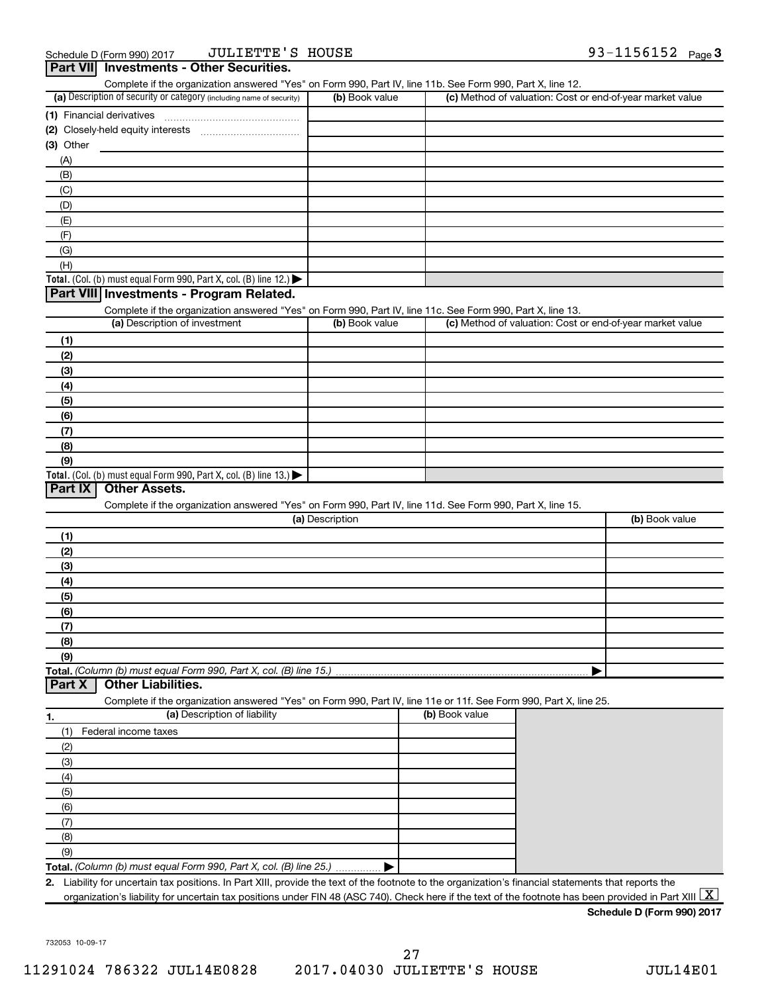|                                                                                            |                                                                                                                   |                 | Complete if the organization answered "Yes" on Form 990, Part IV, line 11b. See Form 990, Part X, line 12. |                                                           |                |
|--------------------------------------------------------------------------------------------|-------------------------------------------------------------------------------------------------------------------|-----------------|------------------------------------------------------------------------------------------------------------|-----------------------------------------------------------|----------------|
| (a) Description of security or category (including name of security)                       |                                                                                                                   | (b) Book value  |                                                                                                            | (c) Method of valuation: Cost or end-of-year market value |                |
| (1) Financial derivatives                                                                  |                                                                                                                   |                 |                                                                                                            |                                                           |                |
|                                                                                            |                                                                                                                   |                 |                                                                                                            |                                                           |                |
| $(3)$ Other                                                                                |                                                                                                                   |                 |                                                                                                            |                                                           |                |
| (A)                                                                                        |                                                                                                                   |                 |                                                                                                            |                                                           |                |
| (B)                                                                                        |                                                                                                                   |                 |                                                                                                            |                                                           |                |
| (C)                                                                                        |                                                                                                                   |                 |                                                                                                            |                                                           |                |
| (D)                                                                                        |                                                                                                                   |                 |                                                                                                            |                                                           |                |
| (E)                                                                                        |                                                                                                                   |                 |                                                                                                            |                                                           |                |
| (F)                                                                                        |                                                                                                                   |                 |                                                                                                            |                                                           |                |
| (G)                                                                                        |                                                                                                                   |                 |                                                                                                            |                                                           |                |
| (H)                                                                                        |                                                                                                                   |                 |                                                                                                            |                                                           |                |
|                                                                                            |                                                                                                                   |                 |                                                                                                            |                                                           |                |
| Total. (Col. (b) must equal Form 990, Part X, col. (B) line 12.) $\blacktriangleright$     |                                                                                                                   |                 |                                                                                                            |                                                           |                |
| Part VIII Investments - Program Related.                                                   |                                                                                                                   |                 |                                                                                                            |                                                           |                |
|                                                                                            | Complete if the organization answered "Yes" on Form 990, Part IV, line 11c. See Form 990, Part X, line 13.        |                 |                                                                                                            |                                                           |                |
| (a) Description of investment                                                              |                                                                                                                   | (b) Book value  |                                                                                                            | (c) Method of valuation: Cost or end-of-year market value |                |
| (1)                                                                                        |                                                                                                                   |                 |                                                                                                            |                                                           |                |
| (2)                                                                                        |                                                                                                                   |                 |                                                                                                            |                                                           |                |
| (3)                                                                                        |                                                                                                                   |                 |                                                                                                            |                                                           |                |
| (4)                                                                                        |                                                                                                                   |                 |                                                                                                            |                                                           |                |
| (5)                                                                                        |                                                                                                                   |                 |                                                                                                            |                                                           |                |
| (6)                                                                                        |                                                                                                                   |                 |                                                                                                            |                                                           |                |
| (7)                                                                                        |                                                                                                                   |                 |                                                                                                            |                                                           |                |
| (8)                                                                                        |                                                                                                                   |                 |                                                                                                            |                                                           |                |
| (9)                                                                                        |                                                                                                                   |                 |                                                                                                            |                                                           |                |
| Total. (Col. (b) must equal Form 990, Part X, col. (B) line 13.) $\blacktriangleright$     |                                                                                                                   |                 |                                                                                                            |                                                           |                |
|                                                                                            |                                                                                                                   |                 |                                                                                                            |                                                           |                |
| Part IX<br><b>Other Assets.</b>                                                            | Complete if the organization answered "Yes" on Form 990, Part IV, line 11d. See Form 990, Part X, line 15.        |                 |                                                                                                            |                                                           |                |
|                                                                                            |                                                                                                                   | (a) Description |                                                                                                            |                                                           |                |
| (1)                                                                                        |                                                                                                                   |                 |                                                                                                            |                                                           |                |
| (2)                                                                                        |                                                                                                                   |                 |                                                                                                            |                                                           |                |
| (3)                                                                                        |                                                                                                                   |                 |                                                                                                            |                                                           |                |
| (4)                                                                                        |                                                                                                                   |                 |                                                                                                            |                                                           | (b) Book value |
| (5)                                                                                        |                                                                                                                   |                 |                                                                                                            |                                                           |                |
| (6)                                                                                        |                                                                                                                   |                 |                                                                                                            |                                                           |                |
| (7)                                                                                        |                                                                                                                   |                 |                                                                                                            |                                                           |                |
| (8)                                                                                        |                                                                                                                   |                 |                                                                                                            |                                                           |                |
| (9)                                                                                        |                                                                                                                   |                 |                                                                                                            |                                                           |                |
| <b>Other Liabilities.</b>                                                                  |                                                                                                                   |                 |                                                                                                            |                                                           |                |
|                                                                                            |                                                                                                                   |                 |                                                                                                            |                                                           |                |
|                                                                                            | Complete if the organization answered "Yes" on Form 990, Part IV, line 11e or 11f. See Form 990, Part X, line 25. |                 | (b) Book value                                                                                             |                                                           |                |
|                                                                                            | (a) Description of liability                                                                                      |                 |                                                                                                            |                                                           |                |
| Federal income taxes<br>(1)                                                                |                                                                                                                   |                 |                                                                                                            |                                                           |                |
| (2)                                                                                        |                                                                                                                   |                 |                                                                                                            |                                                           |                |
| (3)                                                                                        |                                                                                                                   |                 |                                                                                                            |                                                           |                |
| (4)                                                                                        |                                                                                                                   |                 |                                                                                                            |                                                           |                |
| Total. (Column (b) must equal Form 990, Part X, col. (B) line 15.).<br>Part X<br>1.<br>(5) |                                                                                                                   |                 |                                                                                                            |                                                           |                |
| (6)                                                                                        |                                                                                                                   |                 |                                                                                                            |                                                           |                |
|                                                                                            |                                                                                                                   |                 |                                                                                                            |                                                           |                |
| (7)                                                                                        |                                                                                                                   |                 |                                                                                                            |                                                           |                |
| (8)                                                                                        |                                                                                                                   |                 |                                                                                                            |                                                           |                |
| (9)<br>Total. (Column (b) must equal Form 990, Part X, col. (B) line 25.)                  |                                                                                                                   |                 |                                                                                                            |                                                           |                |

#### **Schedule D (Form 990) 2017**

732053 10-09-17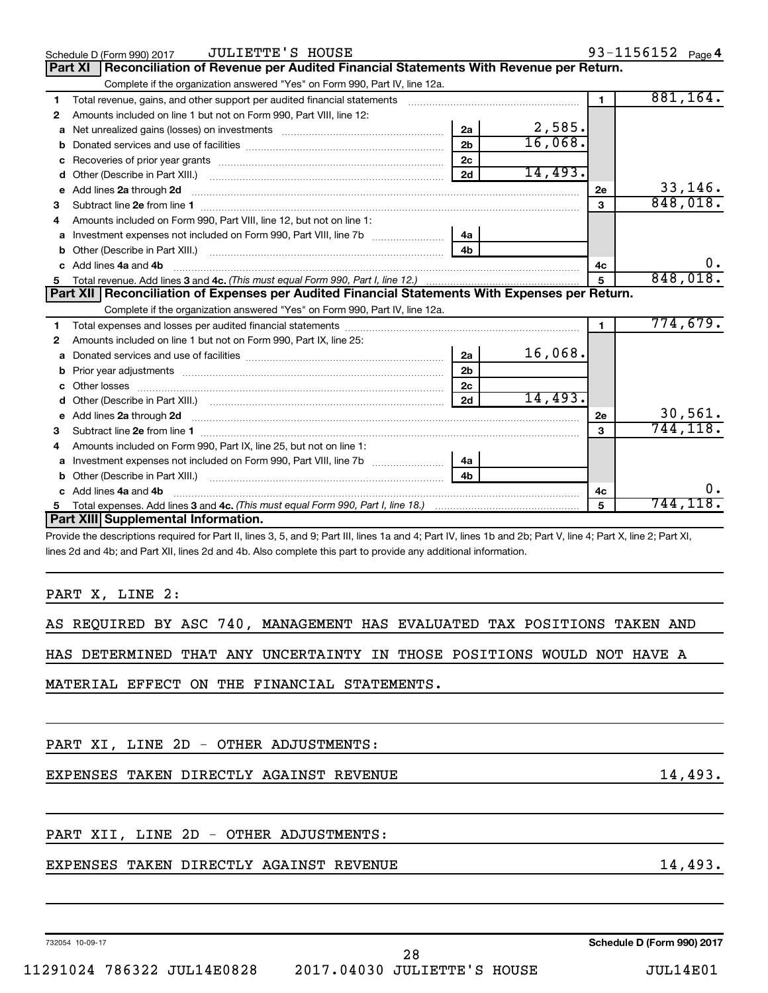| Part XI<br>1<br>2<br>a<br>b<br>c | Reconciliation of Revenue per Audited Financial Statements With Revenue per Return.<br>Complete if the organization answered "Yes" on Form 990, Part IV, line 12a.<br>Total revenue, gains, and other support per audited financial statements<br>Amounts included on line 1 but not on Form 990, Part VIII, line 12: |                |         |                      |           |
|----------------------------------|-----------------------------------------------------------------------------------------------------------------------------------------------------------------------------------------------------------------------------------------------------------------------------------------------------------------------|----------------|---------|----------------------|-----------|
|                                  |                                                                                                                                                                                                                                                                                                                       |                |         |                      |           |
|                                  |                                                                                                                                                                                                                                                                                                                       |                |         |                      |           |
|                                  |                                                                                                                                                                                                                                                                                                                       |                |         | $\blacksquare$       | 881, 164. |
|                                  |                                                                                                                                                                                                                                                                                                                       |                |         |                      |           |
|                                  | Net unrealized gains (losses) on investments [11] matter contracts and the unrealized gains (losses) on investments                                                                                                                                                                                                   | 2a             | 2,585.  |                      |           |
|                                  |                                                                                                                                                                                                                                                                                                                       | 2 <sub>b</sub> | 16,068. |                      |           |
|                                  |                                                                                                                                                                                                                                                                                                                       | 2c             |         |                      |           |
| d                                | Other (Describe in Part XIII.) <b>Construction Contract Construction</b> Chemical Construction Chemical Chemical Chemical Chemical Chemical Chemical Chemical Chemical Chemical Chemical Chemical Chemical Chemical Chemical Chemic                                                                                   | 2d             | 14,493. |                      |           |
| е                                | Add lines 2a through 2d                                                                                                                                                                                                                                                                                               |                |         | 2e                   | 33,146.   |
| з                                |                                                                                                                                                                                                                                                                                                                       |                |         | $\mathbf{a}$         | 848,018.  |
|                                  | Amounts included on Form 990, Part VIII, line 12, but not on line 1:                                                                                                                                                                                                                                                  |                |         |                      |           |
|                                  |                                                                                                                                                                                                                                                                                                                       | l 4a           |         |                      |           |
|                                  | <b>b</b> Other (Describe in Part XIII.)                                                                                                                                                                                                                                                                               | 4 <sub>h</sub> |         |                      |           |
|                                  | c Add lines 4a and 4b                                                                                                                                                                                                                                                                                                 |                |         | 4c                   |           |
| 5                                |                                                                                                                                                                                                                                                                                                                       |                |         | 5                    | 848,018.  |
|                                  | Part XII   Reconciliation of Expenses per Audited Financial Statements With Expenses per Return.                                                                                                                                                                                                                      |                |         |                      |           |
|                                  | Complete if the organization answered "Yes" on Form 990, Part IV, line 12a.                                                                                                                                                                                                                                           |                |         |                      |           |
| 1                                |                                                                                                                                                                                                                                                                                                                       |                |         | $\blacktriangleleft$ | 774,679.  |
| 2                                | Amounts included on line 1 but not on Form 990, Part IX, line 25:                                                                                                                                                                                                                                                     |                |         |                      |           |
| a                                |                                                                                                                                                                                                                                                                                                                       | 2a             | 16,068. |                      |           |
| b                                |                                                                                                                                                                                                                                                                                                                       | 2 <sub>b</sub> |         |                      |           |
|                                  |                                                                                                                                                                                                                                                                                                                       | 2 <sub>c</sub> |         |                      |           |
| d                                |                                                                                                                                                                                                                                                                                                                       | 2d             | 14,493. |                      |           |
|                                  | Add lines 2a through 2d                                                                                                                                                                                                                                                                                               |                |         | 2е                   | 30,561.   |
| 3                                |                                                                                                                                                                                                                                                                                                                       |                |         | 3                    | 744, 118. |
| 4                                | Amounts included on Form 990, Part IX, line 25, but not on line 1:                                                                                                                                                                                                                                                    |                |         |                      |           |
| a                                |                                                                                                                                                                                                                                                                                                                       | 4a             |         |                      |           |
| b                                | Other (Describe in Part XIII.)                                                                                                                                                                                                                                                                                        | 4 <sub>b</sub> |         |                      |           |
|                                  | c Add lines 4a and 4b                                                                                                                                                                                                                                                                                                 |                |         | 4с                   | 0.        |
| 5                                |                                                                                                                                                                                                                                                                                                                       |                |         | 5                    | 744,118.  |
|                                  | Part XIII Supplemental Information.                                                                                                                                                                                                                                                                                   |                |         |                      |           |

PART X, LINE 2:

|  |  |  |  |  | AS REQUIRED BY ASC 740, MANAGEMENT HAS EVALUATED TAX POSITIONS TAKEN AND |  |  |  |  |  |  |
|--|--|--|--|--|--------------------------------------------------------------------------|--|--|--|--|--|--|
|--|--|--|--|--|--------------------------------------------------------------------------|--|--|--|--|--|--|

HAS DETERMINED THAT ANY UNCERTAINTY IN THOSE POSITIONS WOULD NOT HAVE A

MATERIAL EFFECT ON THE FINANCIAL STATEMENTS.

PART XI, LINE 2D - OTHER ADJUSTMENTS:

EXPENSES TAKEN DIRECTLY AGAINST REVENUE 14,493.

PART XII, LINE 2D - OTHER ADJUSTMENTS:

### EXPENSES TAKEN DIRECTLY AGAINST REVENUE 14,493.

732054 10-09-17

**Schedule D (Form 990) 2017**

11291024 786322 JUL14E0828 2017.04030 JULIETTE'S HOUSE JUL14E01 28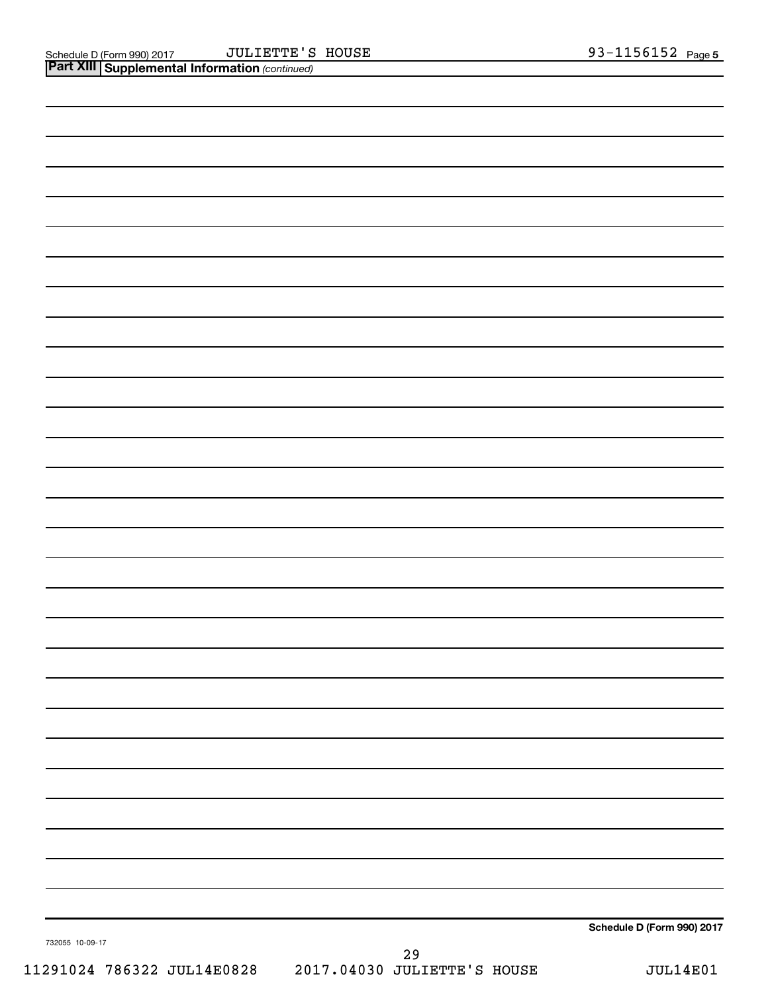|                 | Schedule D (Form 990) 2017 |
|-----------------|----------------------------|
| 732055 10-09-17 | 29                         |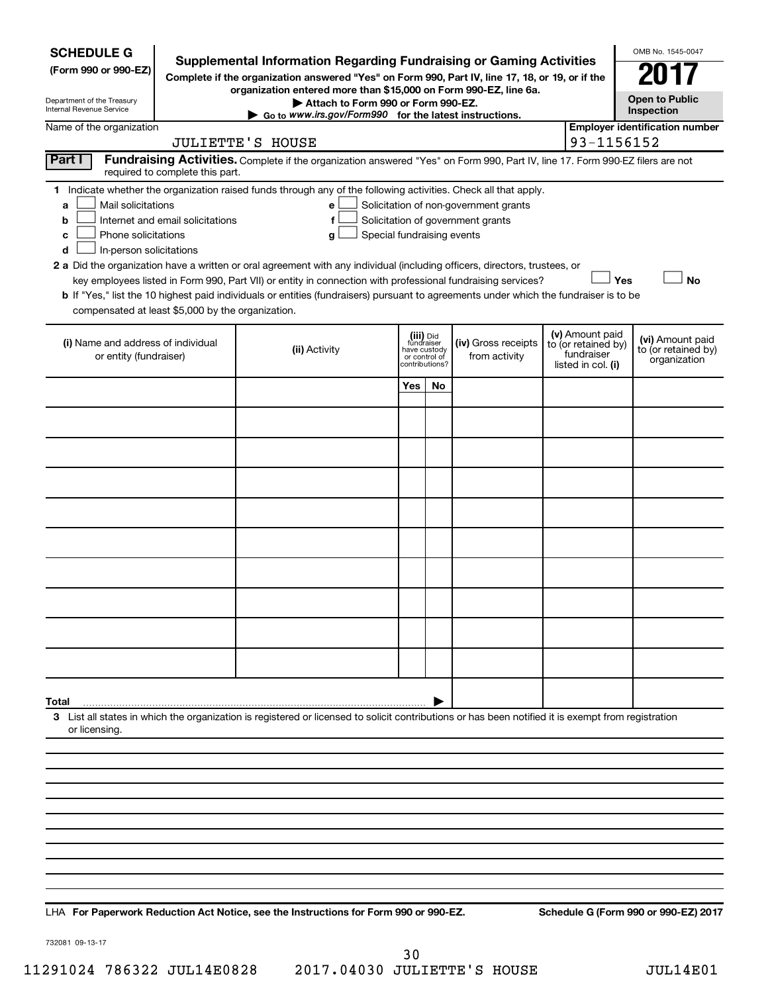| <b>SCHEDULE G</b><br>(Form 990 or 990-EZ)<br>Department of the Treasury<br>Internal Revenue Service                                                                                                                                                                                                                                                                                                                                                         | <b>Supplemental Information Regarding Fundraising or Gaming Activities</b><br>Complete if the organization answered "Yes" on Form 990, Part IV, line 17, 18, or 19, or if the<br>organization entered more than \$15,000 on Form 990-EZ, line 6a.<br>Attach to Form 990 or Form 990-EZ.<br>Go to www.irs.gov/Form990 for the latest instructions. |                                                                                                                               |                                                                                                                                                                                                  |     |  |                                                         | OMB No. 1545-0047<br><b>Open to Public</b><br>Inspection |                                       |
|-------------------------------------------------------------------------------------------------------------------------------------------------------------------------------------------------------------------------------------------------------------------------------------------------------------------------------------------------------------------------------------------------------------------------------------------------------------|---------------------------------------------------------------------------------------------------------------------------------------------------------------------------------------------------------------------------------------------------------------------------------------------------------------------------------------------------|-------------------------------------------------------------------------------------------------------------------------------|--------------------------------------------------------------------------------------------------------------------------------------------------------------------------------------------------|-----|--|---------------------------------------------------------|----------------------------------------------------------|---------------------------------------|
| Name of the organization                                                                                                                                                                                                                                                                                                                                                                                                                                    |                                                                                                                                                                                                                                                                                                                                                   | <b>JULIETTE'S HOUSE</b>                                                                                                       |                                                                                                                                                                                                  |     |  |                                                         | 93-1156152                                               | <b>Employer identification number</b> |
| Part I                                                                                                                                                                                                                                                                                                                                                                                                                                                      |                                                                                                                                                                                                                                                                                                                                                   | Fundraising Activities. Complete if the organization answered "Yes" on Form 990, Part IV, line 17. Form 990-EZ filers are not |                                                                                                                                                                                                  |     |  |                                                         |                                                          |                                       |
| required to complete this part.<br>1 Indicate whether the organization raised funds through any of the following activities. Check all that apply.<br>Mail solicitations<br>Solicitation of non-government grants<br>e<br>a<br>Internet and email solicitations<br>Solicitation of government grants<br>f<br>b<br>Phone solicitations<br>Special fundraising events<br>с<br>g<br>In-person solicitations<br>d                                               |                                                                                                                                                                                                                                                                                                                                                   |                                                                                                                               |                                                                                                                                                                                                  |     |  |                                                         |                                                          |                                       |
| 2 a Did the organization have a written or oral agreement with any individual (including officers, directors, trustees, or<br>Yes<br><b>No</b><br>key employees listed in Form 990, Part VII) or entity in connection with professional fundraising services?<br>b If "Yes," list the 10 highest paid individuals or entities (fundraisers) pursuant to agreements under which the fundraiser is to be<br>compensated at least \$5,000 by the organization. |                                                                                                                                                                                                                                                                                                                                                   |                                                                                                                               |                                                                                                                                                                                                  |     |  |                                                         |                                                          |                                       |
| (i) Name and address of individual<br>or entity (fundraiser)                                                                                                                                                                                                                                                                                                                                                                                                |                                                                                                                                                                                                                                                                                                                                                   | (ii) Activity                                                                                                                 | (v) Amount paid<br>(iii) Did<br>(iv) Gross receipts<br>fundraiser<br>have custody<br>to (or retained by)<br>fundraiser<br>from activity<br>or control of<br>listed in col. (i)<br>contributions? |     |  | (vi) Amount paid<br>to (or retained by)<br>organization |                                                          |                                       |
|                                                                                                                                                                                                                                                                                                                                                                                                                                                             |                                                                                                                                                                                                                                                                                                                                                   |                                                                                                                               | Yes                                                                                                                                                                                              | No. |  |                                                         |                                                          |                                       |
|                                                                                                                                                                                                                                                                                                                                                                                                                                                             |                                                                                                                                                                                                                                                                                                                                                   |                                                                                                                               |                                                                                                                                                                                                  |     |  |                                                         |                                                          |                                       |
|                                                                                                                                                                                                                                                                                                                                                                                                                                                             |                                                                                                                                                                                                                                                                                                                                                   |                                                                                                                               |                                                                                                                                                                                                  |     |  |                                                         |                                                          |                                       |
|                                                                                                                                                                                                                                                                                                                                                                                                                                                             |                                                                                                                                                                                                                                                                                                                                                   |                                                                                                                               |                                                                                                                                                                                                  |     |  |                                                         |                                                          |                                       |
|                                                                                                                                                                                                                                                                                                                                                                                                                                                             |                                                                                                                                                                                                                                                                                                                                                   |                                                                                                                               |                                                                                                                                                                                                  |     |  |                                                         |                                                          |                                       |
|                                                                                                                                                                                                                                                                                                                                                                                                                                                             |                                                                                                                                                                                                                                                                                                                                                   |                                                                                                                               |                                                                                                                                                                                                  |     |  |                                                         |                                                          |                                       |
|                                                                                                                                                                                                                                                                                                                                                                                                                                                             |                                                                                                                                                                                                                                                                                                                                                   |                                                                                                                               |                                                                                                                                                                                                  |     |  |                                                         |                                                          |                                       |
|                                                                                                                                                                                                                                                                                                                                                                                                                                                             |                                                                                                                                                                                                                                                                                                                                                   |                                                                                                                               |                                                                                                                                                                                                  |     |  |                                                         |                                                          |                                       |
|                                                                                                                                                                                                                                                                                                                                                                                                                                                             |                                                                                                                                                                                                                                                                                                                                                   |                                                                                                                               |                                                                                                                                                                                                  |     |  |                                                         |                                                          |                                       |
|                                                                                                                                                                                                                                                                                                                                                                                                                                                             |                                                                                                                                                                                                                                                                                                                                                   |                                                                                                                               |                                                                                                                                                                                                  |     |  |                                                         |                                                          |                                       |
| Total<br>3 List all states in which the organization is registered or licensed to solicit contributions or has been notified it is exempt from registration                                                                                                                                                                                                                                                                                                 |                                                                                                                                                                                                                                                                                                                                                   |                                                                                                                               |                                                                                                                                                                                                  |     |  |                                                         |                                                          |                                       |
| or licensing.                                                                                                                                                                                                                                                                                                                                                                                                                                               |                                                                                                                                                                                                                                                                                                                                                   |                                                                                                                               |                                                                                                                                                                                                  |     |  |                                                         |                                                          |                                       |
|                                                                                                                                                                                                                                                                                                                                                                                                                                                             |                                                                                                                                                                                                                                                                                                                                                   |                                                                                                                               |                                                                                                                                                                                                  |     |  |                                                         |                                                          |                                       |
|                                                                                                                                                                                                                                                                                                                                                                                                                                                             |                                                                                                                                                                                                                                                                                                                                                   |                                                                                                                               |                                                                                                                                                                                                  |     |  |                                                         |                                                          |                                       |
|                                                                                                                                                                                                                                                                                                                                                                                                                                                             |                                                                                                                                                                                                                                                                                                                                                   |                                                                                                                               |                                                                                                                                                                                                  |     |  |                                                         |                                                          |                                       |
|                                                                                                                                                                                                                                                                                                                                                                                                                                                             |                                                                                                                                                                                                                                                                                                                                                   |                                                                                                                               |                                                                                                                                                                                                  |     |  |                                                         |                                                          |                                       |
|                                                                                                                                                                                                                                                                                                                                                                                                                                                             |                                                                                                                                                                                                                                                                                                                                                   |                                                                                                                               |                                                                                                                                                                                                  |     |  |                                                         |                                                          |                                       |
|                                                                                                                                                                                                                                                                                                                                                                                                                                                             |                                                                                                                                                                                                                                                                                                                                                   |                                                                                                                               |                                                                                                                                                                                                  |     |  |                                                         |                                                          |                                       |
|                                                                                                                                                                                                                                                                                                                                                                                                                                                             |                                                                                                                                                                                                                                                                                                                                                   |                                                                                                                               |                                                                                                                                                                                                  |     |  |                                                         |                                                          |                                       |

**For Paperwork Reduction Act Notice, see the Instructions for Form 990 or 990-EZ. Schedule G (Form 990 or 990-EZ) 2017** LHA

732081 09-13-17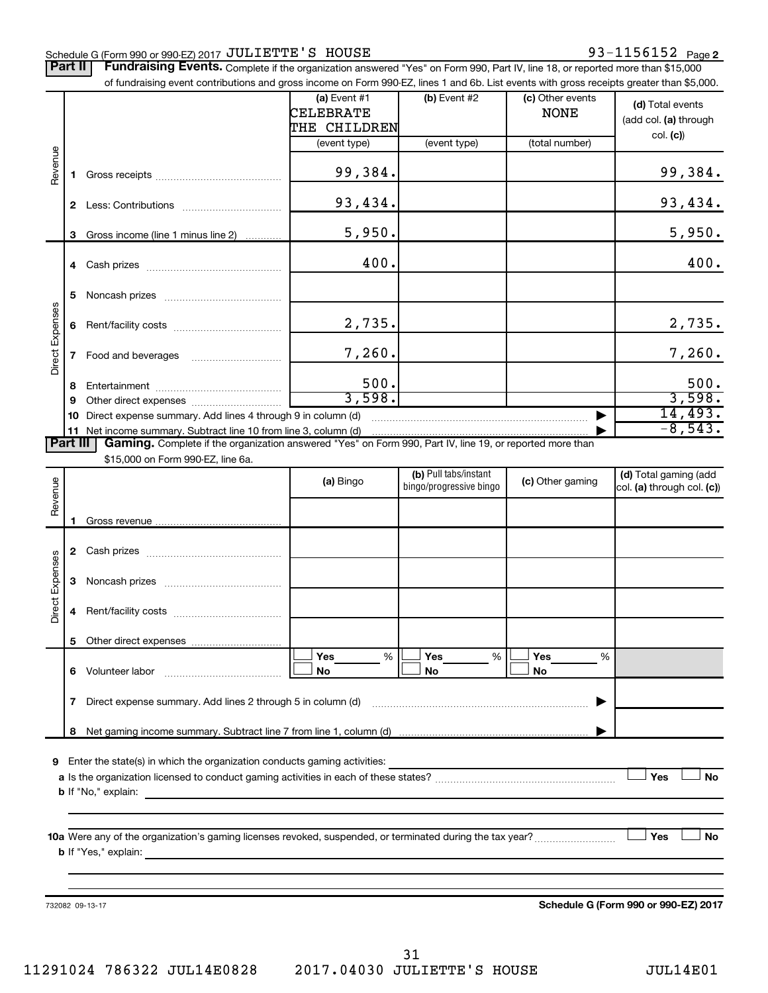#### Schedule G (Form 990 or 990-EZ) 2017  $JULIETTE'S$   $HOUSE$   $93-1156152$   $Page$

Part II | Fundraising Events. Complete if the organization answered "Yes" on Form 990, Part IV, line 18, or reported more than \$15,000

|                 |    | of fundraising event contributions and gross income on Form 990-EZ, lines 1 and 6b. List events with gross receipts greater than \$5,000. |                                             |                                                  |                                 |                                                     |  |
|-----------------|----|-------------------------------------------------------------------------------------------------------------------------------------------|---------------------------------------------|--------------------------------------------------|---------------------------------|-----------------------------------------------------|--|
|                 |    |                                                                                                                                           | (a) Event $#1$<br>CELEBRATE<br>THE CHILDREN | $(b)$ Event #2                                   | (c) Other events<br><b>NONE</b> | (d) Total events<br>(add col. (a) through           |  |
| Revenue         |    |                                                                                                                                           | (event type)                                | (event type)                                     | (total number)                  | col. (c)                                            |  |
|                 | 1. |                                                                                                                                           | 99,384.                                     |                                                  |                                 | 99,384.                                             |  |
|                 |    |                                                                                                                                           | 93,434.                                     |                                                  |                                 | 93,434.                                             |  |
|                 | 3  | Gross income (line 1 minus line 2)                                                                                                        | 5,950.                                      |                                                  |                                 | 5,950.                                              |  |
|                 |    |                                                                                                                                           | 400.                                        |                                                  |                                 | 400.                                                |  |
|                 | 5  |                                                                                                                                           |                                             |                                                  |                                 |                                                     |  |
|                 | 6  |                                                                                                                                           | 2,735.                                      |                                                  |                                 | 2,735.                                              |  |
| Direct Expenses | 7  |                                                                                                                                           | 7,260.                                      |                                                  |                                 | 7,260.                                              |  |
|                 | 8  |                                                                                                                                           | 500.                                        |                                                  |                                 | 500.                                                |  |
|                 | 9  |                                                                                                                                           | 3,598.                                      |                                                  |                                 | 3,598.<br>14,493.                                   |  |
|                 | 10 | Direct expense summary. Add lines 4 through 9 in column (d)<br>11 Net income summary. Subtract line 10 from line 3, column (d)            |                                             |                                                  |                                 | $-8,543.$                                           |  |
| Part III        |    | Gaming. Complete if the organization answered "Yes" on Form 990, Part IV, line 19, or reported more than                                  |                                             |                                                  |                                 |                                                     |  |
|                 |    | \$15,000 on Form 990-EZ, line 6a.                                                                                                         |                                             |                                                  |                                 |                                                     |  |
| Revenue         |    |                                                                                                                                           | (a) Bingo                                   | (b) Pull tabs/instant<br>bingo/progressive bingo | (c) Other gaming                | (d) Total gaming (add<br>col. (a) through col. (c)) |  |
|                 |    |                                                                                                                                           |                                             |                                                  |                                 |                                                     |  |
| Direct Expenses |    |                                                                                                                                           |                                             |                                                  |                                 |                                                     |  |
|                 | 3  |                                                                                                                                           |                                             |                                                  |                                 |                                                     |  |
|                 |    |                                                                                                                                           |                                             |                                                  |                                 |                                                     |  |
|                 | 5  | Other direct expenses                                                                                                                     |                                             |                                                  |                                 |                                                     |  |
|                 | 6  | Volunteer labor<br><u> 1986 - John Barbara, martin a</u>                                                                                  | %<br><b>Yes</b><br>No                       | %<br>Yes<br>No                                   | Yes<br>%<br>No                  |                                                     |  |
|                 | 7  | Direct expense summary. Add lines 2 through 5 in column (d)                                                                               |                                             |                                                  |                                 |                                                     |  |
|                 | 8  |                                                                                                                                           |                                             |                                                  |                                 |                                                     |  |

**9** Enter the state(s) in which the organization conducts gaming activities:

| a Is the organization licensed to conduct gaming activities in each of these states? |  | No |
|--------------------------------------------------------------------------------------|--|----|
| <b>b</b> If "No," explain:                                                           |  |    |

**10 a Yes No** Were any of the organization's gaming licenses revoked, suspended, or terminated during the tax year? ~~~~~~~~~ † † **b** If "Yes," explain:

732082 09-13-17

**Schedule G (Form 990 or 990-EZ) 2017**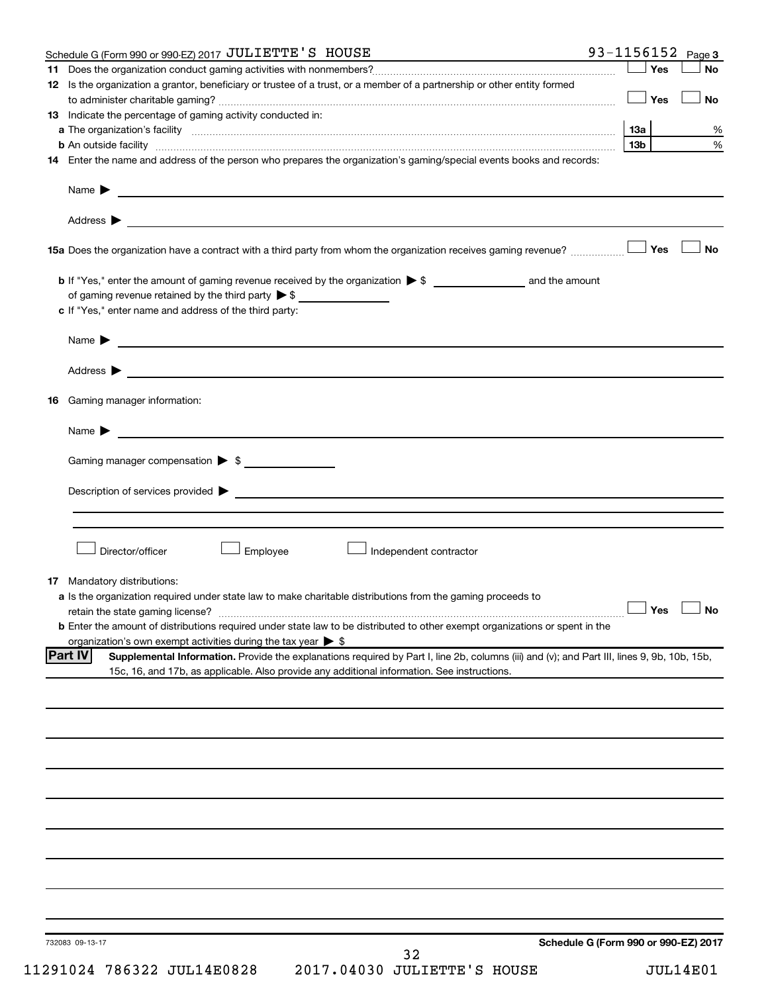| Schedule G (Form 990 or 990-EZ) 2017 JULIETTE 'S HOUSE                                                                                                                                                                                                                | 93-1156152 $_{Page 3}$               |           |
|-----------------------------------------------------------------------------------------------------------------------------------------------------------------------------------------------------------------------------------------------------------------------|--------------------------------------|-----------|
|                                                                                                                                                                                                                                                                       | Yes                                  | <b>No</b> |
| 12 Is the organization a grantor, beneficiary or trustee of a trust, or a member of a partnership or other entity formed                                                                                                                                              |                                      |           |
|                                                                                                                                                                                                                                                                       | Yes                                  | No        |
| 13 Indicate the percentage of gaming activity conducted in:                                                                                                                                                                                                           |                                      |           |
|                                                                                                                                                                                                                                                                       | 1За                                  | %         |
| <b>b</b> An outside facility <i>www.communicality www.communicality.communicality www.communicality www.communicality.communicality www.communicality.com</i>                                                                                                         | 13 <sub>b</sub>                      | %         |
| 14 Enter the name and address of the person who prepares the organization's gaming/special events books and records:                                                                                                                                                  |                                      |           |
| Name $\blacktriangleright$<br>the control of the control of the control of the control of the control of the control of                                                                                                                                               |                                      |           |
|                                                                                                                                                                                                                                                                       |                                      |           |
| 15a Does the organization have a contract with a third party from whom the organization receives gaming revenue?                                                                                                                                                      | Yes                                  | <b>No</b> |
|                                                                                                                                                                                                                                                                       |                                      |           |
| of gaming revenue retained by the third party $\triangleright$ \$                                                                                                                                                                                                     |                                      |           |
| c If "Yes," enter name and address of the third party:                                                                                                                                                                                                                |                                      |           |
| Name $\blacktriangleright$<br><u>and the second control of the second control of the second control of the second control of</u>                                                                                                                                      |                                      |           |
| Address $\blacktriangleright$<br><u>and the state of the state of the state of the state of the state of the state of the state of the state of the state of the state of the state of the state of the state of the state of the state of the state of the state</u> |                                      |           |
|                                                                                                                                                                                                                                                                       |                                      |           |
| <b>16</b> Gaming manager information:                                                                                                                                                                                                                                 |                                      |           |
| Name $\blacktriangleright$                                                                                                                                                                                                                                            |                                      |           |
| Gaming manager compensation > \$                                                                                                                                                                                                                                      |                                      |           |
|                                                                                                                                                                                                                                                                       |                                      |           |
|                                                                                                                                                                                                                                                                       |                                      |           |
|                                                                                                                                                                                                                                                                       |                                      |           |
| Director/officer<br><b>Employee</b><br>Independent contractor                                                                                                                                                                                                         |                                      |           |
|                                                                                                                                                                                                                                                                       |                                      |           |
| <b>17</b> Mandatory distributions:                                                                                                                                                                                                                                    |                                      |           |
| a Is the organization required under state law to make charitable distributions from the gaming proceeds to                                                                                                                                                           |                                      |           |
| retain the state gaming license?                                                                                                                                                                                                                                      | $\Box$ Yes $\Box$ No                 |           |
| <b>b</b> Enter the amount of distributions required under state law to be distributed to other exempt organizations or spent in the                                                                                                                                   |                                      |           |
| organization's own exempt activities during the tax year $\triangleright$ \$                                                                                                                                                                                          |                                      |           |
| <b>Part IV</b><br>Supplemental Information. Provide the explanations required by Part I, line 2b, columns (iii) and (v); and Part III, lines 9, 9b, 10b, 15b,                                                                                                         |                                      |           |
| 15c, 16, and 17b, as applicable. Also provide any additional information. See instructions.                                                                                                                                                                           |                                      |           |
|                                                                                                                                                                                                                                                                       |                                      |           |
|                                                                                                                                                                                                                                                                       |                                      |           |
|                                                                                                                                                                                                                                                                       |                                      |           |
|                                                                                                                                                                                                                                                                       |                                      |           |
|                                                                                                                                                                                                                                                                       |                                      |           |
|                                                                                                                                                                                                                                                                       |                                      |           |
|                                                                                                                                                                                                                                                                       |                                      |           |
|                                                                                                                                                                                                                                                                       |                                      |           |
|                                                                                                                                                                                                                                                                       |                                      |           |
|                                                                                                                                                                                                                                                                       |                                      |           |
|                                                                                                                                                                                                                                                                       |                                      |           |
|                                                                                                                                                                                                                                                                       |                                      |           |
|                                                                                                                                                                                                                                                                       | Schedule G (Form 990 or 990-EZ) 2017 |           |
| 732083 09-13-17<br>32                                                                                                                                                                                                                                                 |                                      |           |
|                                                                                                                                                                                                                                                                       |                                      |           |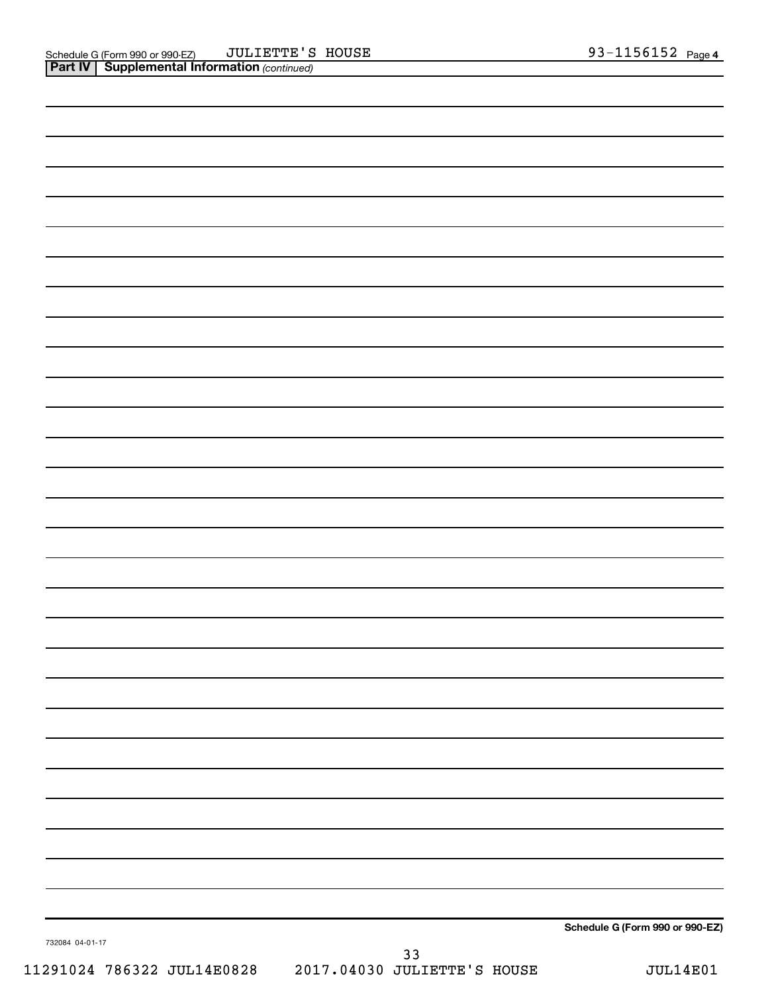| 732084 04-01-17 | Schedule G (Form 990 or 990-EZ) |
|-----------------|---------------------------------|